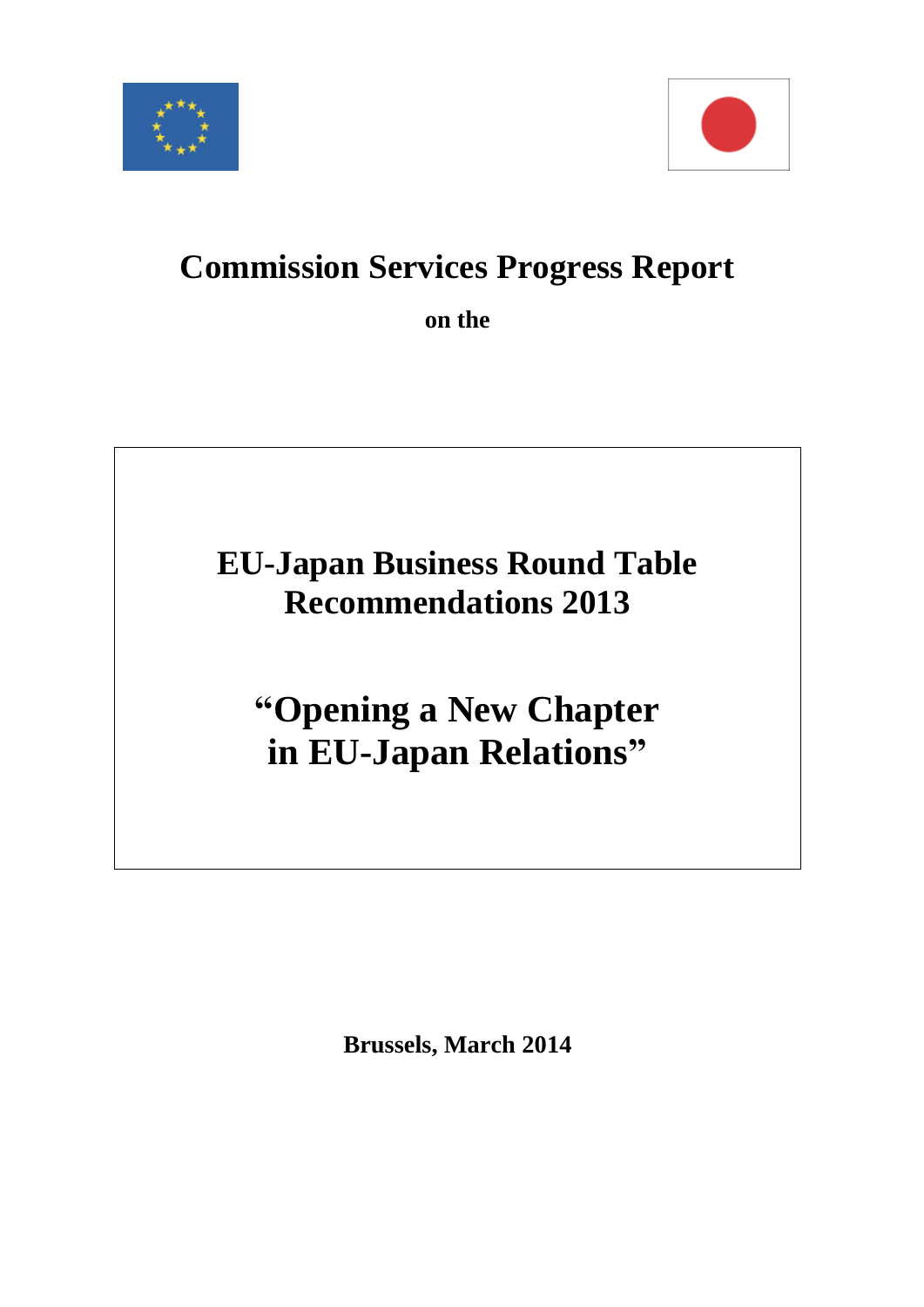



# **Commission Services Progress Report**

**on the** 

# **EU-Japan Business Round Table Recommendations 2013**

# **"Opening a New Chapter in EU-Japan Relations"**

**Brussels, March 2014**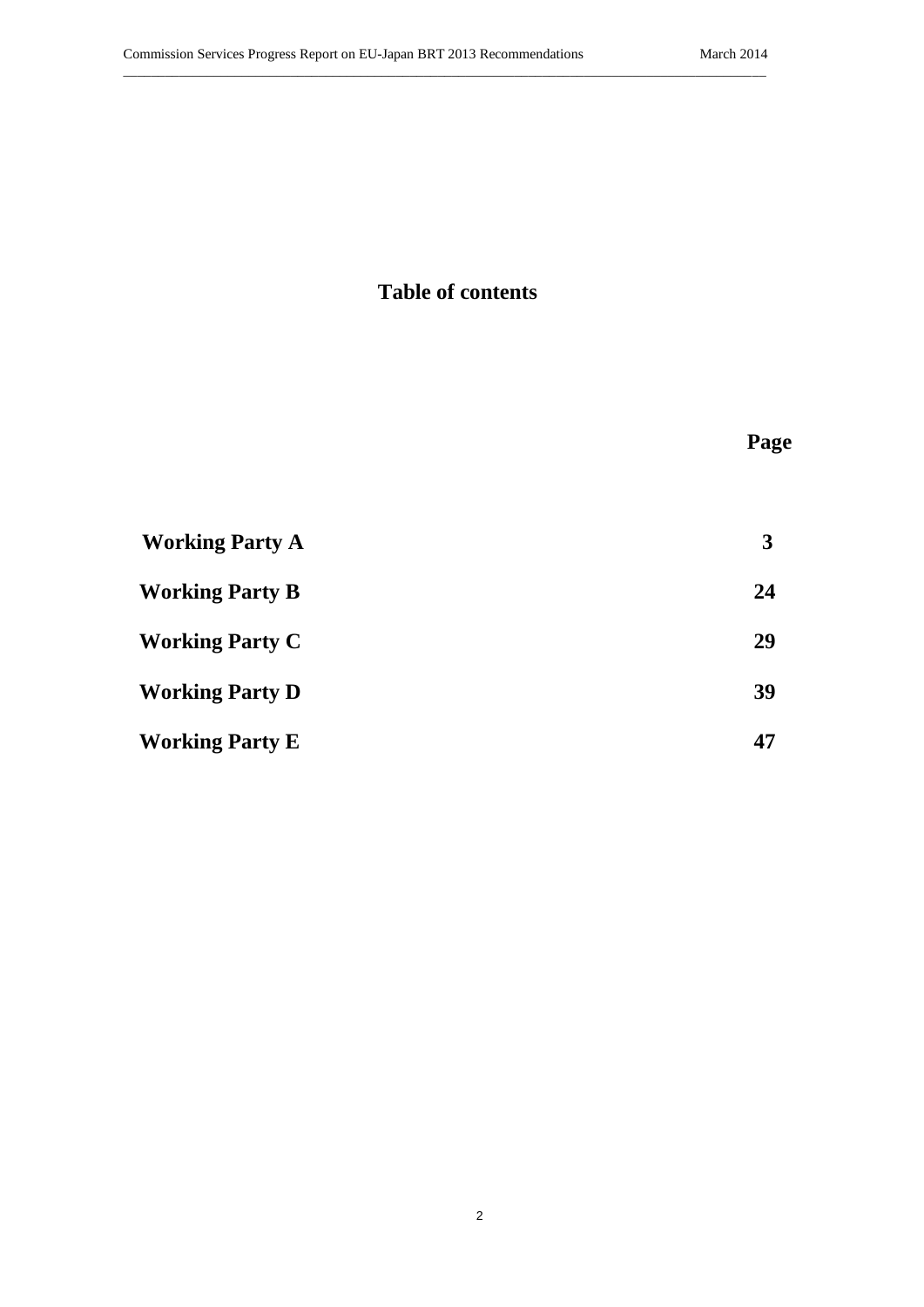# **Table of contents**

| <b>Working Party A</b> | 3  |
|------------------------|----|
| <b>Working Party B</b> | 24 |
| <b>Working Party C</b> | 29 |
| <b>Working Party D</b> | 39 |
| <b>Working Party E</b> | 47 |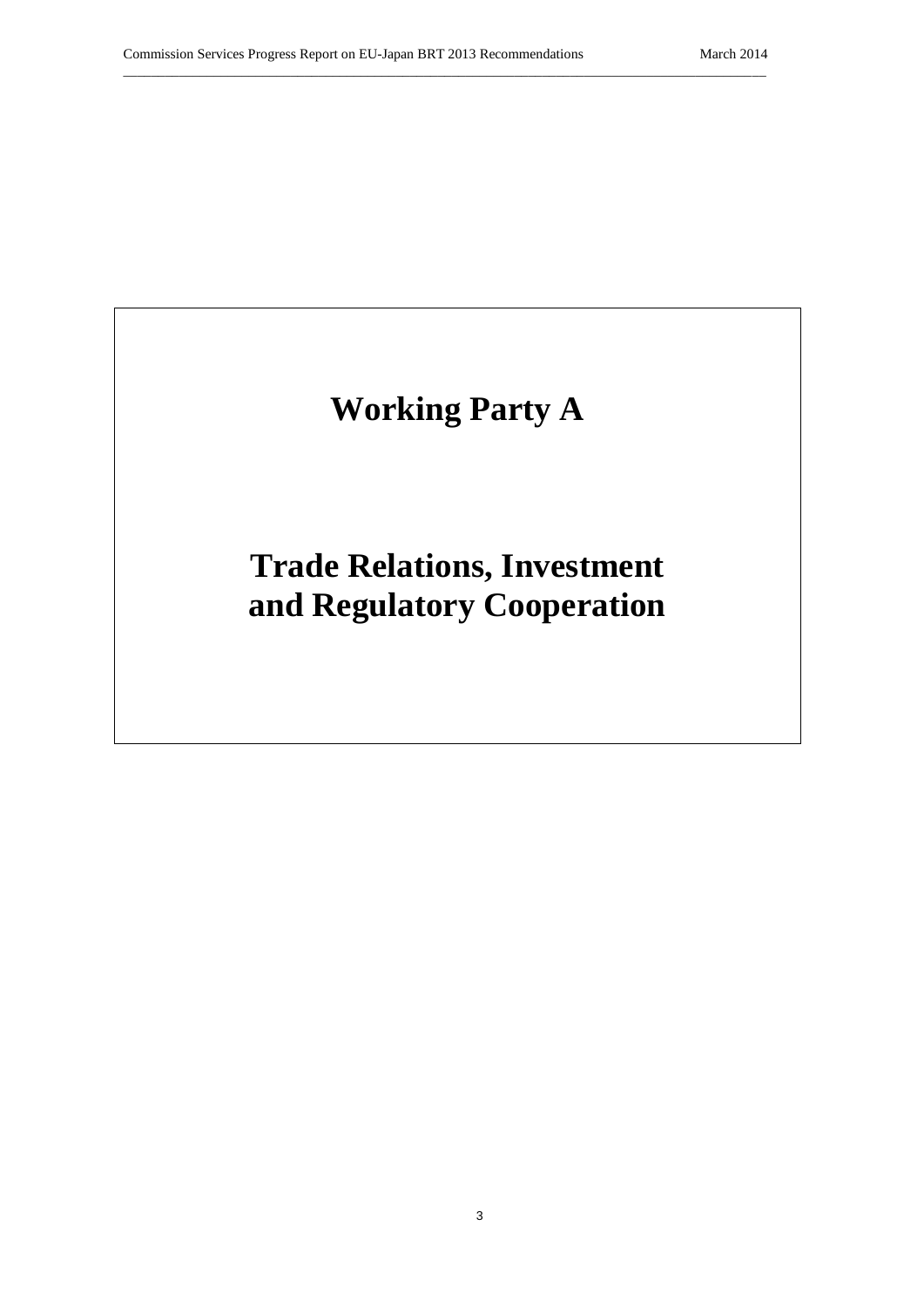# **Working Party A**

\_\_\_\_\_\_\_\_\_\_\_\_\_\_\_\_\_\_\_\_\_\_\_\_\_\_\_\_\_\_\_\_\_\_\_\_\_\_\_\_\_\_\_\_\_\_\_\_\_\_\_\_\_\_\_\_\_\_\_\_\_\_\_\_\_\_\_\_\_\_\_\_\_\_\_\_\_\_\_\_\_\_\_\_\_\_\_\_\_\_\_\_

# **Trade Relations, Investment and Regulatory Cooperation**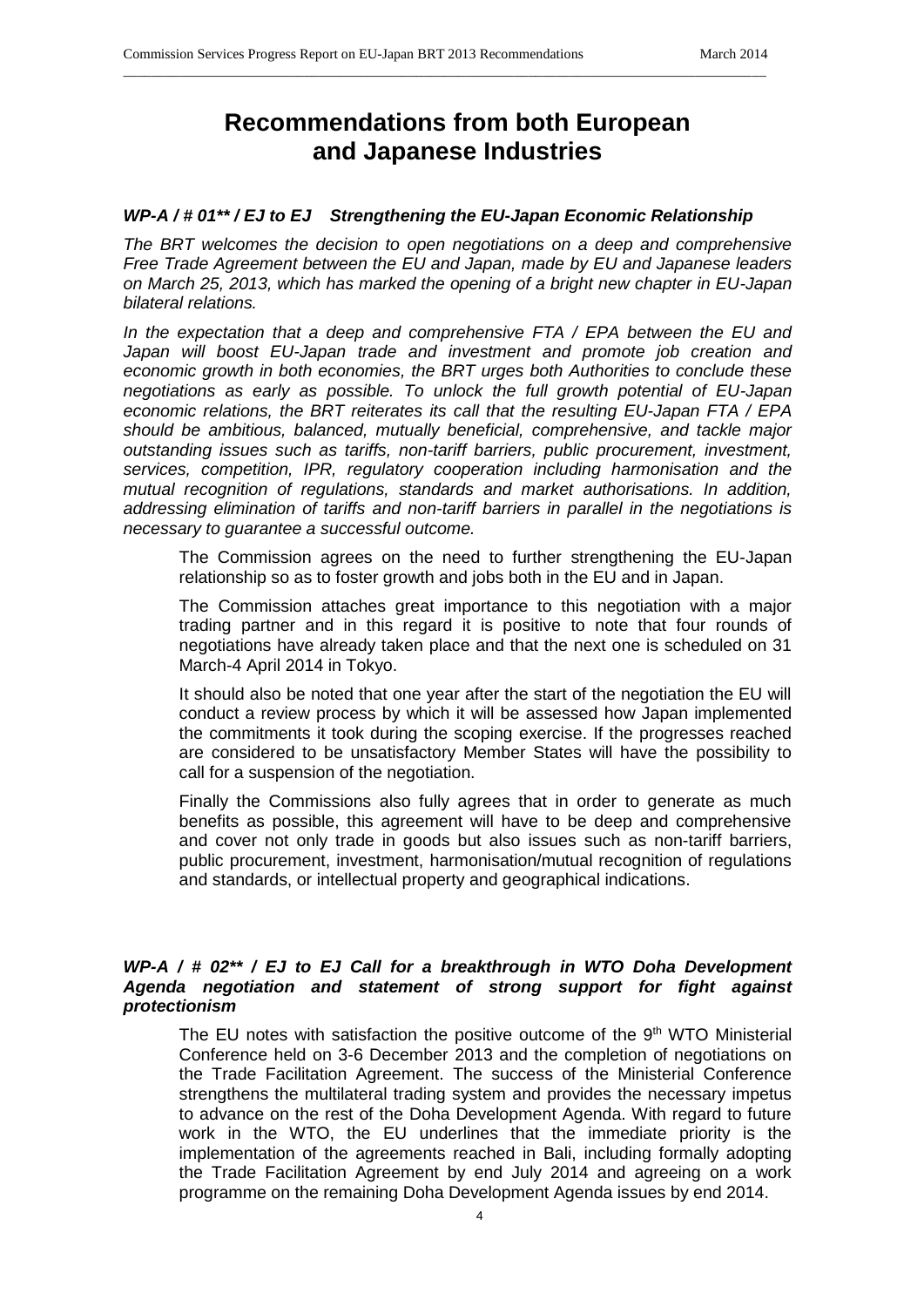# **Recommendations from both European and Japanese Industries**

\_\_\_\_\_\_\_\_\_\_\_\_\_\_\_\_\_\_\_\_\_\_\_\_\_\_\_\_\_\_\_\_\_\_\_\_\_\_\_\_\_\_\_\_\_\_\_\_\_\_\_\_\_\_\_\_\_\_\_\_\_\_\_\_\_\_\_\_\_\_\_\_\_\_\_\_\_\_\_\_\_\_\_\_\_\_\_\_\_\_\_\_

## *WP-A / # 01\*\* / EJ to EJ Strengthening the EU-Japan Economic Relationship*

*The BRT welcomes the decision to open negotiations on a deep and comprehensive Free Trade Agreement between the EU and Japan, made by EU and Japanese leaders on March 25, 2013, which has marked the opening of a bright new chapter in EU-Japan bilateral relations.*

*In the expectation that a deep and comprehensive FTA / EPA between the EU and Japan will boost EU-Japan trade and investment and promote job creation and economic growth in both economies, the BRT urges both Authorities to conclude these negotiations as early as possible. To unlock the full growth potential of EU-Japan economic relations, the BRT reiterates its call that the resulting EU-Japan FTA / EPA should be ambitious, balanced, mutually beneficial, comprehensive, and tackle major outstanding issues such as tariffs, non-tariff barriers, public procurement, investment, services, competition, IPR, regulatory cooperation including harmonisation and the mutual recognition of regulations, standards and market authorisations. In addition, addressing elimination of tariffs and non-tariff barriers in parallel in the negotiations is necessary to guarantee a successful outcome.*

The Commission agrees on the need to further strengthening the EU-Japan relationship so as to foster growth and jobs both in the EU and in Japan.

The Commission attaches great importance to this negotiation with a major trading partner and in this regard it is positive to note that four rounds of negotiations have already taken place and that the next one is scheduled on 31 March-4 April 2014 in Tokyo.

It should also be noted that one year after the start of the negotiation the EU will conduct a review process by which it will be assessed how Japan implemented the commitments it took during the scoping exercise. If the progresses reached are considered to be unsatisfactory Member States will have the possibility to call for a suspension of the negotiation.

Finally the Commissions also fully agrees that in order to generate as much benefits as possible, this agreement will have to be deep and comprehensive and cover not only trade in goods but also issues such as non-tariff barriers, public procurement, investment, harmonisation/mutual recognition of regulations and standards, or intellectual property and geographical indications.

# *WP-A / # 02\*\* / EJ to EJ Call for a breakthrough in WTO Doha Development Agenda negotiation and statement of strong support for fight against protectionism*

The EU notes with satisfaction the positive outcome of the 9<sup>th</sup> WTO Ministerial Conference held on 3-6 December 2013 and the completion of negotiations on the Trade Facilitation Agreement. The success of the Ministerial Conference strengthens the multilateral trading system and provides the necessary impetus to advance on the rest of the Doha Development Agenda. With regard to future work in the WTO, the EU underlines that the immediate priority is the implementation of the agreements reached in Bali, including formally adopting the Trade Facilitation Agreement by end July 2014 and agreeing on a work programme on the remaining Doha Development Agenda issues by end 2014.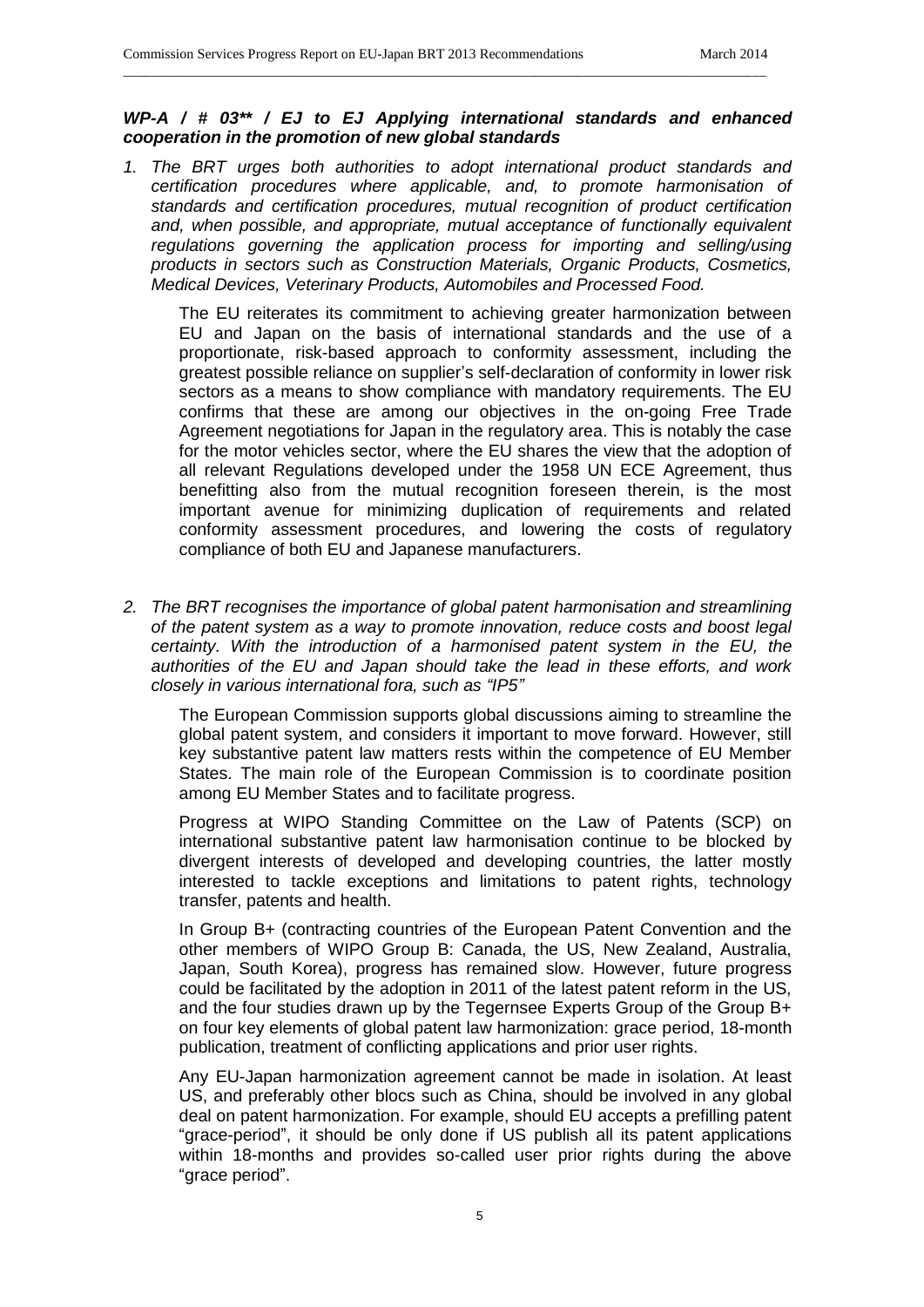#### *WP-A / # 03\*\* / EJ to EJ Applying international standards and enhanced cooperation in the promotion of new global standards*

\_\_\_\_\_\_\_\_\_\_\_\_\_\_\_\_\_\_\_\_\_\_\_\_\_\_\_\_\_\_\_\_\_\_\_\_\_\_\_\_\_\_\_\_\_\_\_\_\_\_\_\_\_\_\_\_\_\_\_\_\_\_\_\_\_\_\_\_\_\_\_\_\_\_\_\_\_\_\_\_\_\_\_\_\_\_\_\_\_\_\_\_

*1. The BRT urges both authorities to adopt international product standards and certification procedures where applicable, and, to promote harmonisation of standards and certification procedures, mutual recognition of product certification and, when possible, and appropriate, mutual acceptance of functionally equivalent regulations governing the application process for importing and selling/using products in sectors such as Construction Materials, Organic Products, Cosmetics, Medical Devices, Veterinary Products, Automobiles and Processed Food.*

The EU reiterates its commitment to achieving greater harmonization between EU and Japan on the basis of international standards and the use of a proportionate, risk-based approach to conformity assessment, including the greatest possible reliance on supplier's self-declaration of conformity in lower risk sectors as a means to show compliance with mandatory requirements. The EU confirms that these are among our objectives in the on-going Free Trade Agreement negotiations for Japan in the regulatory area. This is notably the case for the motor vehicles sector, where the EU shares the view that the adoption of all relevant Regulations developed under the 1958 UN ECE Agreement, thus benefitting also from the mutual recognition foreseen therein, is the most important avenue for minimizing duplication of requirements and related conformity assessment procedures, and lowering the costs of regulatory compliance of both EU and Japanese manufacturers.

*2. The BRT recognises the importance of global patent harmonisation and streamlining of the patent system as a way to promote innovation, reduce costs and boost legal certainty. With the introduction of a harmonised patent system in the EU, the authorities of the EU and Japan should take the lead in these efforts, and work closely in various international fora, such as "IP5"*

The European Commission supports global discussions aiming to streamline the global patent system, and considers it important to move forward. However, still key substantive patent law matters rests within the competence of EU Member States. The main role of the European Commission is to coordinate position among EU Member States and to facilitate progress.

Progress at WIPO Standing Committee on the Law of Patents (SCP) on international substantive patent law harmonisation continue to be blocked by divergent interests of developed and developing countries, the latter mostly interested to tackle exceptions and limitations to patent rights, technology transfer, patents and health.

In Group B+ (contracting countries of the European Patent Convention and the other members of WIPO Group B: Canada, the US, New Zealand, Australia, Japan, South Korea), progress has remained slow. However, future progress could be facilitated by the adoption in 2011 of the latest patent reform in the US, and the four studies drawn up by the Tegernsee Experts Group of the Group B+ on four key elements of global patent law harmonization: grace period, 18-month publication, treatment of conflicting applications and prior user rights.

Any EU-Japan harmonization agreement cannot be made in isolation. At least US, and preferably other blocs such as China, should be involved in any global deal on patent harmonization. For example, should EU accepts a prefilling patent "grace-period", it should be only done if US publish all its patent applications within 18-months and provides so-called user prior rights during the above "grace period".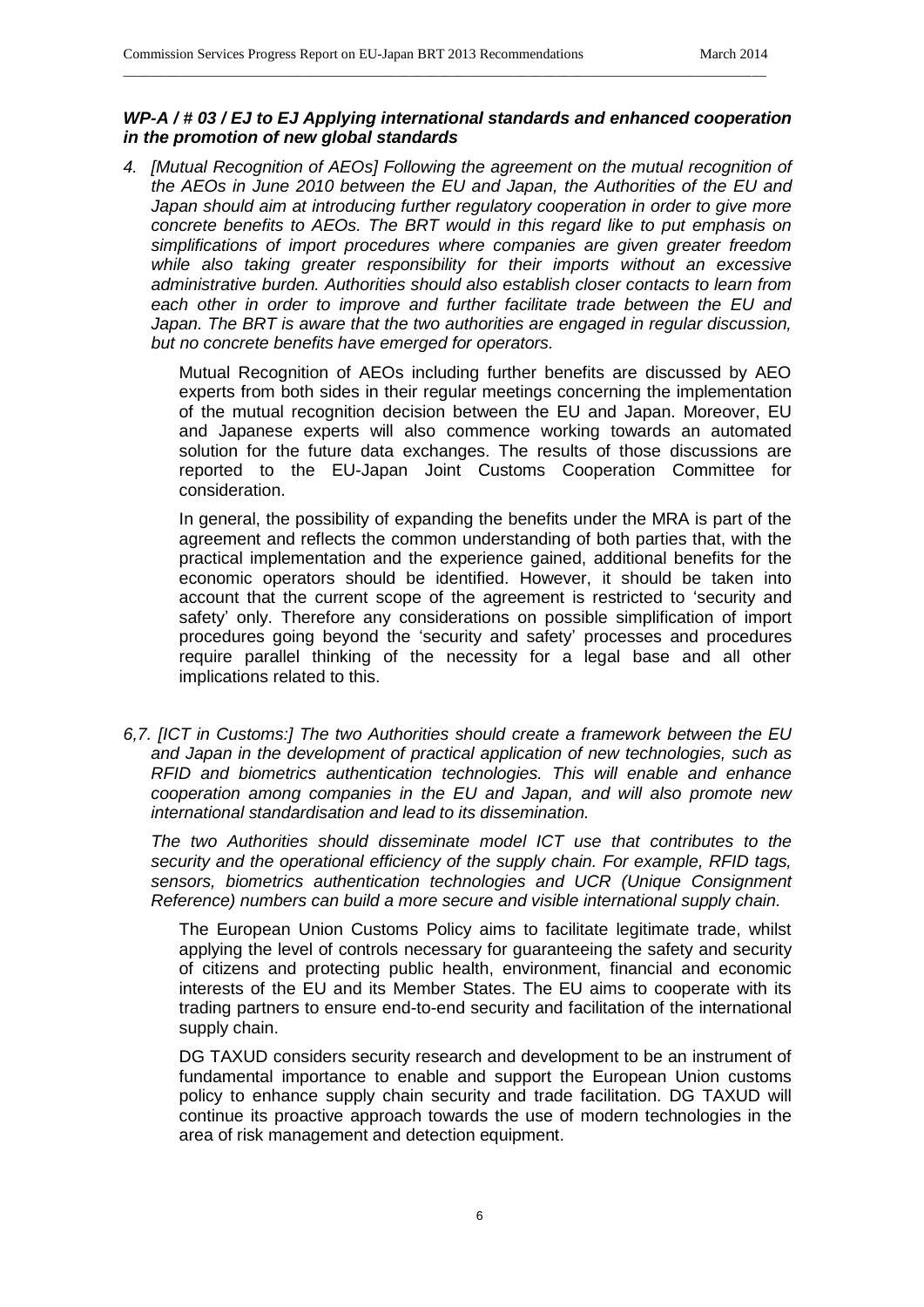#### *WP-A / # 03 / EJ to EJ Applying international standards and enhanced cooperation in the promotion of new global standards*

\_\_\_\_\_\_\_\_\_\_\_\_\_\_\_\_\_\_\_\_\_\_\_\_\_\_\_\_\_\_\_\_\_\_\_\_\_\_\_\_\_\_\_\_\_\_\_\_\_\_\_\_\_\_\_\_\_\_\_\_\_\_\_\_\_\_\_\_\_\_\_\_\_\_\_\_\_\_\_\_\_\_\_\_\_\_\_\_\_\_\_\_

*4. [Mutual Recognition of AEOs] Following the agreement on the mutual recognition of the AEOs in June 2010 between the EU and Japan, the Authorities of the EU and*  Japan should aim at introducing further regulatory cooperation in order to give more *concrete benefits to AEOs. The BRT would in this regard like to put emphasis on simplifications of import procedures where companies are given greater freedom while also taking greater responsibility for their imports without an excessive administrative burden. Authorities should also establish closer contacts to learn from*  each other in order to improve and further facilitate trade between the EU and *Japan. The BRT is aware that the two authorities are engaged in regular discussion, but no concrete benefits have emerged for operators.*

Mutual Recognition of AEOs including further benefits are discussed by AEO experts from both sides in their regular meetings concerning the implementation of the mutual recognition decision between the EU and Japan. Moreover, EU and Japanese experts will also commence working towards an automated solution for the future data exchanges. The results of those discussions are reported to the EU-Japan Joint Customs Cooperation Committee for consideration.

In general, the possibility of expanding the benefits under the MRA is part of the agreement and reflects the common understanding of both parties that, with the practical implementation and the experience gained, additional benefits for the economic operators should be identified. However, it should be taken into account that the current scope of the agreement is restricted to 'security and safety' only. Therefore any considerations on possible simplification of import procedures going beyond the 'security and safety' processes and procedures require parallel thinking of the necessity for a legal base and all other implications related to this.

*6,7. [ICT in Customs:] The two Authorities should create a framework between the EU and Japan in the development of practical application of new technologies, such as RFID and biometrics authentication technologies. This will enable and enhance cooperation among companies in the EU and Japan, and will also promote new international standardisation and lead to its dissemination.*

*The two Authorities should disseminate model ICT use that contributes to the security and the operational efficiency of the supply chain. For example, RFID tags, sensors, biometrics authentication technologies and UCR (Unique Consignment Reference) numbers can build a more secure and visible international supply chain.*

The European Union Customs Policy aims to facilitate legitimate trade, whilst applying the level of controls necessary for guaranteeing the safety and security of citizens and protecting public health, environment, financial and economic interests of the EU and its Member States. The EU aims to cooperate with its trading partners to ensure end-to-end security and facilitation of the international supply chain.

DG TAXUD considers security research and development to be an instrument of fundamental importance to enable and support the European Union customs policy to enhance supply chain security and trade facilitation. DG TAXUD will continue its proactive approach towards the use of modern technologies in the area of risk management and detection equipment.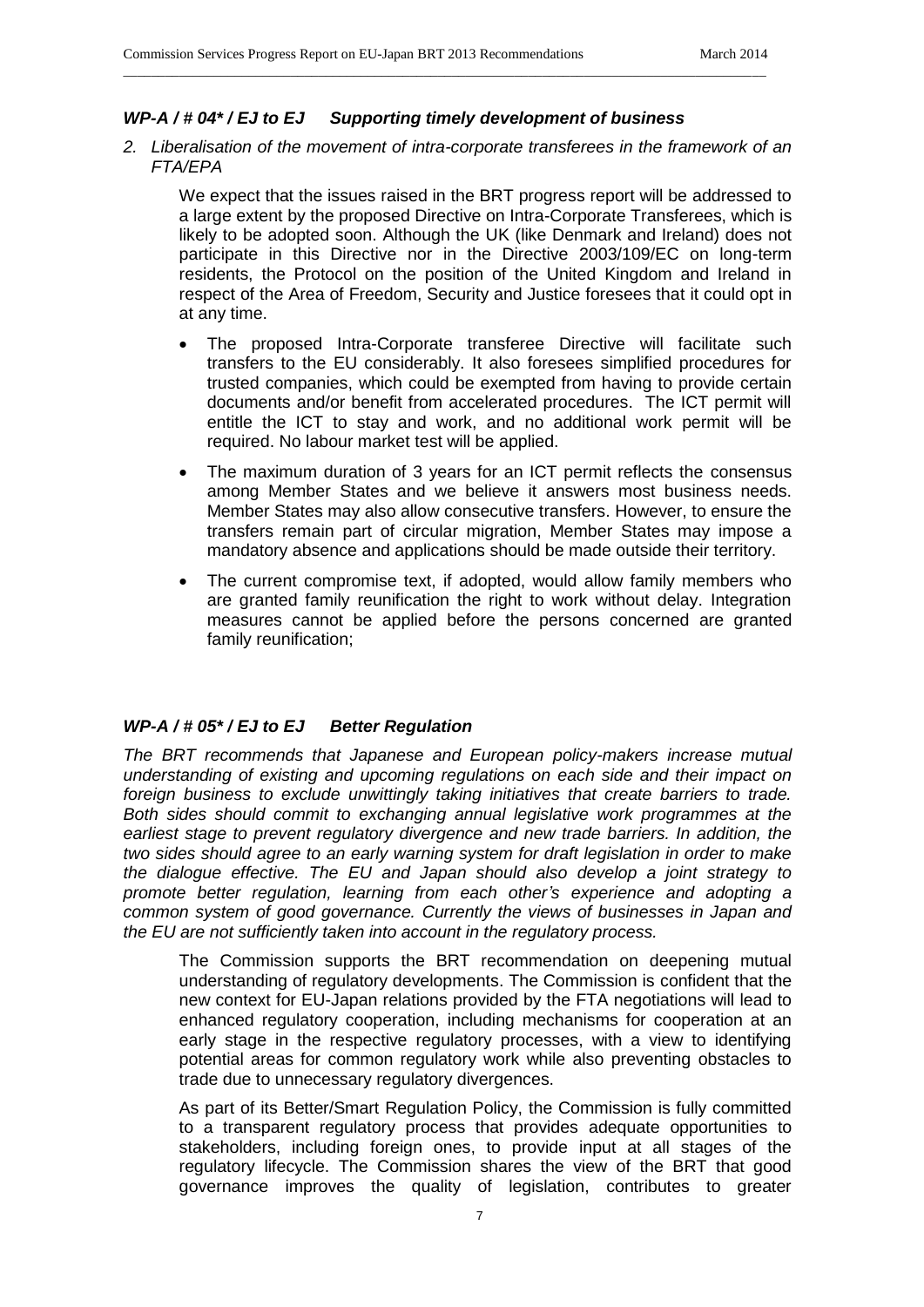# *WP-A / # 04\* / EJ to EJ Supporting timely development of business*

*2. Liberalisation of the movement of intra-corporate transferees in the framework of an FTA/EPA*

\_\_\_\_\_\_\_\_\_\_\_\_\_\_\_\_\_\_\_\_\_\_\_\_\_\_\_\_\_\_\_\_\_\_\_\_\_\_\_\_\_\_\_\_\_\_\_\_\_\_\_\_\_\_\_\_\_\_\_\_\_\_\_\_\_\_\_\_\_\_\_\_\_\_\_\_\_\_\_\_\_\_\_\_\_\_\_\_\_\_\_\_

We expect that the issues raised in the BRT progress report will be addressed to a large extent by the proposed Directive on Intra-Corporate Transferees, which is likely to be adopted soon. Although the UK (like Denmark and Ireland) does not participate in this Directive nor in the Directive 2003/109/EC on long-term residents, the Protocol on the position of the United Kingdom and Ireland in respect of the Area of Freedom, Security and Justice foresees that it could opt in at any time.

- The proposed Intra-Corporate transferee Directive will facilitate such transfers to the EU considerably. It also foresees simplified procedures for trusted companies, which could be exempted from having to provide certain documents and/or benefit from accelerated procedures. The ICT permit will entitle the ICT to stay and work, and no additional work permit will be required. No labour market test will be applied.
- The maximum duration of 3 years for an ICT permit reflects the consensus among Member States and we believe it answers most business needs. Member States may also allow consecutive transfers. However, to ensure the transfers remain part of circular migration, Member States may impose a mandatory absence and applications should be made outside their territory.
- The current compromise text, if adopted, would allow family members who are granted family reunification the right to work without delay. Integration measures cannot be applied before the persons concerned are granted family reunification;

#### *WP-A / # 05\* / EJ to EJ Better Regulation*

*The BRT recommends that Japanese and European policy-makers increase mutual understanding of existing and upcoming regulations on each side and their impact on foreign business to exclude unwittingly taking initiatives that create barriers to trade. Both sides should commit to exchanging annual legislative work programmes at the*  earliest stage to prevent regulatory divergence and new trade barriers. In addition, the *two sides should agree to an early warning system for draft legislation in order to make the dialogue effective. The EU and Japan should also develop a joint strategy to promote better regulation, learning from each other's experience and adopting a common system of good governance. Currently the views of businesses in Japan and the EU are not sufficiently taken into account in the regulatory process.*

The Commission supports the BRT recommendation on deepening mutual understanding of regulatory developments. The Commission is confident that the new context for EU-Japan relations provided by the FTA negotiations will lead to enhanced regulatory cooperation, including mechanisms for cooperation at an early stage in the respective regulatory processes, with a view to identifying potential areas for common regulatory work while also preventing obstacles to trade due to unnecessary regulatory divergences.

As part of its Better/Smart Regulation Policy, the Commission is fully committed to a transparent regulatory process that provides adequate opportunities to stakeholders, including foreign ones, to provide input at all stages of the regulatory lifecycle. The Commission shares the view of the BRT that good governance improves the quality of legislation, contributes to greater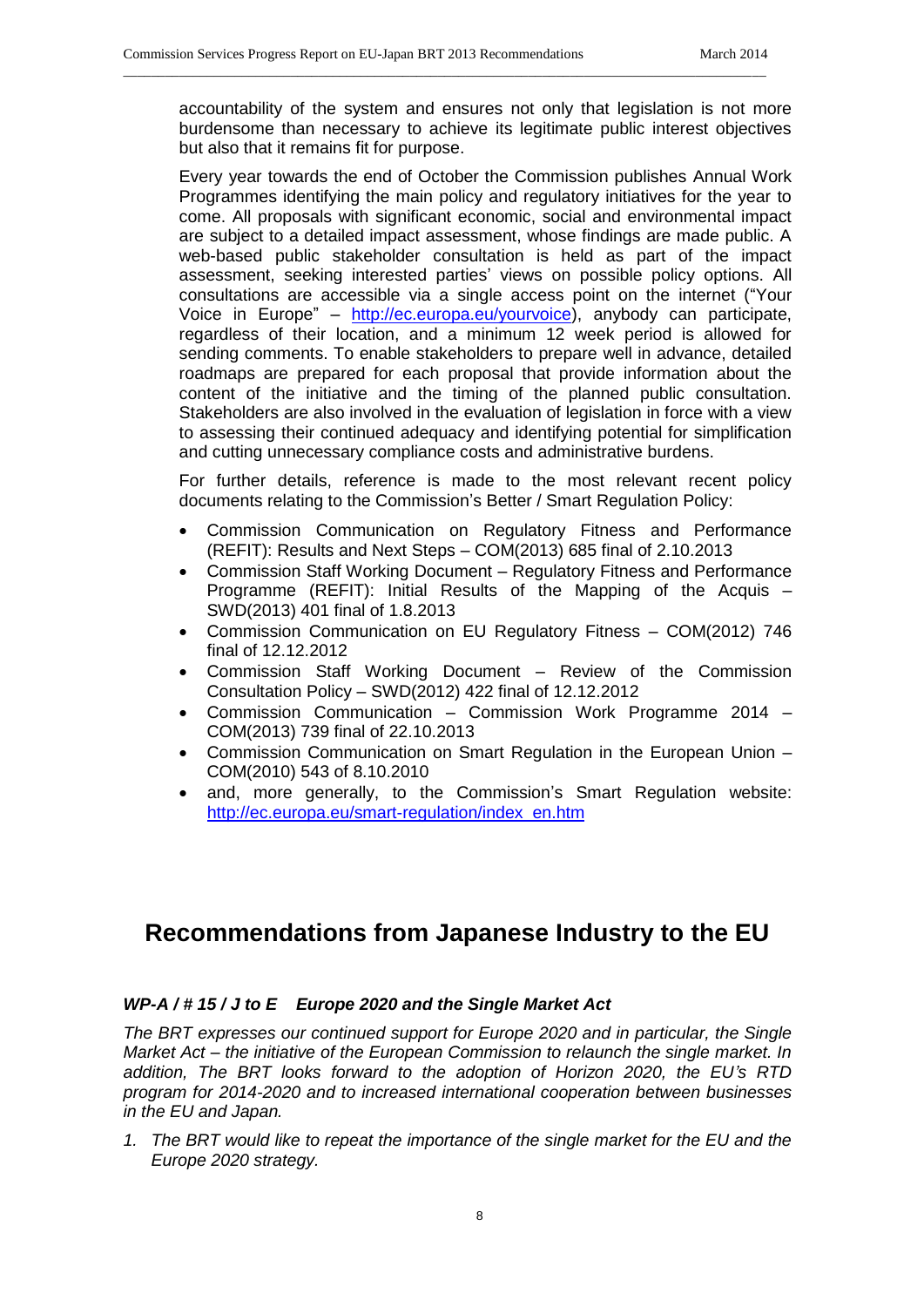accountability of the system and ensures not only that legislation is not more burdensome than necessary to achieve its legitimate public interest objectives but also that it remains fit for purpose.

\_\_\_\_\_\_\_\_\_\_\_\_\_\_\_\_\_\_\_\_\_\_\_\_\_\_\_\_\_\_\_\_\_\_\_\_\_\_\_\_\_\_\_\_\_\_\_\_\_\_\_\_\_\_\_\_\_\_\_\_\_\_\_\_\_\_\_\_\_\_\_\_\_\_\_\_\_\_\_\_\_\_\_\_\_\_\_\_\_\_\_\_

Every year towards the end of October the Commission publishes Annual Work Programmes identifying the main policy and regulatory initiatives for the year to come. All proposals with significant economic, social and environmental impact are subject to a detailed impact assessment, whose findings are made public. A web-based public stakeholder consultation is held as part of the impact assessment, seeking interested parties' views on possible policy options. All consultations are accessible via a single access point on the internet ("Your Voice in Europe" – [http://ec.europa.eu/yourvoice\)](http://ec.europa.eu/yourvoice), anybody can participate, regardless of their location, and a minimum 12 week period is allowed for sending comments. To enable stakeholders to prepare well in advance, detailed roadmaps are prepared for each proposal that provide information about the content of the initiative and the timing of the planned public consultation. Stakeholders are also involved in the evaluation of legislation in force with a view to assessing their continued adequacy and identifying potential for simplification and cutting unnecessary compliance costs and administrative burdens.

For further details, reference is made to the most relevant recent policy documents relating to the Commission's Better / Smart Regulation Policy:

- Commission Communication on Regulatory Fitness and Performance (REFIT): Results and Next Steps – COM(2013) 685 final of 2.10.2013
- Commission Staff Working Document Regulatory Fitness and Performance Programme (REFIT): Initial Results of the Mapping of the Acquis – SWD(2013) 401 final of 1.8.2013
- Commission Communication on EU Regulatory Fitness COM(2012) 746 final of 12.12.2012
- Commission Staff Working Document Review of the Commission Consultation Policy – SWD(2012) 422 final of 12.12.2012
- Commission Communication Commission Work Programme 2014 COM(2013) 739 final of 22.10.2013
- Commission Communication on Smart Regulation in the European Union COM(2010) 543 of 8.10.2010
- and, more generally, to the Commission's Smart Regulation website: [http://ec.europa.eu/smart-regulation/index\\_en.htm](http://ec.europa.eu/smart-regulation/index_en.htm)

# **Recommendations from Japanese Industry to the EU**

# *WP-A / # 15 / J to E Europe 2020 and the Single Market Act*

*The BRT expresses our continued support for Europe 2020 and in particular, the Single Market Act – the initiative of the European Commission to relaunch the single market. In addition, The BRT looks forward to the adoption of Horizon 2020, the EU's RTD program for 2014-2020 and to increased international cooperation between businesses in the EU and Japan.*

*1. The BRT would like to repeat the importance of the single market for the EU and the Europe 2020 strategy.*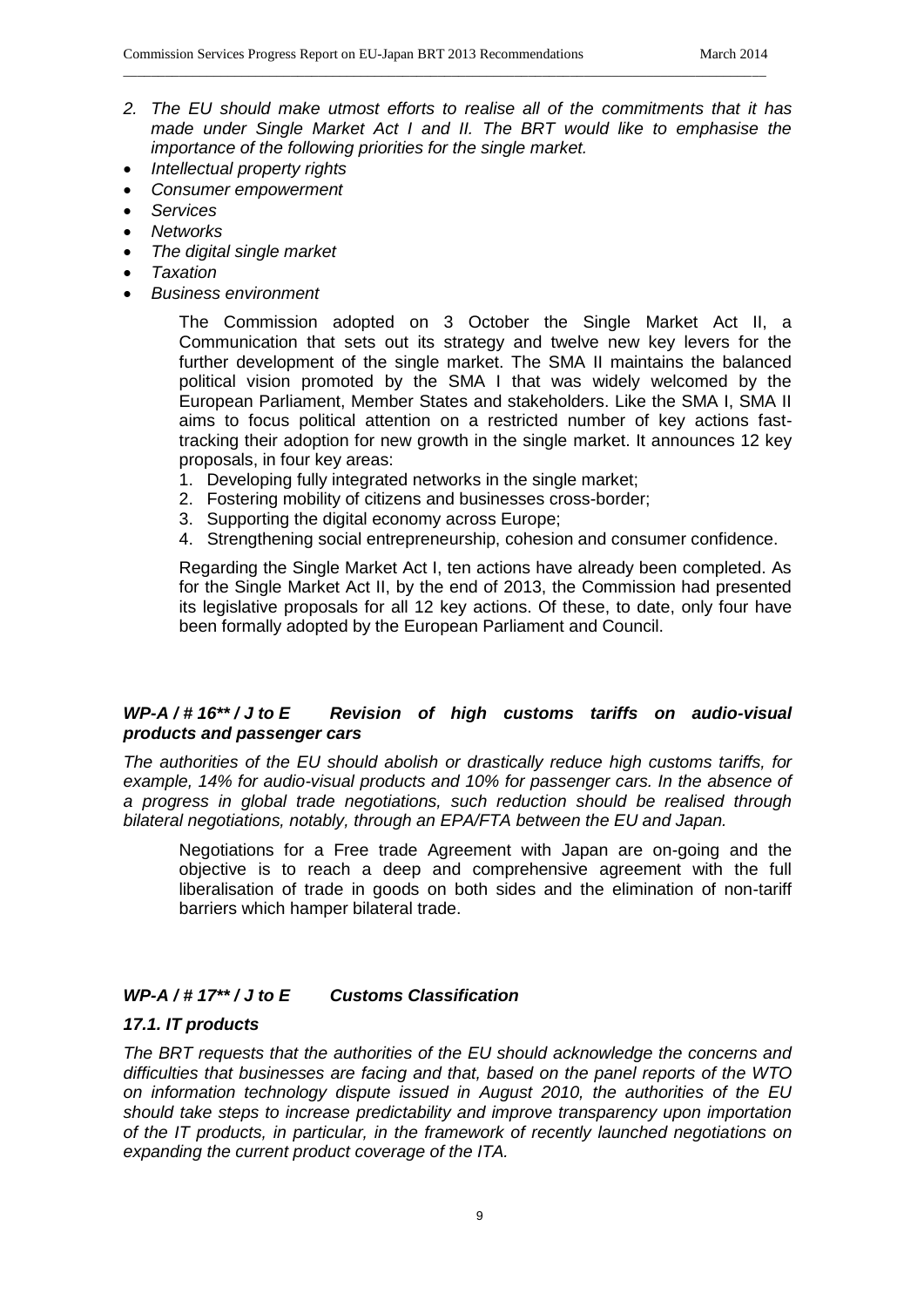*2. The EU should make utmost efforts to realise all of the commitments that it has made under Single Market Act I and II. The BRT would like to emphasise the importance of the following priorities for the single market.* 

\_\_\_\_\_\_\_\_\_\_\_\_\_\_\_\_\_\_\_\_\_\_\_\_\_\_\_\_\_\_\_\_\_\_\_\_\_\_\_\_\_\_\_\_\_\_\_\_\_\_\_\_\_\_\_\_\_\_\_\_\_\_\_\_\_\_\_\_\_\_\_\_\_\_\_\_\_\_\_\_\_\_\_\_\_\_\_\_\_\_\_\_

- *Intellectual property rights*
- *Consumer empowerment*
- *Services*
- *Networks*
- *The digital single market*
- *Taxation*
- *Business environment*

The Commission adopted on 3 October the Single Market Act II, a Communication that sets out its strategy and twelve new key levers for the further development of the single market. The SMA II maintains the balanced political vision promoted by the SMA I that was widely welcomed by the European Parliament, Member States and stakeholders. Like the SMA I, SMA II aims to focus political attention on a restricted number of key actions fasttracking their adoption for new growth in the single market. It announces 12 key proposals, in four key areas:

- 1. Developing fully integrated networks in the single market;
- 2. Fostering mobility of citizens and businesses cross-border;
- 3. Supporting the digital economy across Europe;
- 4. Strengthening social entrepreneurship, cohesion and consumer confidence.

Regarding the Single Market Act I, ten actions have already been completed. As for the Single Market Act II, by the end of 2013, the Commission had presented its legislative proposals for all 12 key actions. Of these, to date, only four have been formally adopted by the European Parliament and Council.

# *WP-A / # 16\*\* / J to E Revision of high customs tariffs on audio-visual products and passenger cars*

*The authorities of the EU should abolish or drastically reduce high customs tariffs, for example, 14% for audio-visual products and 10% for passenger cars. In the absence of a progress in global trade negotiations, such reduction should be realised through bilateral negotiations, notably, through an EPA/FTA between the EU and Japan.*

Negotiations for a Free trade Agreement with Japan are on-going and the objective is to reach a deep and comprehensive agreement with the full liberalisation of trade in goods on both sides and the elimination of non-tariff barriers which hamper bilateral trade.

# *WP-A / # 17\*\* / J to E Customs Classification*

#### *17.1. IT products*

*The BRT requests that the authorities of the EU should acknowledge the concerns and difficulties that businesses are facing and that, based on the panel reports of the WTO on information technology dispute issued in August 2010, the authorities of the EU should take steps to increase predictability and improve transparency upon importation of the IT products, in particular, in the framework of recently launched negotiations on expanding the current product coverage of the ITA.*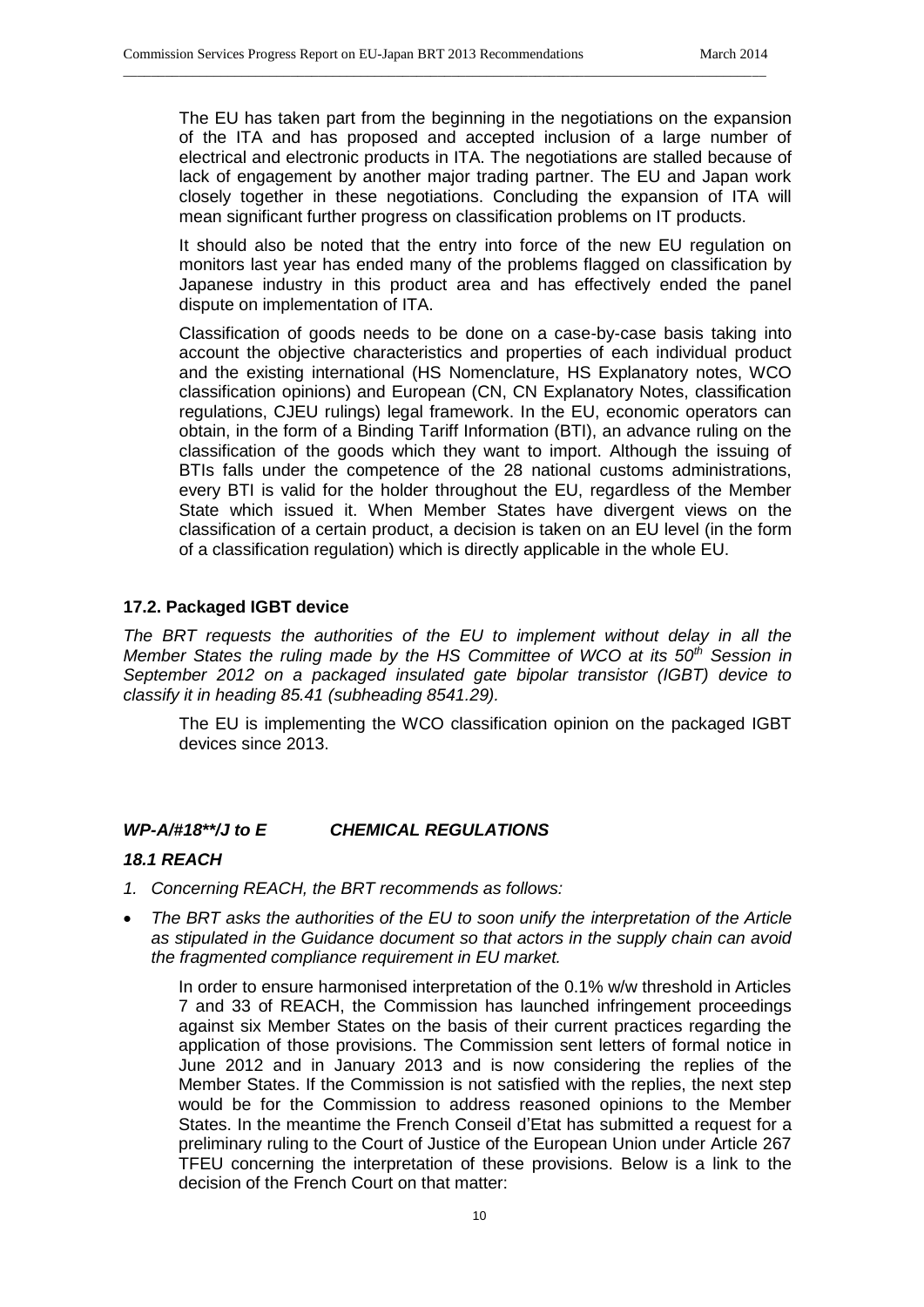The EU has taken part from the beginning in the negotiations on the expansion of the ITA and has proposed and accepted inclusion of a large number of electrical and electronic products in ITA. The negotiations are stalled because of lack of engagement by another major trading partner. The EU and Japan work closely together in these negotiations. Concluding the expansion of ITA will mean significant further progress on classification problems on IT products.

\_\_\_\_\_\_\_\_\_\_\_\_\_\_\_\_\_\_\_\_\_\_\_\_\_\_\_\_\_\_\_\_\_\_\_\_\_\_\_\_\_\_\_\_\_\_\_\_\_\_\_\_\_\_\_\_\_\_\_\_\_\_\_\_\_\_\_\_\_\_\_\_\_\_\_\_\_\_\_\_\_\_\_\_\_\_\_\_\_\_\_\_

It should also be noted that the entry into force of the new EU regulation on monitors last year has ended many of the problems flagged on classification by Japanese industry in this product area and has effectively ended the panel dispute on implementation of ITA.

Classification of goods needs to be done on a case-by-case basis taking into account the objective characteristics and properties of each individual product and the existing international (HS Nomenclature, HS Explanatory notes, WCO classification opinions) and European (CN, CN Explanatory Notes, classification regulations, CJEU rulings) legal framework. In the EU, economic operators can obtain, in the form of a Binding Tariff Information (BTI), an advance ruling on the classification of the goods which they want to import. Although the issuing of BTIs falls under the competence of the 28 national customs administrations, every BTI is valid for the holder throughout the EU, regardless of the Member State which issued it. When Member States have divergent views on the classification of a certain product, a decision is taken on an EU level (in the form of a classification regulation) which is directly applicable in the whole EU.

## **17.2. Packaged IGBT device**

*The BRT requests the authorities of the EU to implement without delay in all the Member States the ruling made by the HS Committee of WCO at its 50th Session in September 2012 on a packaged insulated gate bipolar transistor (IGBT) device to classify it in heading 85.41 (subheading 8541.29).*

The EU is implementing the WCO classification opinion on the packaged IGBT devices since 2013.

# *WP-A/#18\*\*/J to E CHEMICAL REGULATIONS*

#### *18.1 REACH*

- *1. Concerning REACH, the BRT recommends as follows:*
- *The BRT asks the authorities of the EU to soon unify the interpretation of the Article as stipulated in the Guidance document so that actors in the supply chain can avoid the fragmented compliance requirement in EU market.*

In order to ensure harmonised interpretation of the 0.1% w/w threshold in Articles 7 and 33 of REACH, the Commission has launched infringement proceedings against six Member States on the basis of their current practices regarding the application of those provisions. The Commission sent letters of formal notice in June 2012 and in January 2013 and is now considering the replies of the Member States. If the Commission is not satisfied with the replies, the next step would be for the Commission to address reasoned opinions to the Member States. In the meantime the French Conseil d'Etat has submitted a request for a preliminary ruling to the Court of Justice of the European Union under Article 267 TFEU concerning the interpretation of these provisions. Below is a link to the decision of the French Court on that matter: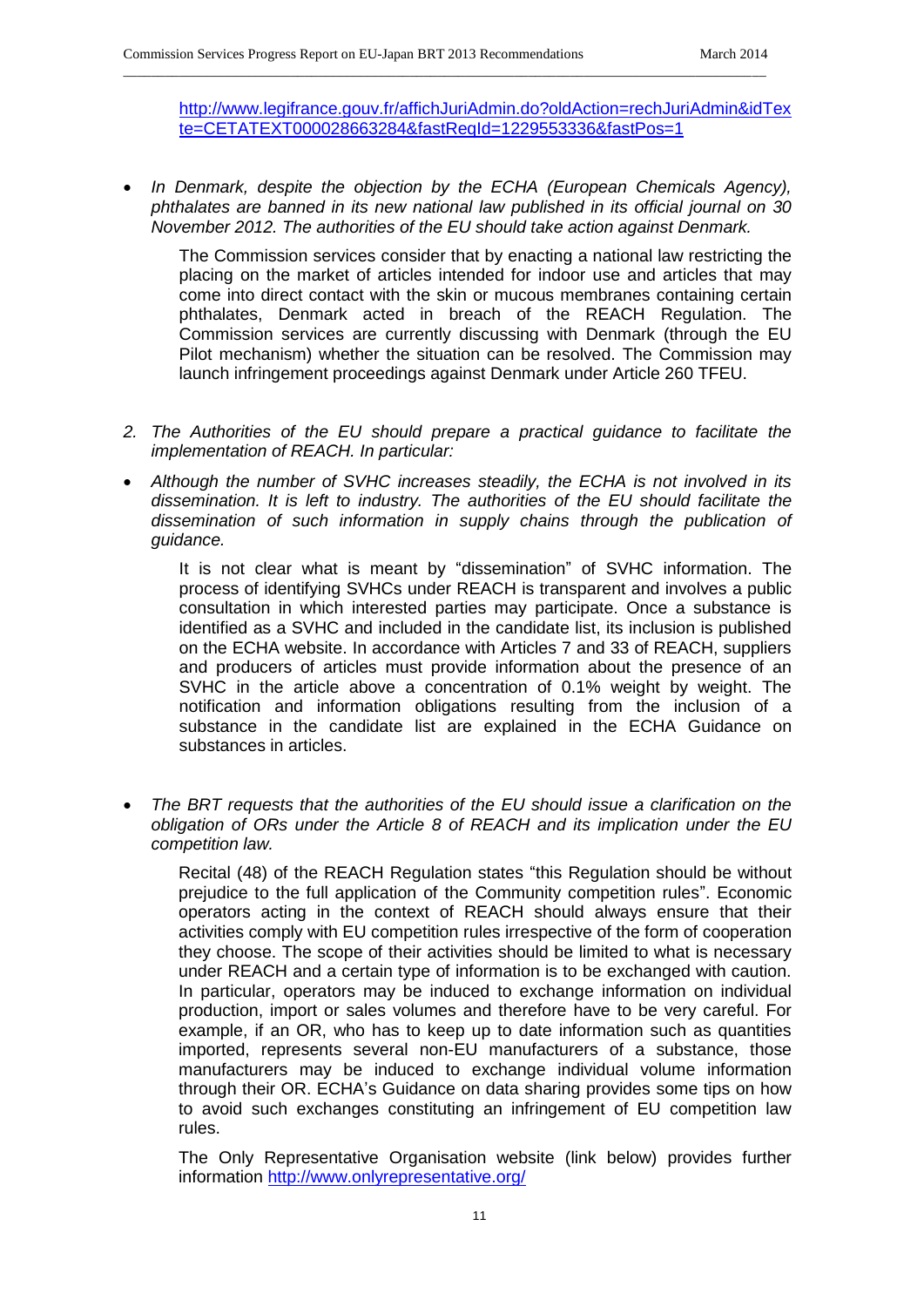[http://www.legifrance.gouv.fr/affichJuriAdmin.do?oldAction=rechJuriAdmin&idTex](http://www.legifrance.gouv.fr/affichJuriAdmin.do?oldAction=rechJuriAdmin&idTexte=CETATEXT000028663284&fastReqId=1229553336&fastPos=1) [te=CETATEXT000028663284&fastReqId=1229553336&fastPos=1](http://www.legifrance.gouv.fr/affichJuriAdmin.do?oldAction=rechJuriAdmin&idTexte=CETATEXT000028663284&fastReqId=1229553336&fastPos=1)

 *In Denmark, despite the objection by the ECHA (European Chemicals Agency), phthalates are banned in its new national law published in its official journal on 30 November 2012. The authorities of the EU should take action against Denmark.* 

\_\_\_\_\_\_\_\_\_\_\_\_\_\_\_\_\_\_\_\_\_\_\_\_\_\_\_\_\_\_\_\_\_\_\_\_\_\_\_\_\_\_\_\_\_\_\_\_\_\_\_\_\_\_\_\_\_\_\_\_\_\_\_\_\_\_\_\_\_\_\_\_\_\_\_\_\_\_\_\_\_\_\_\_\_\_\_\_\_\_\_\_

The Commission services consider that by enacting a national law restricting the placing on the market of articles intended for indoor use and articles that may come into direct contact with the skin or mucous membranes containing certain phthalates, Denmark acted in breach of the REACH Regulation. The Commission services are currently discussing with Denmark (through the EU Pilot mechanism) whether the situation can be resolved. The Commission may launch infringement proceedings against Denmark under Article 260 TFEU.

- *2. The Authorities of the EU should prepare a practical guidance to facilitate the implementation of REACH. In particular:*
- *Although the number of SVHC increases steadily, the ECHA is not involved in its dissemination. It is left to industry. The authorities of the EU should facilitate the dissemination of such information in supply chains through the publication of guidance.*

It is not clear what is meant by "dissemination" of SVHC information. The process of identifying SVHCs under REACH is transparent and involves a public consultation in which interested parties may participate. Once a substance is identified as a SVHC and included in the candidate list, its inclusion is published on the ECHA website. In accordance with Articles 7 and 33 of REACH, suppliers and producers of articles must provide information about the presence of an SVHC in the article above a concentration of 0.1% weight by weight. The notification and information obligations resulting from the inclusion of a substance in the candidate list are explained in the ECHA Guidance on substances in articles.

 *The BRT requests that the authorities of the EU should issue a clarification on the obligation of ORs under the Article 8 of REACH and its implication under the EU competition law.*

Recital (48) of the REACH Regulation states "this Regulation should be without prejudice to the full application of the Community competition rules". Economic operators acting in the context of REACH should always ensure that their activities comply with EU competition rules irrespective of the form of cooperation they choose. The scope of their activities should be limited to what is necessary under REACH and a certain type of information is to be exchanged with caution. In particular, operators may be induced to exchange information on individual production, import or sales volumes and therefore have to be very careful. For example, if an OR, who has to keep up to date information such as quantities imported, represents several non-EU manufacturers of a substance, those manufacturers may be induced to exchange individual volume information through their OR. ECHA's Guidance on data sharing provides some tips on how to avoid such exchanges constituting an infringement of EU competition law rules.

The Only Representative Organisation website (link below) provides further information <http://www.onlyrepresentative.org/>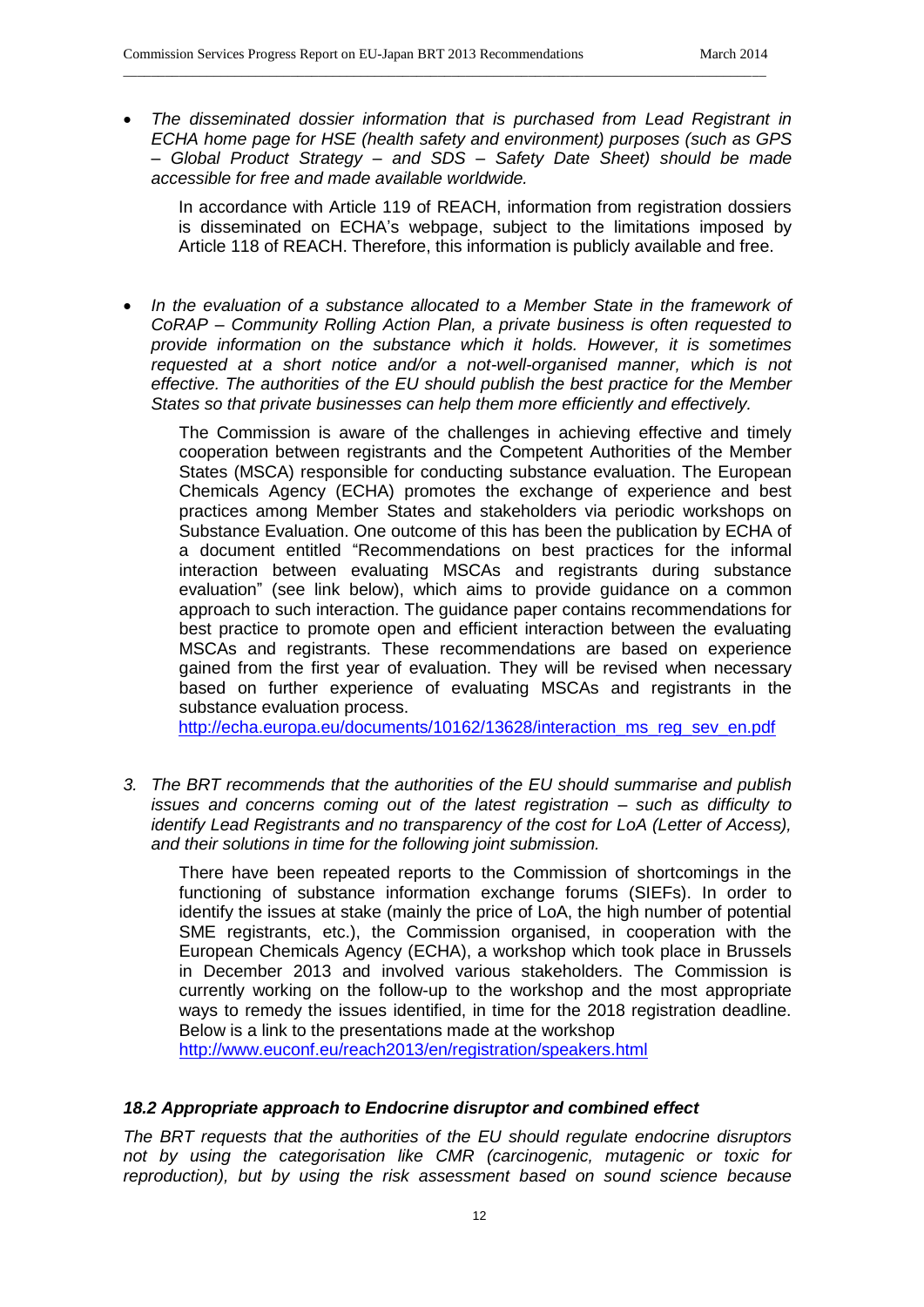*The disseminated dossier information that is purchased from Lead Registrant in ECHA home page for HSE (health safety and environment) purposes (such as GPS – Global Product Strategy – and SDS – Safety Date Sheet) should be made accessible for free and made available worldwide.* 

\_\_\_\_\_\_\_\_\_\_\_\_\_\_\_\_\_\_\_\_\_\_\_\_\_\_\_\_\_\_\_\_\_\_\_\_\_\_\_\_\_\_\_\_\_\_\_\_\_\_\_\_\_\_\_\_\_\_\_\_\_\_\_\_\_\_\_\_\_\_\_\_\_\_\_\_\_\_\_\_\_\_\_\_\_\_\_\_\_\_\_\_

In accordance with Article 119 of REACH, information from registration dossiers is disseminated on ECHA's webpage, subject to the limitations imposed by Article 118 of REACH. Therefore, this information is publicly available and free.

*In the evaluation of a substance allocated to a Member State in the framework of CoRAP – Community Rolling Action Plan, a private business is often requested to provide information on the substance which it holds. However, it is sometimes*  requested at a short notice and/or a not-well-organised manner, which is not *effective. The authorities of the EU should publish the best practice for the Member States so that private businesses can help them more efficiently and effectively.*

The Commission is aware of the challenges in achieving effective and timely cooperation between registrants and the Competent Authorities of the Member States (MSCA) responsible for conducting substance evaluation. The European Chemicals Agency (ECHA) promotes the exchange of experience and best practices among Member States and stakeholders via periodic workshops on Substance Evaluation. One outcome of this has been the publication by ECHA of a document entitled "Recommendations on best practices for the informal interaction between evaluating MSCAs and registrants during substance evaluation" (see link below), which aims to provide guidance on a common approach to such interaction. The guidance paper contains recommendations for best practice to promote open and efficient interaction between the evaluating MSCAs and registrants. These recommendations are based on experience gained from the first year of evaluation. They will be revised when necessary based on further experience of evaluating MSCAs and registrants in the substance evaluation process.

[http://echa.europa.eu/documents/10162/13628/interaction\\_ms\\_reg\\_sev\\_en.pdf](http://echa.europa.eu/documents/10162/13628/interaction_ms_reg_sev_en.pdf)

*3. The BRT recommends that the authorities of the EU should summarise and publish issues and concerns coming out of the latest registration – such as difficulty to identify Lead Registrants and no transparency of the cost for LoA (Letter of Access), and their solutions in time for the following joint submission.*

There have been repeated reports to the Commission of shortcomings in the functioning of substance information exchange forums (SIEFs). In order to identify the issues at stake (mainly the price of LoA, the high number of potential SME registrants, etc.), the Commission organised, in cooperation with the European Chemicals Agency (ECHA), a workshop which took place in Brussels in December 2013 and involved various stakeholders. The Commission is currently working on the follow-up to the workshop and the most appropriate ways to remedy the issues identified, in time for the 2018 registration deadline. Below is a link to the presentations made at the workshop

<http://www.euconf.eu/reach2013/en/registration/speakers.html>

# *18.2 Appropriate approach to Endocrine disruptor and combined effect*

*The BRT requests that the authorities of the EU should regulate endocrine disruptors not by using the categorisation like CMR (carcinogenic, mutagenic or toxic for reproduction), but by using the risk assessment based on sound science because*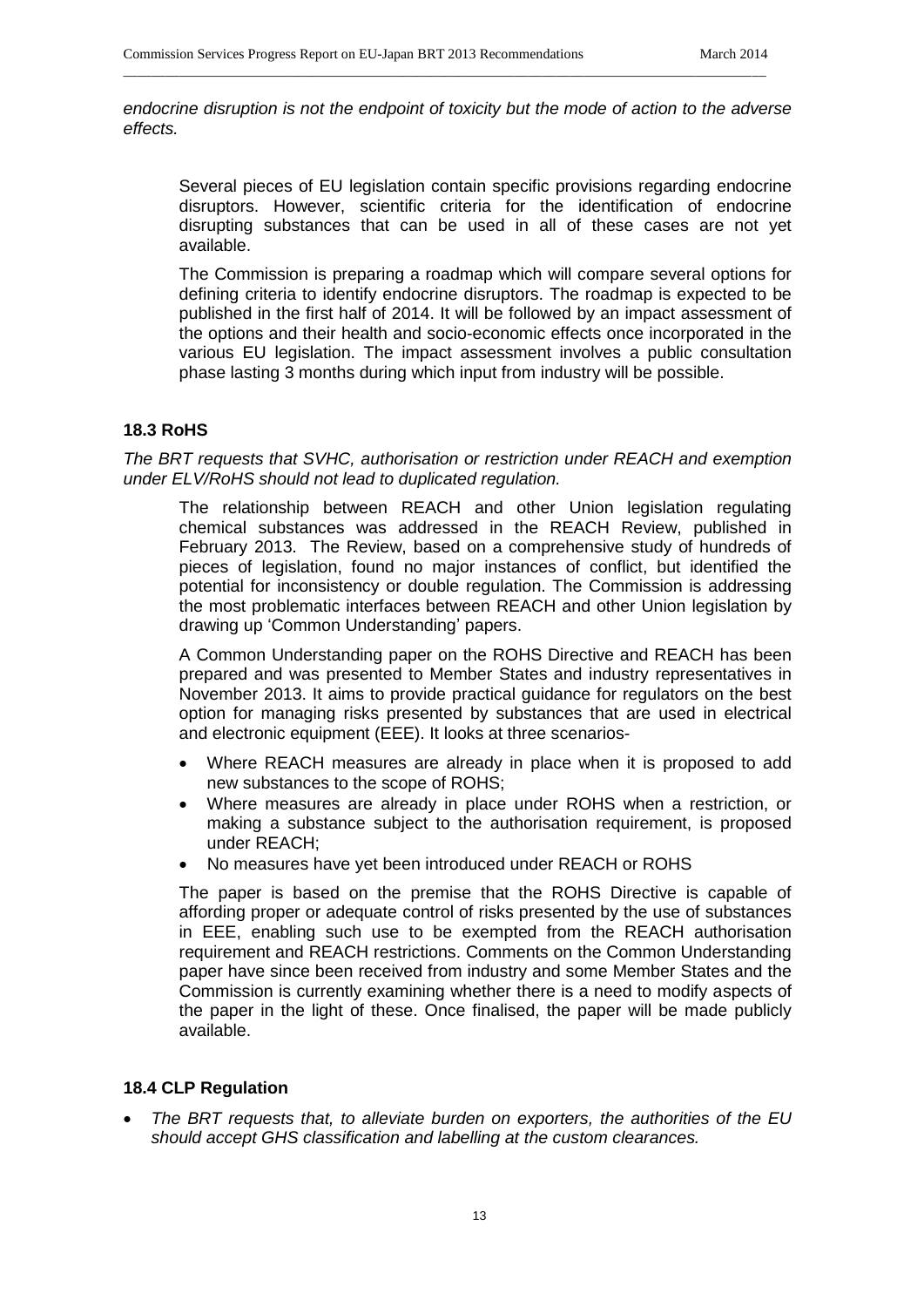*endocrine disruption is not the endpoint of toxicity but the mode of action to the adverse effects.*

\_\_\_\_\_\_\_\_\_\_\_\_\_\_\_\_\_\_\_\_\_\_\_\_\_\_\_\_\_\_\_\_\_\_\_\_\_\_\_\_\_\_\_\_\_\_\_\_\_\_\_\_\_\_\_\_\_\_\_\_\_\_\_\_\_\_\_\_\_\_\_\_\_\_\_\_\_\_\_\_\_\_\_\_\_\_\_\_\_\_\_\_

Several pieces of EU legislation contain specific provisions regarding endocrine disruptors. However, scientific criteria for the identification of endocrine disrupting substances that can be used in all of these cases are not yet available.

The Commission is preparing a roadmap which will compare several options for defining criteria to identify endocrine disruptors. The roadmap is expected to be published in the first half of 2014. It will be followed by an impact assessment of the options and their health and socio-economic effects once incorporated in the various EU legislation. The impact assessment involves a public consultation phase lasting 3 months during which input from industry will be possible.

## **18.3 RoHS**

*The BRT requests that SVHC, authorisation or restriction under REACH and exemption under ELV/RoHS should not lead to duplicated regulation.*

The relationship between REACH and other Union legislation regulating chemical substances was addressed in the REACH Review, published in February 2013. The Review, based on a comprehensive study of hundreds of pieces of legislation, found no major instances of conflict, but identified the potential for inconsistency or double regulation. The Commission is addressing the most problematic interfaces between REACH and other Union legislation by drawing up 'Common Understanding' papers.

A Common Understanding paper on the ROHS Directive and REACH has been prepared and was presented to Member States and industry representatives in November 2013. It aims to provide practical guidance for regulators on the best option for managing risks presented by substances that are used in electrical and electronic equipment (EEE). It looks at three scenarios-

- Where REACH measures are already in place when it is proposed to add new substances to the scope of ROHS;
- Where measures are already in place under ROHS when a restriction, or making a substance subject to the authorisation requirement, is proposed under REACH;
- No measures have yet been introduced under REACH or ROHS

The paper is based on the premise that the ROHS Directive is capable of affording proper or adequate control of risks presented by the use of substances in EEE, enabling such use to be exempted from the REACH authorisation requirement and REACH restrictions. Comments on the Common Understanding paper have since been received from industry and some Member States and the Commission is currently examining whether there is a need to modify aspects of the paper in the light of these. Once finalised, the paper will be made publicly available.

#### **18.4 CLP Regulation**

 *The BRT requests that, to alleviate burden on exporters, the authorities of the EU should accept GHS classification and labelling at the custom clearances.*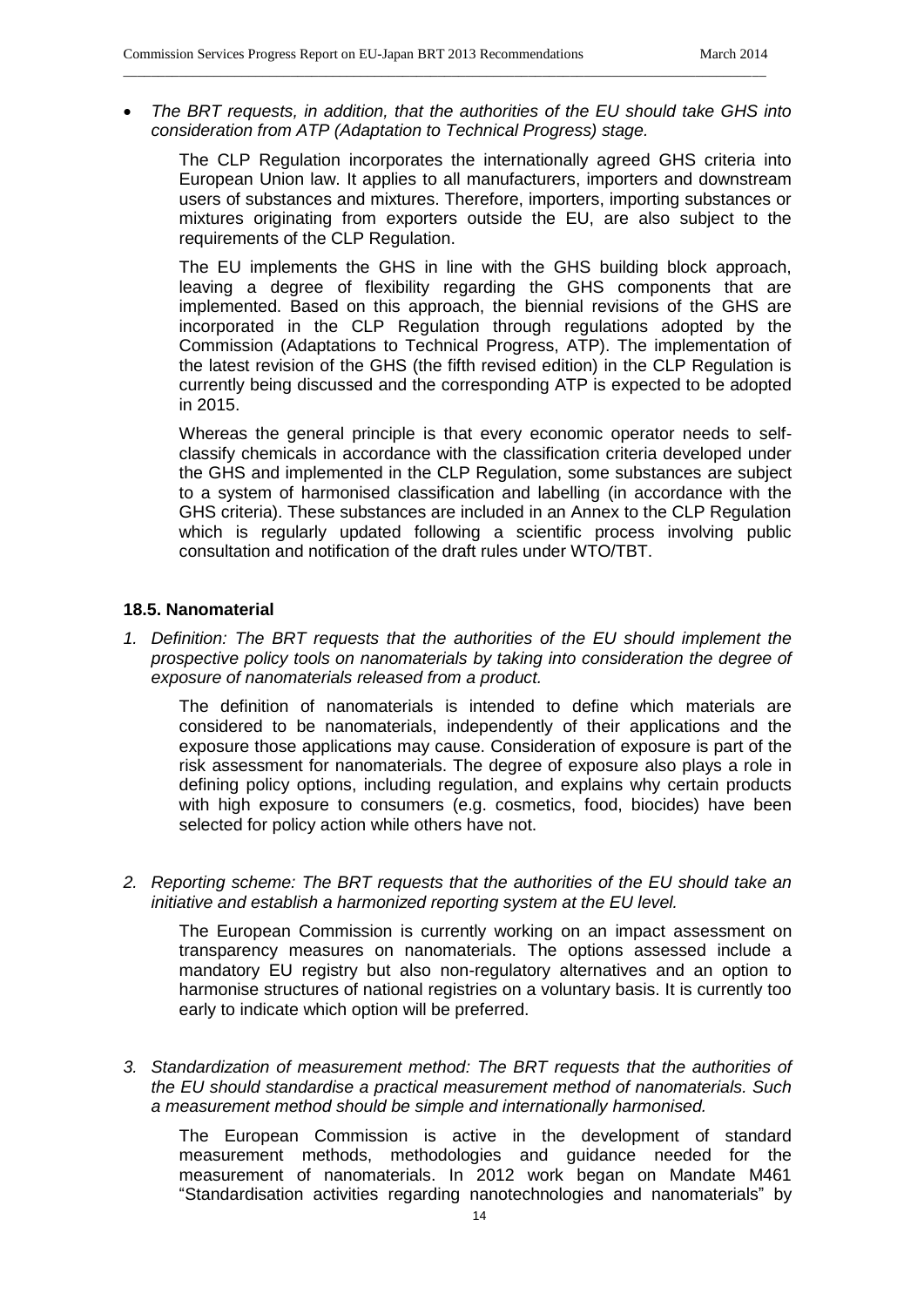*The BRT requests, in addition, that the authorities of the EU should take GHS into consideration from ATP (Adaptation to Technical Progress) stage.* 

\_\_\_\_\_\_\_\_\_\_\_\_\_\_\_\_\_\_\_\_\_\_\_\_\_\_\_\_\_\_\_\_\_\_\_\_\_\_\_\_\_\_\_\_\_\_\_\_\_\_\_\_\_\_\_\_\_\_\_\_\_\_\_\_\_\_\_\_\_\_\_\_\_\_\_\_\_\_\_\_\_\_\_\_\_\_\_\_\_\_\_\_

The CLP Regulation incorporates the internationally agreed GHS criteria into European Union law. It applies to all manufacturers, importers and downstream users of substances and mixtures. Therefore, importers, importing substances or mixtures originating from exporters outside the EU, are also subject to the requirements of the CLP Regulation.

The EU implements the GHS in line with the GHS building block approach, leaving a degree of flexibility regarding the GHS components that are implemented. Based on this approach, the biennial revisions of the GHS are incorporated in the CLP Regulation through regulations adopted by the Commission (Adaptations to Technical Progress, ATP). The implementation of the latest revision of the GHS (the fifth revised edition) in the CLP Regulation is currently being discussed and the corresponding ATP is expected to be adopted in 2015.

Whereas the general principle is that every economic operator needs to selfclassify chemicals in accordance with the classification criteria developed under the GHS and implemented in the CLP Regulation, some substances are subject to a system of harmonised classification and labelling (in accordance with the GHS criteria). These substances are included in an Annex to the CLP Regulation which is regularly updated following a scientific process involving public consultation and notification of the draft rules under WTO/TBT.

#### **18.5. Nanomaterial**

*1. Definition: The BRT requests that the authorities of the EU should implement the prospective policy tools on nanomaterials by taking into consideration the degree of exposure of nanomaterials released from a product.* 

The definition of nanomaterials is intended to define which materials are considered to be nanomaterials, independently of their applications and the exposure those applications may cause. Consideration of exposure is part of the risk assessment for nanomaterials. The degree of exposure also plays a role in defining policy options, including regulation, and explains why certain products with high exposure to consumers (e.g. cosmetics, food, biocides) have been selected for policy action while others have not.

*2. Reporting scheme: The BRT requests that the authorities of the EU should take an initiative and establish a harmonized reporting system at the EU level.* 

The European Commission is currently working on an impact assessment on transparency measures on nanomaterials. The options assessed include a mandatory EU registry but also non-regulatory alternatives and an option to harmonise structures of national registries on a voluntary basis. It is currently too early to indicate which option will be preferred.

*3. Standardization of measurement method: The BRT requests that the authorities of the EU should standardise a practical measurement method of nanomaterials. Such a measurement method should be simple and internationally harmonised.*

The European Commission is active in the development of standard measurement methods, methodologies and guidance needed for the measurement of nanomaterials. In 2012 work began on Mandate M461 "Standardisation activities regarding nanotechnologies and nanomaterials" by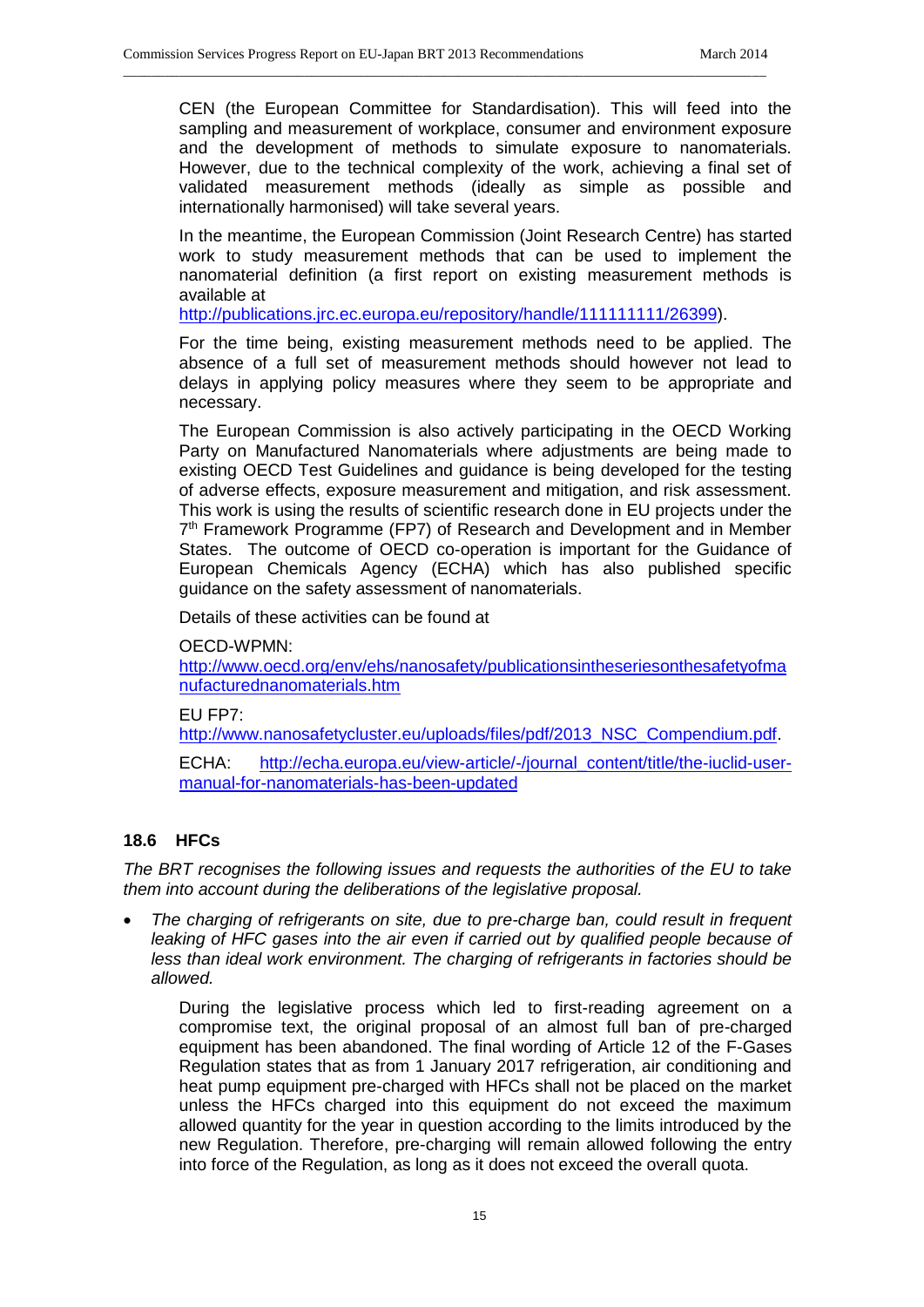CEN (the European Committee for Standardisation). This will feed into the sampling and measurement of workplace, consumer and environment exposure and the development of methods to simulate exposure to nanomaterials. However, due to the technical complexity of the work, achieving a final set of validated measurement methods (ideally as simple as possible and internationally harmonised) will take several years.

In the meantime, the European Commission (Joint Research Centre) has started work to study measurement methods that can be used to implement the nanomaterial definition (a first report on existing measurement methods is available at

[http://publications.jrc.ec.europa.eu/repository/handle/111111111/26399\)](http://publications.jrc.ec.europa.eu/repository/handle/111111111/26399).

\_\_\_\_\_\_\_\_\_\_\_\_\_\_\_\_\_\_\_\_\_\_\_\_\_\_\_\_\_\_\_\_\_\_\_\_\_\_\_\_\_\_\_\_\_\_\_\_\_\_\_\_\_\_\_\_\_\_\_\_\_\_\_\_\_\_\_\_\_\_\_\_\_\_\_\_\_\_\_\_\_\_\_\_\_\_\_\_\_\_\_\_

For the time being, existing measurement methods need to be applied. The absence of a full set of measurement methods should however not lead to delays in applying policy measures where they seem to be appropriate and necessary.

The European Commission is also actively participating in the OECD Working Party on Manufactured Nanomaterials where adjustments are being made to existing OECD Test Guidelines and guidance is being developed for the testing of adverse effects, exposure measurement and mitigation, and risk assessment. This work is using the results of scientific research done in EU projects under the 7<sup>th</sup> Framework Programme (FP7) of Research and Development and in Member States. The outcome of OECD co-operation is important for the Guidance of European Chemicals Agency (ECHA) which has also published specific guidance on the safety assessment of nanomaterials.

Details of these activities can be found at

OECD-WPMN:

[http://www.oecd.org/env/ehs/nanosafety/publicationsintheseriesonthesafetyofma](http://www.oecd.org/env/ehs/nanosafety/publicationsintheseriesonthesafetyofmanufacturednanomaterials.htm) [nufacturednanomaterials.htm](http://www.oecd.org/env/ehs/nanosafety/publicationsintheseriesonthesafetyofmanufacturednanomaterials.htm)

EU FP7:

[http://www.nanosafetycluster.eu/uploads/files/pdf/2013\\_NSC\\_Compendium.pdf.](http://www.nanosafetycluster.eu/uploads/files/pdf/2013_NSC_Compendium.pdf)

ECHA: [http://echa.europa.eu/view-article/-/journal\\_content/title/the-iuclid-user](http://echa.europa.eu/view-article/-/journal_content/title/the-iuclid-user-manual-for-nanomaterials-has-been-updated)[manual-for-nanomaterials-has-been-updated](http://echa.europa.eu/view-article/-/journal_content/title/the-iuclid-user-manual-for-nanomaterials-has-been-updated)

# **18.6 HFCs**

*The BRT recognises the following issues and requests the authorities of the EU to take them into account during the deliberations of the legislative proposal.* 

 *The charging of refrigerants on site, due to pre-charge ban, could result in frequent*  leaking of HFC gases into the air even if carried out by qualified people because of *less than ideal work environment. The charging of refrigerants in factories should be allowed.* 

During the legislative process which led to first-reading agreement on a compromise text, the original proposal of an almost full ban of pre-charged equipment has been abandoned. The final wording of Article 12 of the F-Gases Regulation states that as from 1 January 2017 refrigeration, air conditioning and heat pump equipment pre-charged with HFCs shall not be placed on the market unless the HFCs charged into this equipment do not exceed the maximum allowed quantity for the year in question according to the limits introduced by the new Regulation. Therefore, pre-charging will remain allowed following the entry into force of the Regulation, as long as it does not exceed the overall quota.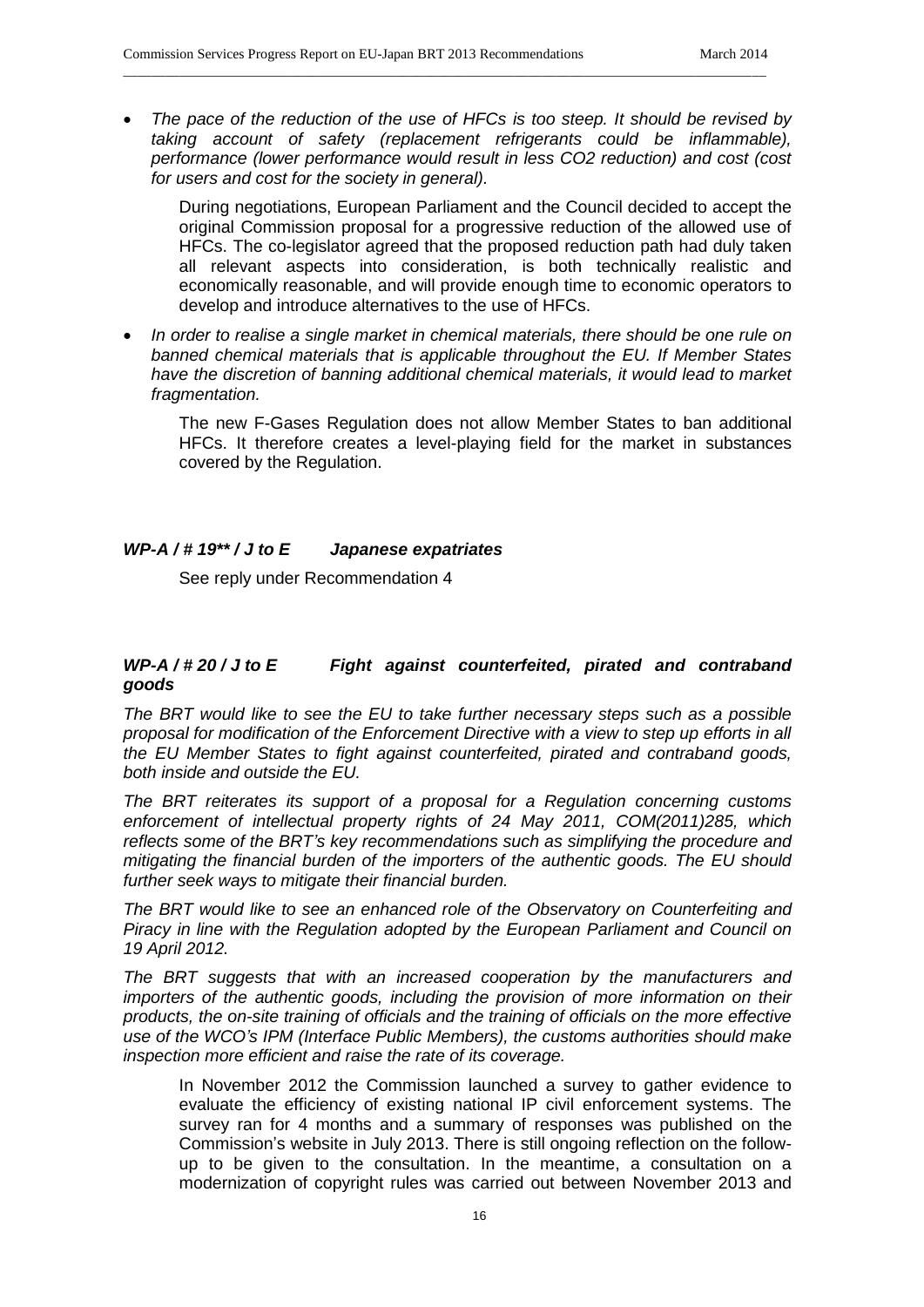*The pace of the reduction of the use of HFCs is too steep. It should be revised by taking account of safety (replacement refrigerants could be inflammable), performance (lower performance would result in less CO2 reduction) and cost (cost for users and cost for the society in general).* 

\_\_\_\_\_\_\_\_\_\_\_\_\_\_\_\_\_\_\_\_\_\_\_\_\_\_\_\_\_\_\_\_\_\_\_\_\_\_\_\_\_\_\_\_\_\_\_\_\_\_\_\_\_\_\_\_\_\_\_\_\_\_\_\_\_\_\_\_\_\_\_\_\_\_\_\_\_\_\_\_\_\_\_\_\_\_\_\_\_\_\_\_

During negotiations, European Parliament and the Council decided to accept the original Commission proposal for a progressive reduction of the allowed use of HFCs. The co-legislator agreed that the proposed reduction path had duly taken all relevant aspects into consideration, is both technically realistic and economically reasonable, and will provide enough time to economic operators to develop and introduce alternatives to the use of HFCs.

 *In order to realise a single market in chemical materials, there should be one rule on banned chemical materials that is applicable throughout the EU. If Member States have the discretion of banning additional chemical materials, it would lead to market fragmentation.* 

The new F-Gases Regulation does not allow Member States to ban additional HFCs. It therefore creates a level-playing field for the market in substances covered by the Regulation.

## *WP-A / # 19\*\* / J to E Japanese expatriates*

See reply under Recommendation 4

# *WP-A / # 20 / J to E Fight against counterfeited, pirated and contraband goods*

*The BRT would like to see the EU to take further necessary steps such as a possible proposal for modification of the Enforcement Directive with a view to step up efforts in all the EU Member States to fight against counterfeited, pirated and contraband goods, both inside and outside the EU.* 

*The BRT reiterates its support of a proposal for a Regulation concerning customs enforcement of intellectual property rights of 24 May 2011, COM(2011)285, which reflects some of the BRT's key recommendations such as simplifying the procedure and mitigating the financial burden of the importers of the authentic goods. The EU should further seek ways to mitigate their financial burden.*

*The BRT would like to see an enhanced role of the Observatory on Counterfeiting and Piracy in line with the Regulation adopted by the European Parliament and Council on 19 April 2012.*

*The BRT suggests that with an increased cooperation by the manufacturers and importers of the authentic goods, including the provision of more information on their products, the on-site training of officials and the training of officials on the more effective use of the WCO's IPM (Interface Public Members), the customs authorities should make inspection more efficient and raise the rate of its coverage.*

In November 2012 the Commission launched a survey to gather evidence to evaluate the efficiency of existing national IP civil enforcement systems. The survey ran for 4 months and a summary of responses was published on the Commission's website in July 2013. There is still ongoing reflection on the followup to be given to the consultation. In the meantime, a consultation on a modernization of copyright rules was carried out between November 2013 and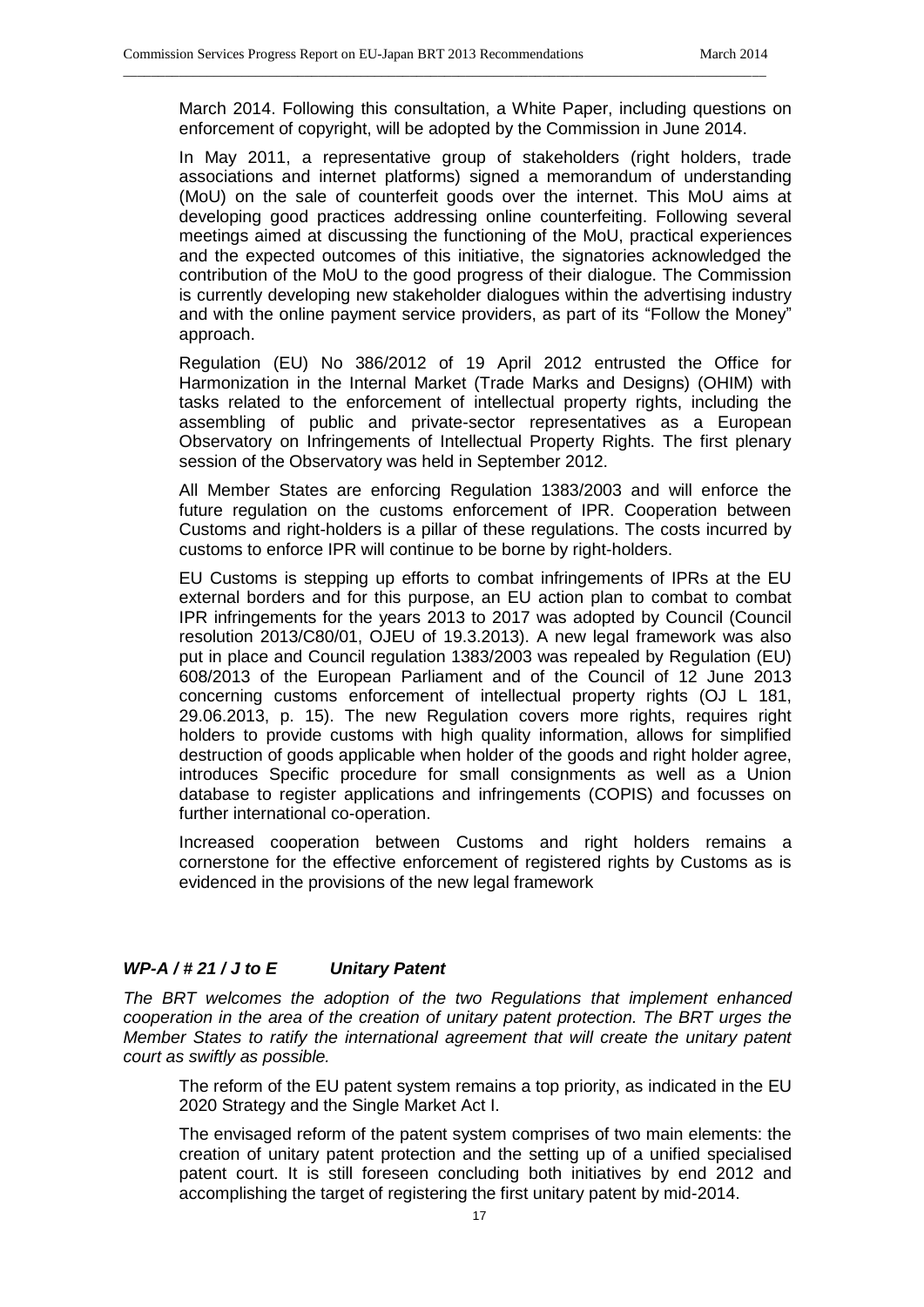March 2014. Following this consultation, a White Paper, including questions on enforcement of copyright, will be adopted by the Commission in June 2014.

\_\_\_\_\_\_\_\_\_\_\_\_\_\_\_\_\_\_\_\_\_\_\_\_\_\_\_\_\_\_\_\_\_\_\_\_\_\_\_\_\_\_\_\_\_\_\_\_\_\_\_\_\_\_\_\_\_\_\_\_\_\_\_\_\_\_\_\_\_\_\_\_\_\_\_\_\_\_\_\_\_\_\_\_\_\_\_\_\_\_\_\_

In May 2011, a representative group of stakeholders (right holders, trade associations and internet platforms) signed a memorandum of understanding (MoU) on the sale of counterfeit goods over the internet. This MoU aims at developing good practices addressing online counterfeiting. Following several meetings aimed at discussing the functioning of the MoU, practical experiences and the expected outcomes of this initiative, the signatories acknowledged the contribution of the MoU to the good progress of their dialogue. The Commission is currently developing new stakeholder dialogues within the advertising industry and with the online payment service providers, as part of its "Follow the Money" approach.

Regulation (EU) No 386/2012 of 19 April 2012 entrusted the Office for Harmonization in the Internal Market (Trade Marks and Designs) (OHIM) with tasks related to the enforcement of intellectual property rights, including the assembling of public and private-sector representatives as a European Observatory on Infringements of Intellectual Property Rights. The first plenary session of the Observatory was held in September 2012.

All Member States are enforcing Regulation 1383/2003 and will enforce the future regulation on the customs enforcement of IPR. Cooperation between Customs and right-holders is a pillar of these regulations. The costs incurred by customs to enforce IPR will continue to be borne by right-holders.

EU Customs is stepping up efforts to combat infringements of IPRs at the EU external borders and for this purpose, an EU action plan to combat to combat IPR infringements for the years 2013 to 2017 was adopted by Council (Council resolution 2013/C80/01, OJEU of 19.3.2013). A new legal framework was also put in place and Council regulation 1383/2003 was repealed by Regulation (EU) 608/2013 of the European Parliament and of the Council of 12 June 2013 concerning customs enforcement of intellectual property rights (OJ L 181, 29.06.2013, p. 15). The new Regulation covers more rights, requires right holders to provide customs with high quality information, allows for simplified destruction of goods applicable when holder of the goods and right holder agree, introduces Specific procedure for small consignments as well as a Union database to register applications and infringements (COPIS) and focusses on further international co-operation.

Increased cooperation between Customs and right holders remains a cornerstone for the effective enforcement of registered rights by Customs as is evidenced in the provisions of the new legal framework

#### *WP-A / # 21 / J to E Unitary Patent*

*The BRT welcomes the adoption of the two Regulations that implement enhanced cooperation in the area of the creation of unitary patent protection. The BRT urges the Member States to ratify the international agreement that will create the unitary patent court as swiftly as possible.* 

The reform of the EU patent system remains a top priority, as indicated in the EU 2020 Strategy and the Single Market Act I.

The envisaged reform of the patent system comprises of two main elements: the creation of unitary patent protection and the setting up of a unified specialised patent court. It is still foreseen concluding both initiatives by end 2012 and accomplishing the target of registering the first unitary patent by mid-2014.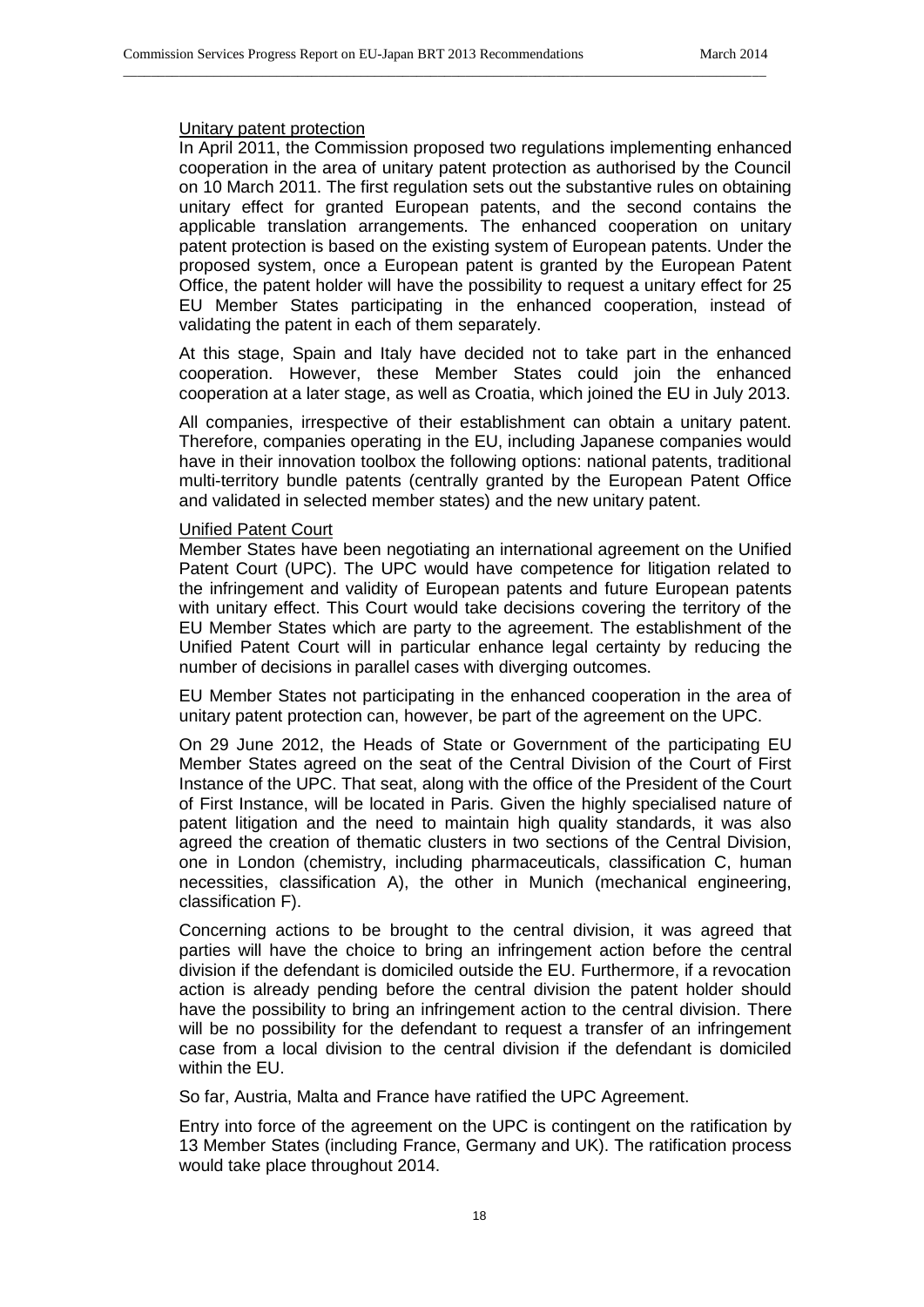## Unitary patent protection

In April 2011, the Commission proposed two regulations implementing enhanced cooperation in the area of unitary patent protection as authorised by the Council on 10 March 2011. The first regulation sets out the substantive rules on obtaining unitary effect for granted European patents, and the second contains the applicable translation arrangements. The enhanced cooperation on unitary patent protection is based on the existing system of European patents. Under the proposed system, once a European patent is granted by the European Patent Office, the patent holder will have the possibility to request a unitary effect for 25 EU Member States participating in the enhanced cooperation, instead of validating the patent in each of them separately.

\_\_\_\_\_\_\_\_\_\_\_\_\_\_\_\_\_\_\_\_\_\_\_\_\_\_\_\_\_\_\_\_\_\_\_\_\_\_\_\_\_\_\_\_\_\_\_\_\_\_\_\_\_\_\_\_\_\_\_\_\_\_\_\_\_\_\_\_\_\_\_\_\_\_\_\_\_\_\_\_\_\_\_\_\_\_\_\_\_\_\_\_

At this stage, Spain and Italy have decided not to take part in the enhanced cooperation. However, these Member States could join the enhanced cooperation at a later stage, as well as Croatia, which joined the EU in July 2013.

All companies, irrespective of their establishment can obtain a unitary patent. Therefore, companies operating in the EU, including Japanese companies would have in their innovation toolbox the following options: national patents, traditional multi-territory bundle patents (centrally granted by the European Patent Office and validated in selected member states) and the new unitary patent.

#### Unified Patent Court

Member States have been negotiating an international agreement on the Unified Patent Court (UPC). The UPC would have competence for litigation related to the infringement and validity of European patents and future European patents with unitary effect. This Court would take decisions covering the territory of the EU Member States which are party to the agreement. The establishment of the Unified Patent Court will in particular enhance legal certainty by reducing the number of decisions in parallel cases with diverging outcomes.

EU Member States not participating in the enhanced cooperation in the area of unitary patent protection can, however, be part of the agreement on the UPC.

On 29 June 2012, the Heads of State or Government of the participating EU Member States agreed on the seat of the Central Division of the Court of First Instance of the UPC. That seat, along with the office of the President of the Court of First Instance, will be located in Paris. Given the highly specialised nature of patent litigation and the need to maintain high quality standards, it was also agreed the creation of thematic clusters in two sections of the Central Division, one in London (chemistry, including pharmaceuticals, classification C, human necessities, classification A), the other in Munich (mechanical engineering, classification F).

Concerning actions to be brought to the central division, it was agreed that parties will have the choice to bring an infringement action before the central division if the defendant is domiciled outside the EU. Furthermore, if a revocation action is already pending before the central division the patent holder should have the possibility to bring an infringement action to the central division. There will be no possibility for the defendant to request a transfer of an infringement case from a local division to the central division if the defendant is domiciled within the EU.

So far, Austria, Malta and France have ratified the UPC Agreement.

Entry into force of the agreement on the UPC is contingent on the ratification by 13 Member States (including France, Germany and UK). The ratification process would take place throughout 2014.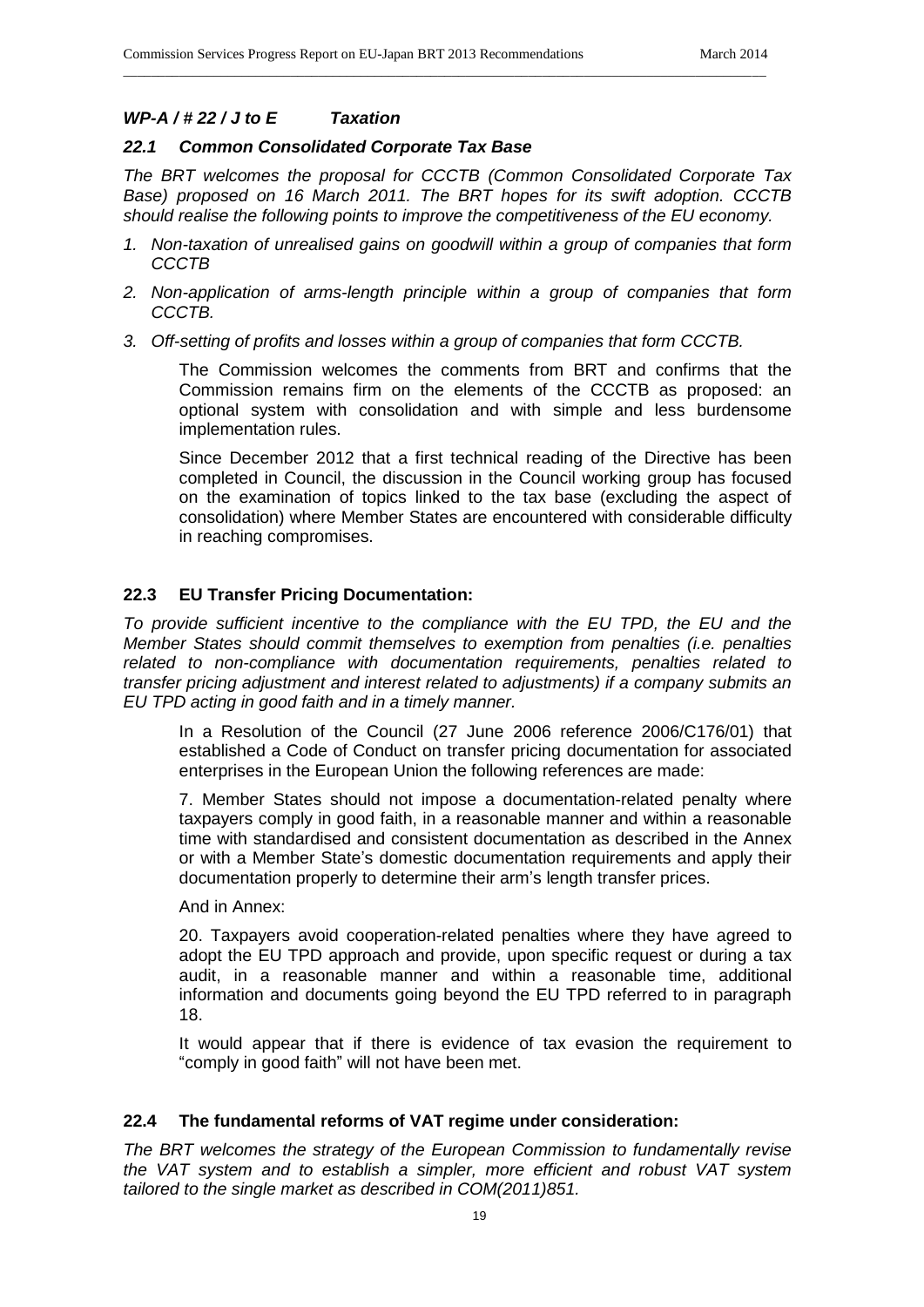# *WP-A / # 22 / J to E Taxation*

## *22.1 Common Consolidated Corporate Tax Base*

*The BRT welcomes the proposal for CCCTB (Common Consolidated Corporate Tax Base) proposed on 16 March 2011. The BRT hopes for its swift adoption. CCCTB should realise the following points to improve the competitiveness of the EU economy.*

\_\_\_\_\_\_\_\_\_\_\_\_\_\_\_\_\_\_\_\_\_\_\_\_\_\_\_\_\_\_\_\_\_\_\_\_\_\_\_\_\_\_\_\_\_\_\_\_\_\_\_\_\_\_\_\_\_\_\_\_\_\_\_\_\_\_\_\_\_\_\_\_\_\_\_\_\_\_\_\_\_\_\_\_\_\_\_\_\_\_\_\_

- *1. Non-taxation of unrealised gains on goodwill within a group of companies that form CCCTB*
- *2. Non-application of arms-length principle within a group of companies that form CCCTB.*
- *3. Off-setting of profits and losses within a group of companies that form CCCTB.*

The Commission welcomes the comments from BRT and confirms that the Commission remains firm on the elements of the CCCTB as proposed: an optional system with consolidation and with simple and less burdensome implementation rules.

Since December 2012 that a first technical reading of the Directive has been completed in Council, the discussion in the Council working group has focused on the examination of topics linked to the tax base (excluding the aspect of consolidation) where Member States are encountered with considerable difficulty in reaching compromises.

# **22.3 EU Transfer Pricing Documentation:**

*To provide sufficient incentive to the compliance with the EU TPD, the EU and the Member States should commit themselves to exemption from penalties (i.e. penalties related to non-compliance with documentation requirements, penalties related to transfer pricing adjustment and interest related to adjustments) if a company submits an EU TPD acting in good faith and in a timely manner.* 

In a Resolution of the Council (27 June 2006 reference 2006/C176/01) that established a Code of Conduct on transfer pricing documentation for associated enterprises in the European Union the following references are made:

7. Member States should not impose a documentation-related penalty where taxpayers comply in good faith, in a reasonable manner and within a reasonable time with standardised and consistent documentation as described in the Annex or with a Member State's domestic documentation requirements and apply their documentation properly to determine their arm's length transfer prices.

And in Annex:

20. Taxpayers avoid cooperation-related penalties where they have agreed to adopt the EU TPD approach and provide, upon specific request or during a tax audit, in a reasonable manner and within a reasonable time, additional information and documents going beyond the EU TPD referred to in paragraph 18.

It would appear that if there is evidence of tax evasion the requirement to "comply in good faith" will not have been met.

# **22.4 The fundamental reforms of VAT regime under consideration:**

*The BRT welcomes the strategy of the European Commission to fundamentally revise the VAT system and to establish a simpler, more efficient and robust VAT system tailored to the single market as described in COM(2011)851.*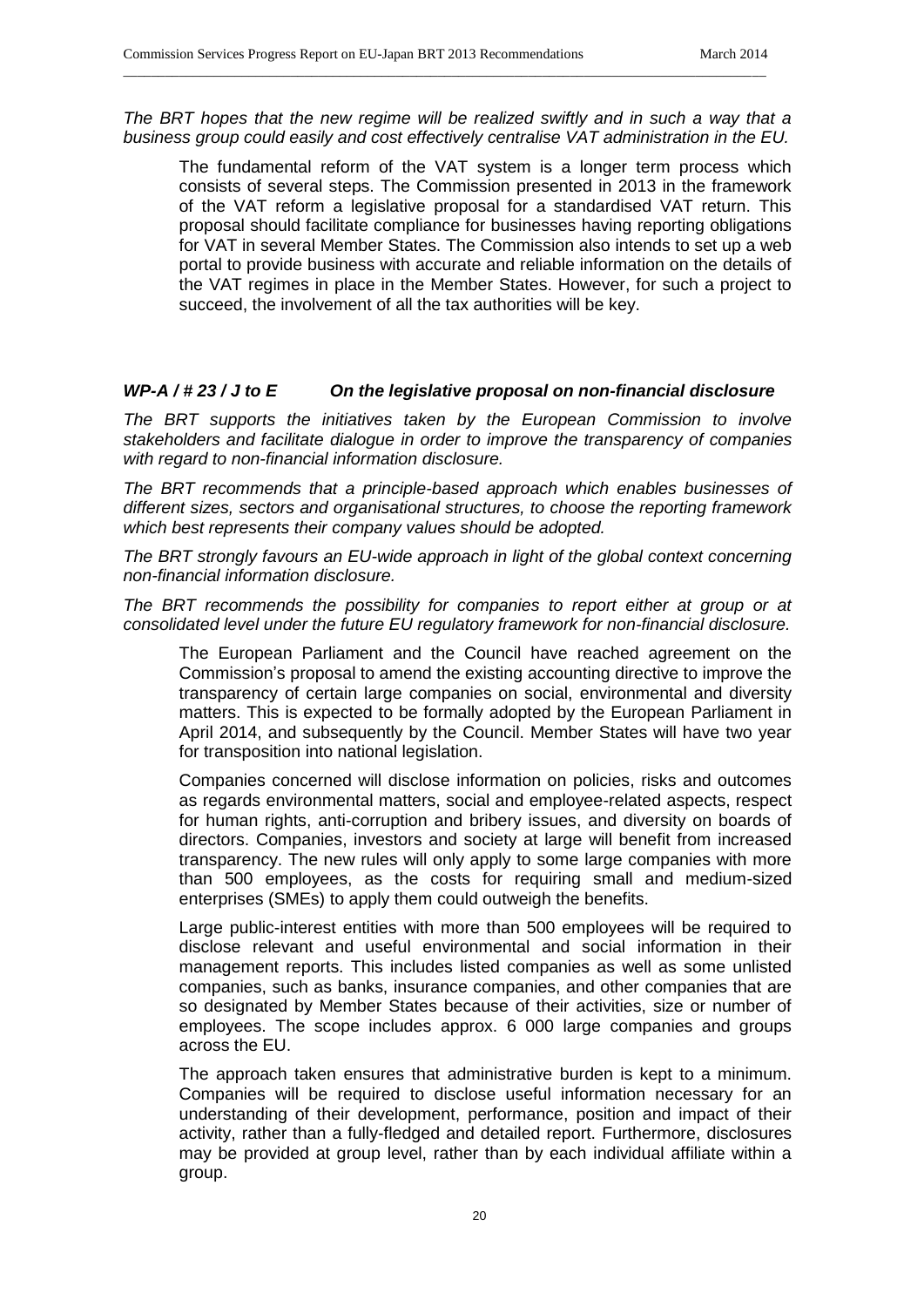The BRT hopes that the new regime will be realized swiftly and in such a way that a *business group could easily and cost effectively centralise VAT administration in the EU.*

\_\_\_\_\_\_\_\_\_\_\_\_\_\_\_\_\_\_\_\_\_\_\_\_\_\_\_\_\_\_\_\_\_\_\_\_\_\_\_\_\_\_\_\_\_\_\_\_\_\_\_\_\_\_\_\_\_\_\_\_\_\_\_\_\_\_\_\_\_\_\_\_\_\_\_\_\_\_\_\_\_\_\_\_\_\_\_\_\_\_\_\_

The fundamental reform of the VAT system is a longer term process which consists of several steps. The Commission presented in 2013 in the framework of the VAT reform a legislative proposal for a standardised VAT return. This proposal should facilitate compliance for businesses having reporting obligations for VAT in several Member States. The Commission also intends to set up a web portal to provide business with accurate and reliable information on the details of the VAT regimes in place in the Member States. However, for such a project to succeed, the involvement of all the tax authorities will be key.

## *WP-A / # 23 / J to E On the legislative proposal on non-financial disclosure*

*The BRT supports the initiatives taken by the European Commission to involve stakeholders and facilitate dialogue in order to improve the transparency of companies with regard to non-financial information disclosure.* 

*The BRT recommends that a principle-based approach which enables businesses of different sizes, sectors and organisational structures, to choose the reporting framework which best represents their company values should be adopted.*

*The BRT strongly favours an EU-wide approach in light of the global context concerning non-financial information disclosure.*

*The BRT recommends the possibility for companies to report either at group or at consolidated level under the future EU regulatory framework for non-financial disclosure.*

The European Parliament and the Council have reached agreement on the Commission's proposal to amend the existing accounting directive to improve the transparency of certain large companies on social, environmental and diversity matters. This is expected to be formally adopted by the European Parliament in April 2014, and subsequently by the Council. Member States will have two year for transposition into national legislation.

Companies concerned will disclose information on policies, risks and outcomes as regards environmental matters, social and employee-related aspects, respect for human rights, anti-corruption and bribery issues, and diversity on boards of directors. Companies, investors and society at large will benefit from increased transparency. The new rules will only apply to some large companies with more than 500 employees, as the costs for requiring small and medium-sized enterprises (SMEs) to apply them could outweigh the benefits.

Large public-interest entities with more than 500 employees will be required to disclose relevant and useful environmental and social information in their management reports. This includes listed companies as well as some unlisted companies, such as banks, insurance companies, and other companies that are so designated by Member States because of their activities, size or number of employees. The scope includes approx. 6 000 large companies and groups across the EU.

The approach taken ensures that administrative burden is kept to a minimum. Companies will be required to disclose useful information necessary for an understanding of their development, performance, position and impact of their activity, rather than a fully-fledged and detailed report. Furthermore, disclosures may be provided at group level, rather than by each individual affiliate within a group.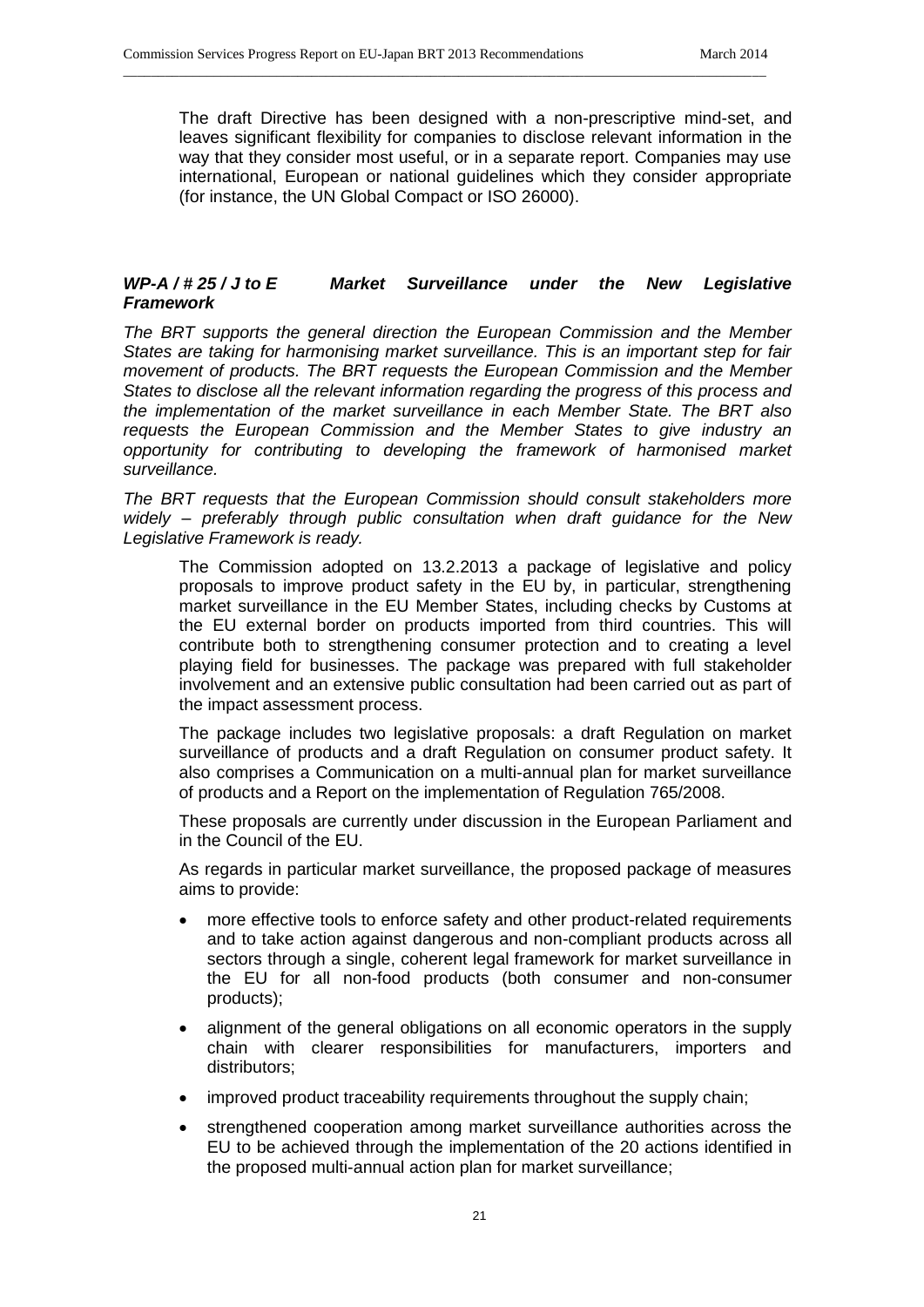The draft Directive has been designed with a non-prescriptive mind-set, and leaves significant flexibility for companies to disclose relevant information in the way that they consider most useful, or in a separate report. Companies may use international, European or national guidelines which they consider appropriate (for instance, the UN Global Compact or ISO 26000).

# *WP-A / # 25 / J to E Market Surveillance under the New Legislative Framework*

\_\_\_\_\_\_\_\_\_\_\_\_\_\_\_\_\_\_\_\_\_\_\_\_\_\_\_\_\_\_\_\_\_\_\_\_\_\_\_\_\_\_\_\_\_\_\_\_\_\_\_\_\_\_\_\_\_\_\_\_\_\_\_\_\_\_\_\_\_\_\_\_\_\_\_\_\_\_\_\_\_\_\_\_\_\_\_\_\_\_\_\_

*The BRT supports the general direction the European Commission and the Member States are taking for harmonising market surveillance. This is an important step for fair movement of products. The BRT requests the European Commission and the Member States to disclose all the relevant information regarding the progress of this process and the implementation of the market surveillance in each Member State. The BRT also requests the European Commission and the Member States to give industry an opportunity for contributing to developing the framework of harmonised market surveillance.*

*The BRT requests that the European Commission should consult stakeholders more widely – preferably through public consultation when draft guidance for the New Legislative Framework is ready.*

The Commission adopted on 13.2.2013 a package of legislative and policy proposals to improve product safety in the EU by, in particular, strengthening market surveillance in the EU Member States, including checks by Customs at the EU external border on products imported from third countries. This will contribute both to strengthening consumer protection and to creating a level playing field for businesses. The package was prepared with full stakeholder involvement and an extensive public consultation had been carried out as part of the impact assessment process.

The package includes two legislative proposals: a draft Regulation on market surveillance of products and a draft Regulation on consumer product safety. It also comprises a Communication on a multi-annual plan for market surveillance of products and a Report on the implementation of Regulation 765/2008.

These proposals are currently under discussion in the European Parliament and in the Council of the EU.

As regards in particular market surveillance, the proposed package of measures aims to provide:

- more effective tools to enforce safety and other product-related requirements and to take action against dangerous and non-compliant products across all sectors through a single, coherent legal framework for market surveillance in the EU for all non-food products (both consumer and non-consumer products);
- alignment of the general obligations on all economic operators in the supply chain with clearer responsibilities for manufacturers, importers and distributors;
- improved product traceability requirements throughout the supply chain;
- strengthened cooperation among market surveillance authorities across the EU to be achieved through the implementation of the 20 actions identified in the proposed multi-annual action plan for market surveillance;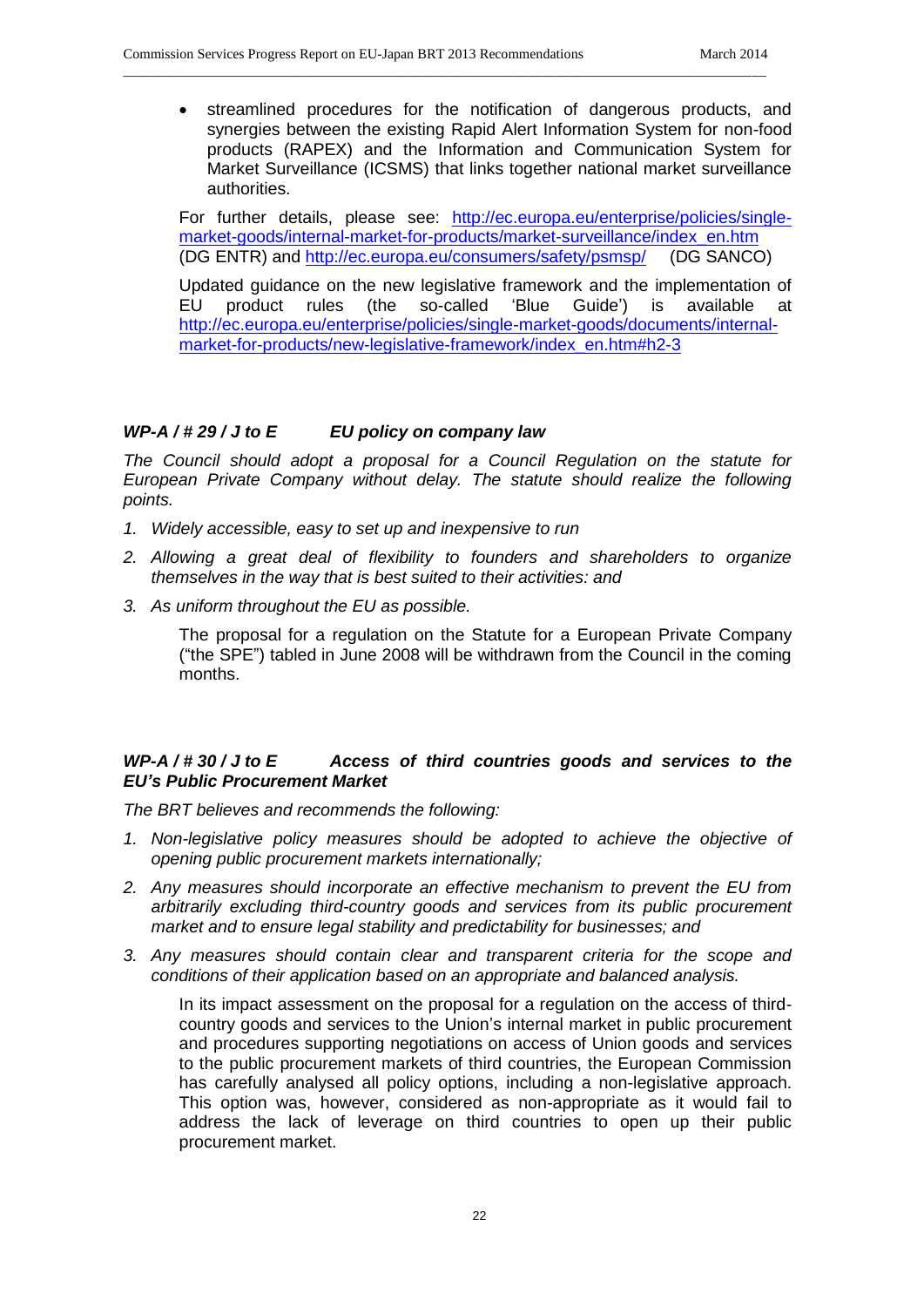streamlined procedures for the notification of dangerous products, and synergies between the existing Rapid Alert Information System for non-food products (RAPEX) and the Information and Communication System for Market Surveillance (ICSMS) that links together national market surveillance authorities.

\_\_\_\_\_\_\_\_\_\_\_\_\_\_\_\_\_\_\_\_\_\_\_\_\_\_\_\_\_\_\_\_\_\_\_\_\_\_\_\_\_\_\_\_\_\_\_\_\_\_\_\_\_\_\_\_\_\_\_\_\_\_\_\_\_\_\_\_\_\_\_\_\_\_\_\_\_\_\_\_\_\_\_\_\_\_\_\_\_\_\_\_

For further details, please see: [http://ec.europa.eu/enterprise/policies/single](http://ec.europa.eu/enterprise/policies/single-market-goods/internal-market-for-products/market-surveillance/index_en.htm)[market-goods/internal-market-for-products/market-surveillance/index\\_en.htm](http://ec.europa.eu/enterprise/policies/single-market-goods/internal-market-for-products/market-surveillance/index_en.htm)  (DG ENTR) and <http://ec.europa.eu/consumers/safety/psmsp/>(DG SANCO)

Updated guidance on the new legislative framework and the implementation of EU product rules (the so-called 'Blue Guide') is available at [http://ec.europa.eu/enterprise/policies/single-market-goods/documents/internal](http://ec.europa.eu/enterprise/policies/single-market-goods/documents/internal-market-for-products/new-legislative-framework/index_en.htm#h2-3)[market-for-products/new-legislative-framework/index\\_en.htm#h2-3](http://ec.europa.eu/enterprise/policies/single-market-goods/documents/internal-market-for-products/new-legislative-framework/index_en.htm#h2-3)

## *WP-A / # 29 / J to E EU policy on company law*

*The Council should adopt a proposal for a Council Regulation on the statute for European Private Company without delay. The statute should realize the following points.* 

- *1. Widely accessible, easy to set up and inexpensive to run*
- *2. Allowing a great deal of flexibility to founders and shareholders to organize themselves in the way that is best suited to their activities: and*
- *3. As uniform throughout the EU as possible.*

The proposal for a regulation on the Statute for a European Private Company ("the SPE") tabled in June 2008 will be withdrawn from the Council in the coming months.

## *WP-A / # 30 / J to E Access of third countries goods and services to the EU's Public Procurement Market*

*The BRT believes and recommends the following:*

- *1. Non-legislative policy measures should be adopted to achieve the objective of opening public procurement markets internationally;*
- *2. Any measures should incorporate an effective mechanism to prevent the EU from arbitrarily excluding third-country goods and services from its public procurement market and to ensure legal stability and predictability for businesses; and*
- *3. Any measures should contain clear and transparent criteria for the scope and conditions of their application based on an appropriate and balanced analysis.*

In its impact assessment on the proposal for a regulation on the access of thirdcountry goods and services to the Union's internal market in public procurement and procedures supporting negotiations on access of Union goods and services to the public procurement markets of third countries, the European Commission has carefully analysed all policy options, including a non-legislative approach. This option was, however, considered as non-appropriate as it would fail to address the lack of leverage on third countries to open up their public procurement market.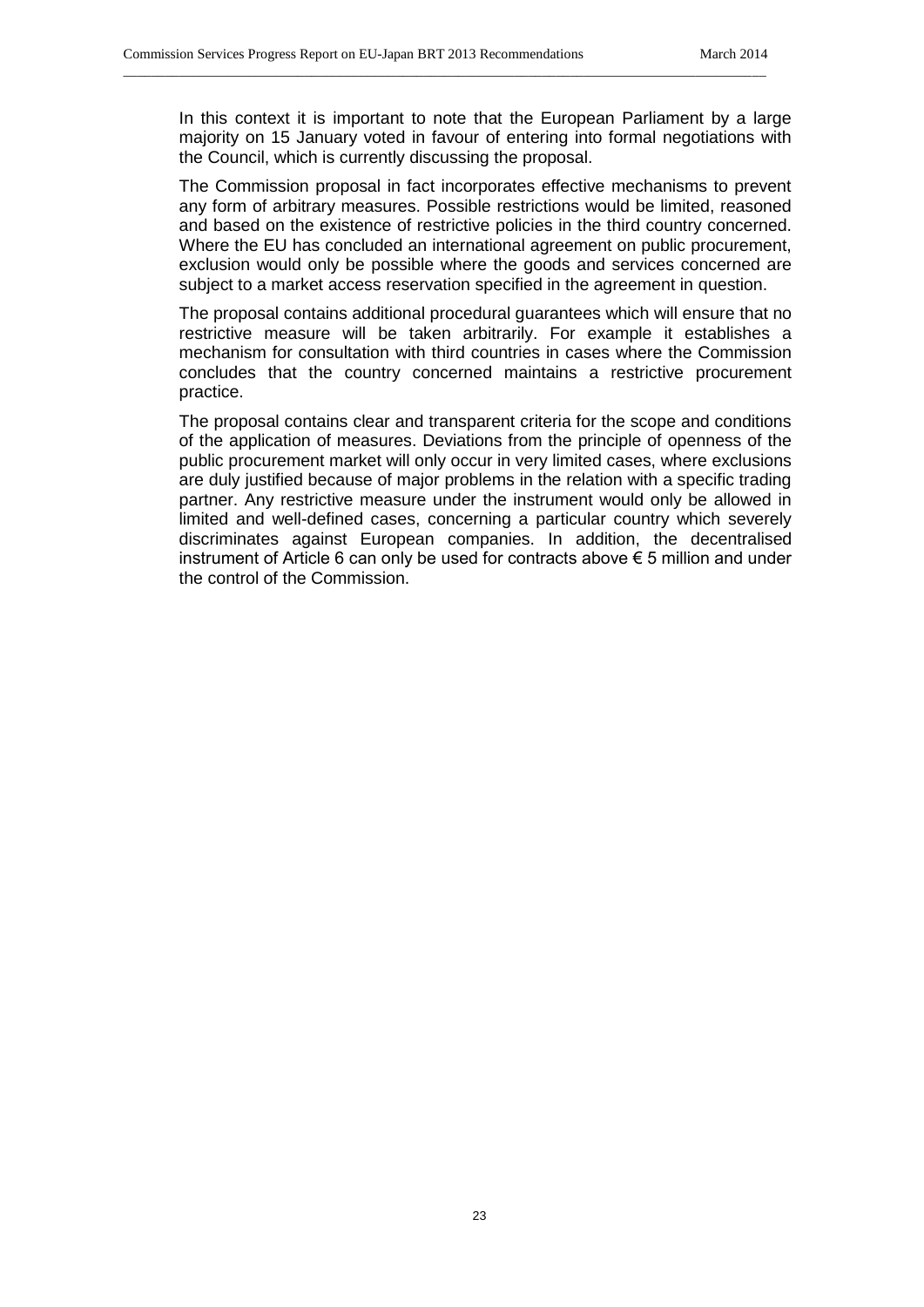In this context it is important to note that the European Parliament by a large majority on 15 January voted in favour of entering into formal negotiations with the Council, which is currently discussing the proposal.

\_\_\_\_\_\_\_\_\_\_\_\_\_\_\_\_\_\_\_\_\_\_\_\_\_\_\_\_\_\_\_\_\_\_\_\_\_\_\_\_\_\_\_\_\_\_\_\_\_\_\_\_\_\_\_\_\_\_\_\_\_\_\_\_\_\_\_\_\_\_\_\_\_\_\_\_\_\_\_\_\_\_\_\_\_\_\_\_\_\_\_\_

The Commission proposal in fact incorporates effective mechanisms to prevent any form of arbitrary measures. Possible restrictions would be limited, reasoned and based on the existence of restrictive policies in the third country concerned. Where the EU has concluded an international agreement on public procurement, exclusion would only be possible where the goods and services concerned are subject to a market access reservation specified in the agreement in question.

The proposal contains additional procedural guarantees which will ensure that no restrictive measure will be taken arbitrarily. For example it establishes a mechanism for consultation with third countries in cases where the Commission concludes that the country concerned maintains a restrictive procurement practice.

The proposal contains clear and transparent criteria for the scope and conditions of the application of measures. Deviations from the principle of openness of the public procurement market will only occur in very limited cases, where exclusions are duly justified because of major problems in the relation with a specific trading partner. Any restrictive measure under the instrument would only be allowed in limited and well-defined cases, concerning a particular country which severely discriminates against European companies. In addition, the decentralised instrument of Article 6 can only be used for contracts above € 5 million and under the control of the Commission.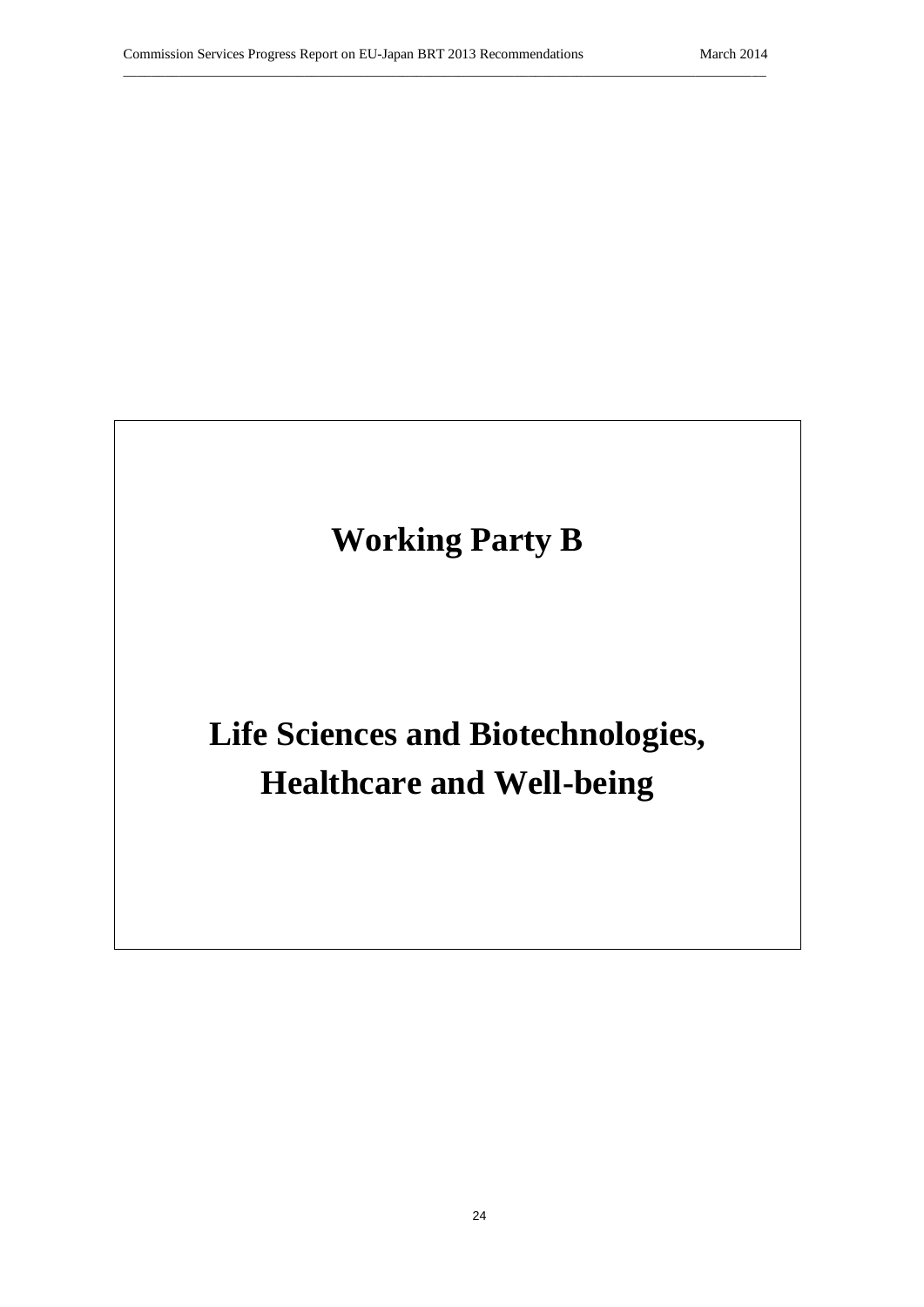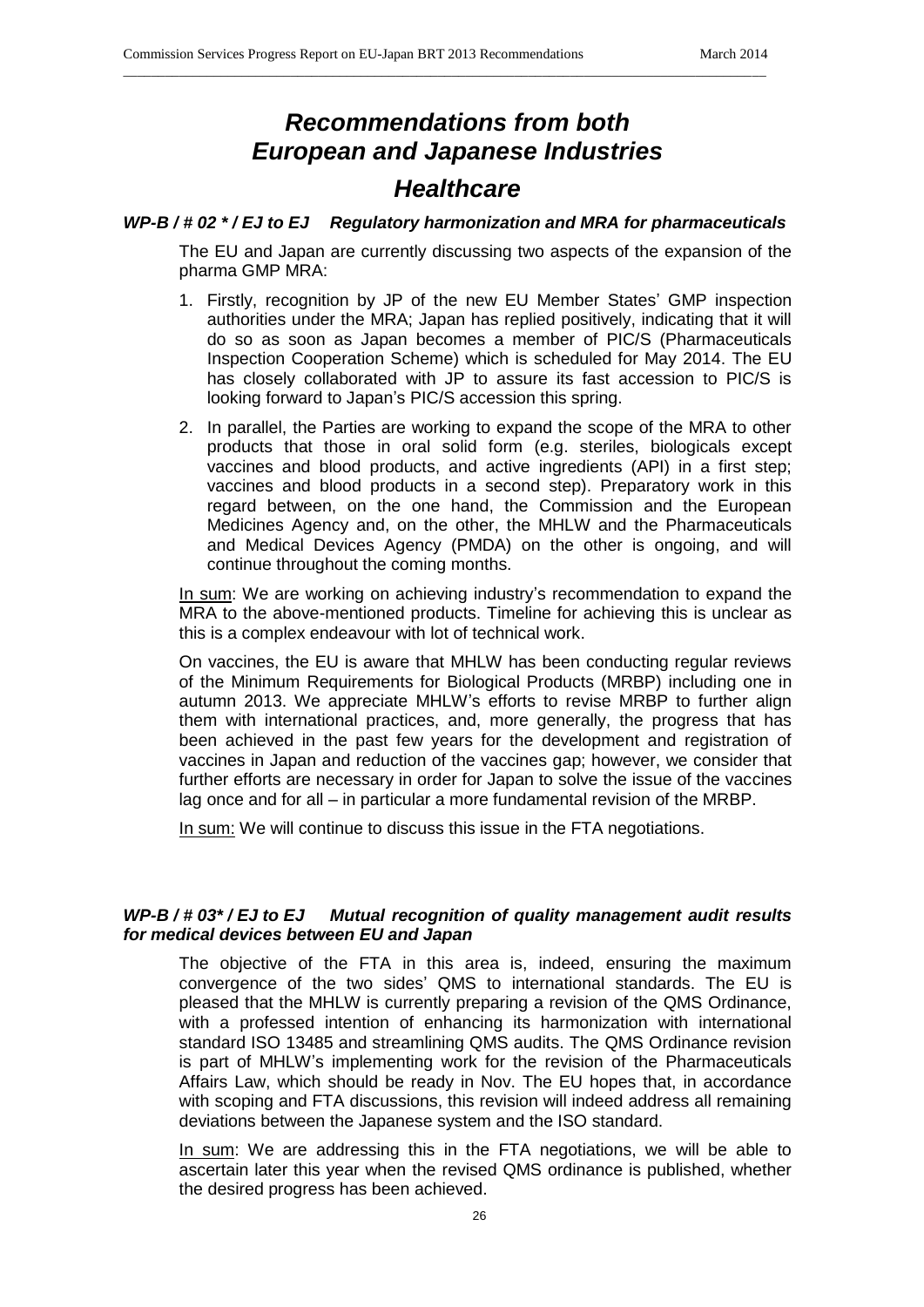# *Recommendations from both European and Japanese Industries*

\_\_\_\_\_\_\_\_\_\_\_\_\_\_\_\_\_\_\_\_\_\_\_\_\_\_\_\_\_\_\_\_\_\_\_\_\_\_\_\_\_\_\_\_\_\_\_\_\_\_\_\_\_\_\_\_\_\_\_\_\_\_\_\_\_\_\_\_\_\_\_\_\_\_\_\_\_\_\_\_\_\_\_\_\_\_\_\_\_\_\_\_

# *Healthcare*

## *WP-B / # 02 \* / EJ to EJ Regulatory harmonization and MRA for pharmaceuticals*

The EU and Japan are currently discussing two aspects of the expansion of the pharma GMP MRA:

- 1. Firstly, recognition by JP of the new EU Member States' GMP inspection authorities under the MRA; Japan has replied positively, indicating that it will do so as soon as Japan becomes a member of PIC/S (Pharmaceuticals Inspection Cooperation Scheme) which is scheduled for May 2014. The EU has closely collaborated with JP to assure its fast accession to PIC/S is looking forward to Japan's PIC/S accession this spring.
- 2. In parallel, the Parties are working to expand the scope of the MRA to other products that those in oral solid form (e.g. steriles, biologicals except vaccines and blood products, and active ingredients (API) in a first step; vaccines and blood products in a second step). Preparatory work in this regard between, on the one hand, the Commission and the European Medicines Agency and, on the other, the MHLW and the Pharmaceuticals and Medical Devices Agency (PMDA) on the other is ongoing, and will continue throughout the coming months.

In sum: We are working on achieving industry's recommendation to expand the MRA to the above-mentioned products. Timeline for achieving this is unclear as this is a complex endeavour with lot of technical work.

On vaccines, the EU is aware that MHLW has been conducting regular reviews of the Minimum Requirements for Biological Products (MRBP) including one in autumn 2013. We appreciate MHLW's efforts to revise MRBP to further align them with international practices, and, more generally, the progress that has been achieved in the past few years for the development and registration of vaccines in Japan and reduction of the vaccines gap; however, we consider that further efforts are necessary in order for Japan to solve the issue of the vaccines lag once and for all – in particular a more fundamental revision of the MRBP.

In sum: We will continue to discuss this issue in the FTA negotiations.

# *WP-B / # 03\* / EJ to EJ Mutual recognition of quality management audit results for medical devices between EU and Japan*

The objective of the FTA in this area is, indeed, ensuring the maximum convergence of the two sides' QMS to international standards. The EU is pleased that the MHLW is currently preparing a revision of the QMS Ordinance, with a professed intention of enhancing its harmonization with international standard ISO 13485 and streamlining QMS audits. The QMS Ordinance revision is part of MHLW's implementing work for the revision of the Pharmaceuticals Affairs Law, which should be ready in Nov. The EU hopes that, in accordance with scoping and FTA discussions, this revision will indeed address all remaining deviations between the Japanese system and the ISO standard.

In sum: We are addressing this in the FTA negotiations, we will be able to ascertain later this year when the revised QMS ordinance is published, whether the desired progress has been achieved.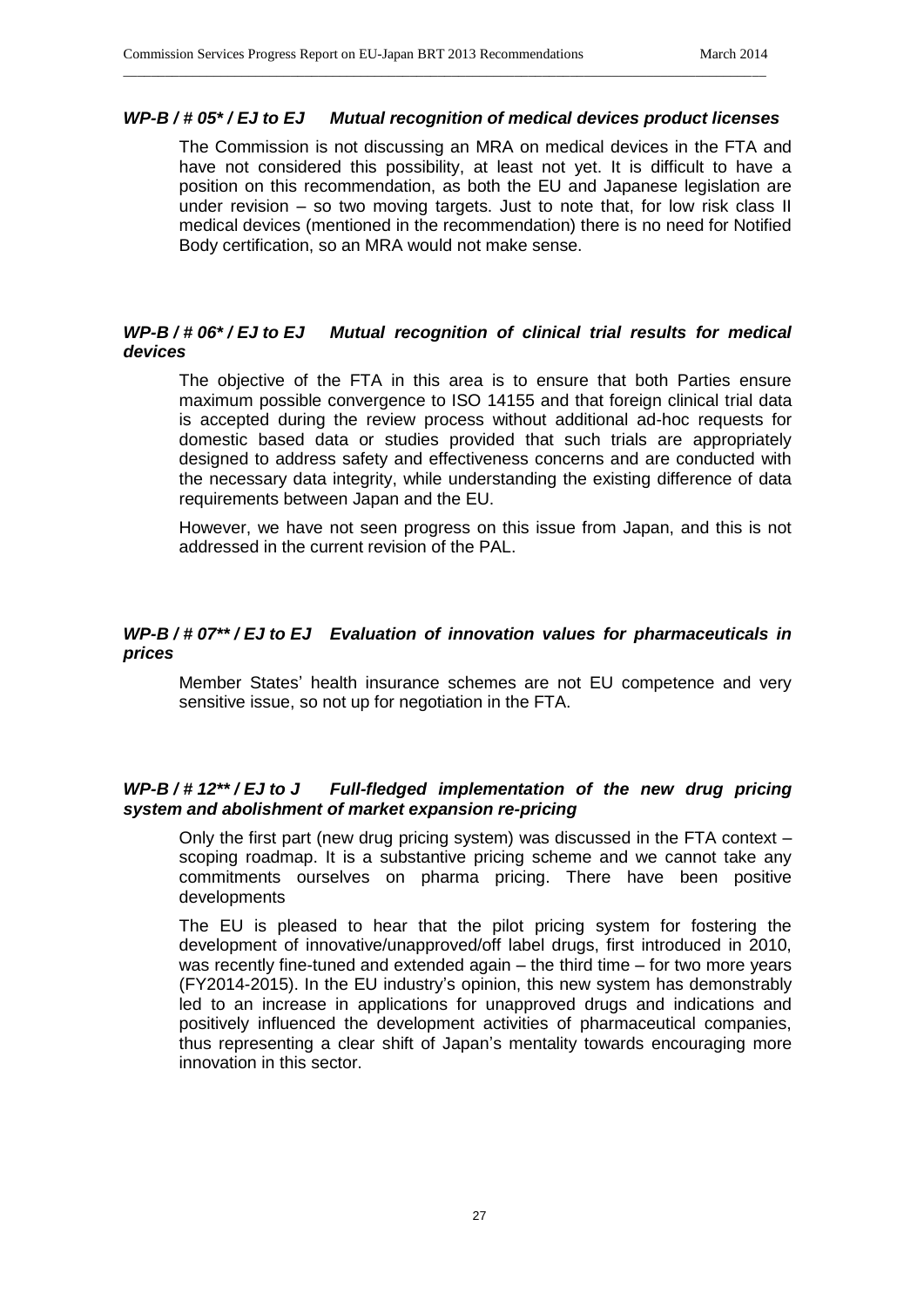## *WP-B / # 05\* / EJ to EJ Mutual recognition of medical devices product licenses*

\_\_\_\_\_\_\_\_\_\_\_\_\_\_\_\_\_\_\_\_\_\_\_\_\_\_\_\_\_\_\_\_\_\_\_\_\_\_\_\_\_\_\_\_\_\_\_\_\_\_\_\_\_\_\_\_\_\_\_\_\_\_\_\_\_\_\_\_\_\_\_\_\_\_\_\_\_\_\_\_\_\_\_\_\_\_\_\_\_\_\_\_

The Commission is not discussing an MRA on medical devices in the FTA and have not considered this possibility, at least not yet. It is difficult to have a position on this recommendation, as both the EU and Japanese legislation are under revision – so two moving targets. Just to note that, for low risk class II medical devices (mentioned in the recommendation) there is no need for Notified Body certification, so an MRA would not make sense.

# *WP-B / # 06\* / EJ to EJ Mutual recognition of clinical trial results for medical devices*

The objective of the FTA in this area is to ensure that both Parties ensure maximum possible convergence to ISO 14155 and that foreign clinical trial data is accepted during the review process without additional ad-hoc requests for domestic based data or studies provided that such trials are appropriately designed to address safety and effectiveness concerns and are conducted with the necessary data integrity, while understanding the existing difference of data requirements between Japan and the EU.

However, we have not seen progress on this issue from Japan, and this is not addressed in the current revision of the PAL.

# *WP-B / # 07\*\* / EJ to EJ Evaluation of innovation values for pharmaceuticals in prices*

Member States' health insurance schemes are not EU competence and very sensitive issue, so not up for negotiation in the FTA.

## *WP-B / # 12\*\* / EJ to J Full-fledged implementation of the new drug pricing system and abolishment of market expansion re-pricing*

Only the first part (new drug pricing system) was discussed in the FTA context – scoping roadmap. It is a substantive pricing scheme and we cannot take any commitments ourselves on pharma pricing. There have been positive developments

The EU is pleased to hear that the pilot pricing system for fostering the development of innovative/unapproved/off label drugs, first introduced in 2010, was recently fine-tuned and extended again – the third time – for two more years (FY2014-2015). In the EU industry's opinion, this new system has demonstrably led to an increase in applications for unapproved drugs and indications and positively influenced the development activities of pharmaceutical companies, thus representing a clear shift of Japan's mentality towards encouraging more innovation in this sector.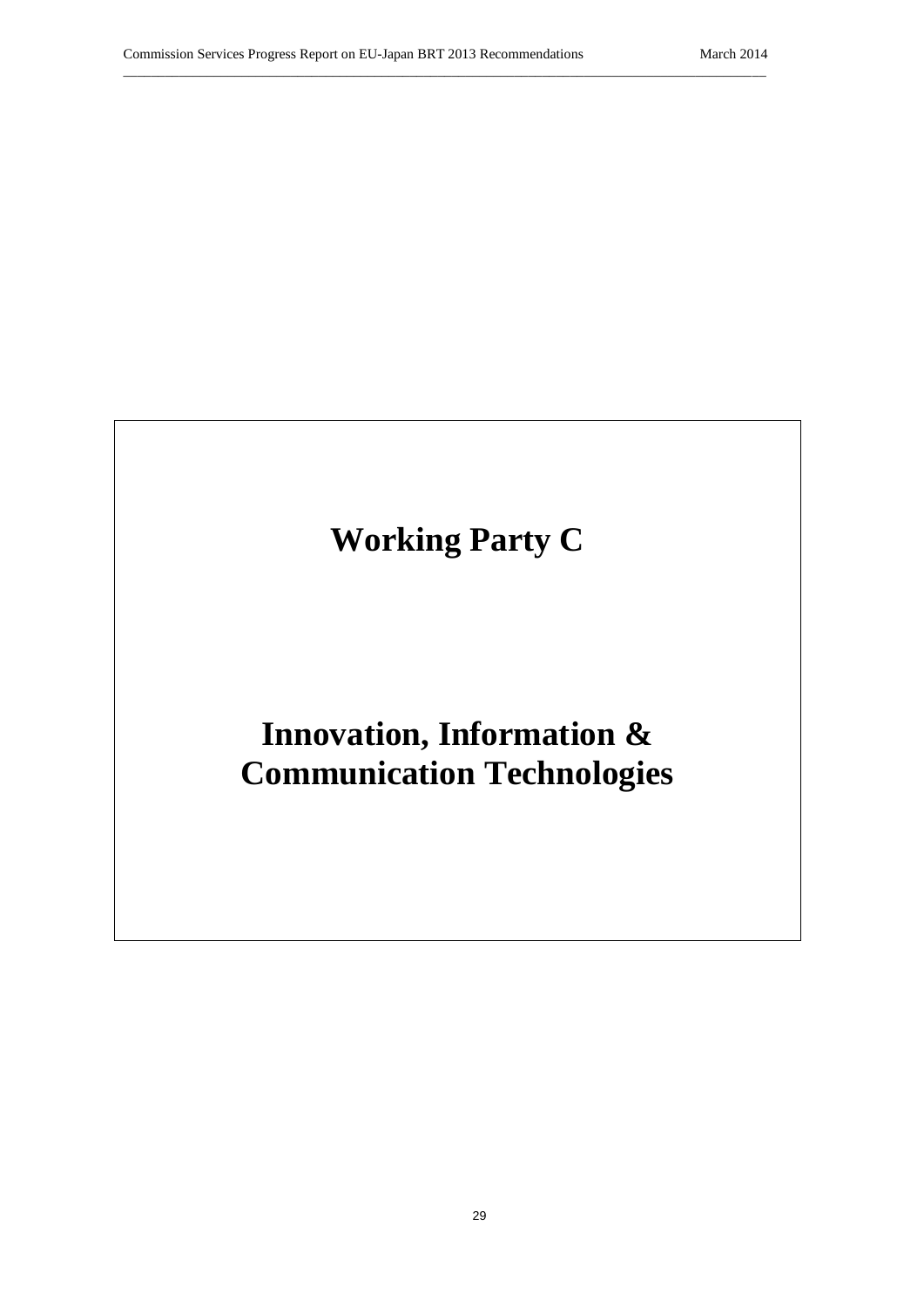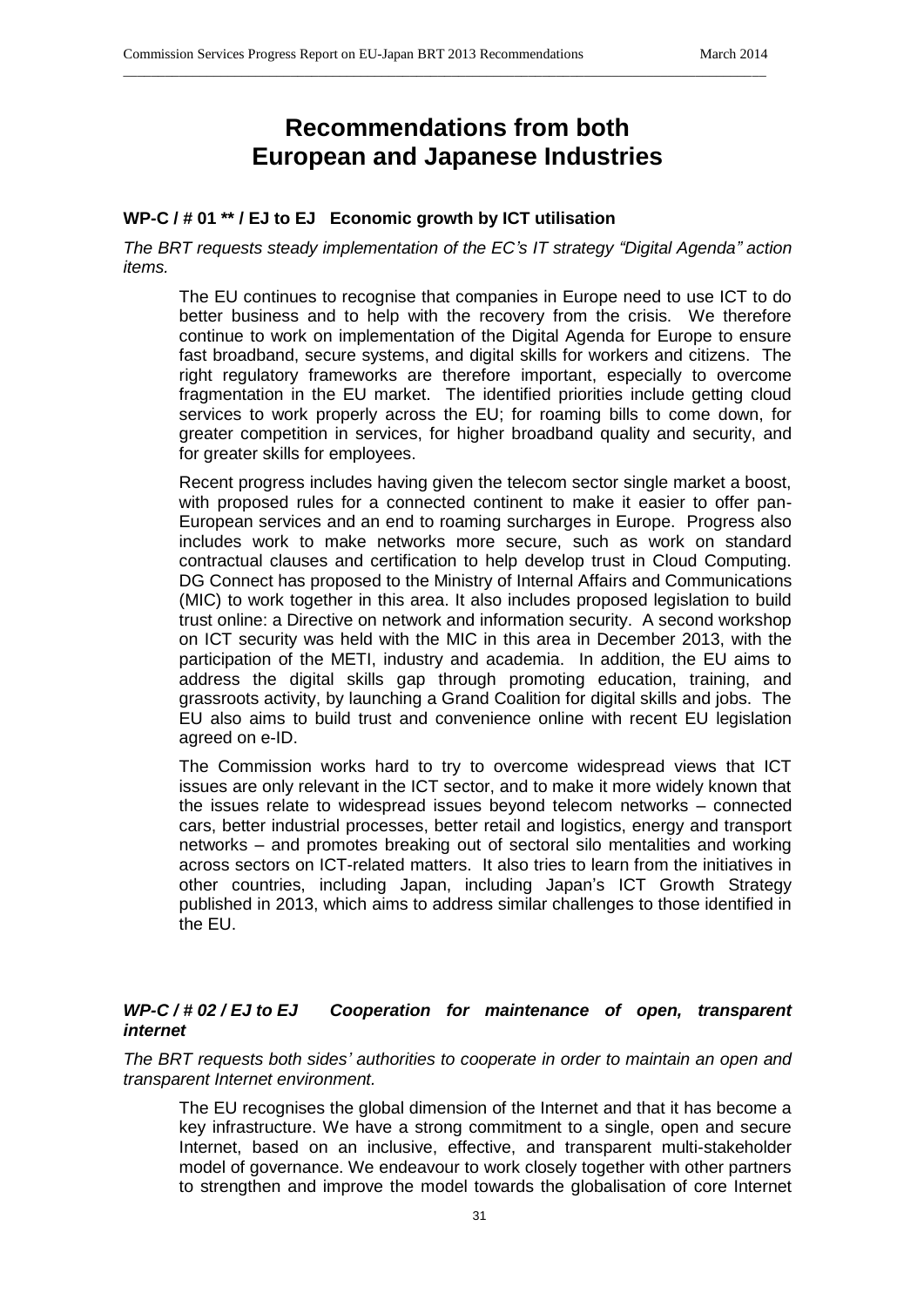# **Recommendations from both European and Japanese Industries**

\_\_\_\_\_\_\_\_\_\_\_\_\_\_\_\_\_\_\_\_\_\_\_\_\_\_\_\_\_\_\_\_\_\_\_\_\_\_\_\_\_\_\_\_\_\_\_\_\_\_\_\_\_\_\_\_\_\_\_\_\_\_\_\_\_\_\_\_\_\_\_\_\_\_\_\_\_\_\_\_\_\_\_\_\_\_\_\_\_\_\_\_

# **WP-C / # 01 \*\* / EJ to EJ Economic growth by ICT utilisation**

*The BRT requests steady implementation of the EC's IT strategy "Digital Agenda" action items.*

The EU continues to recognise that companies in Europe need to use ICT to do better business and to help with the recovery from the crisis. We therefore continue to work on implementation of the Digital Agenda for Europe to ensure fast broadband, secure systems, and digital skills for workers and citizens. The right regulatory frameworks are therefore important, especially to overcome fragmentation in the EU market. The identified priorities include getting cloud services to work properly across the EU; for roaming bills to come down, for greater competition in services, for higher broadband quality and security, and for greater skills for employees.

Recent progress includes having given the telecom sector single market a boost, with proposed rules for a connected continent to make it easier to offer pan-European services and an end to roaming surcharges in Europe. Progress also includes work to make networks more secure, such as work on standard contractual clauses and certification to help develop trust in Cloud Computing. DG Connect has proposed to the Ministry of Internal Affairs and Communications (MIC) to work together in this area. It also includes proposed legislation to build trust online: a Directive on network and information security. A second workshop on ICT security was held with the MIC in this area in December 2013, with the participation of the METI, industry and academia. In addition, the EU aims to address the digital skills gap through promoting education, training, and grassroots activity, by launching a Grand Coalition for digital skills and jobs. The EU also aims to build trust and convenience online with recent EU legislation agreed on e-ID.

The Commission works hard to try to overcome widespread views that ICT issues are only relevant in the ICT sector, and to make it more widely known that the issues relate to widespread issues beyond telecom networks – connected cars, better industrial processes, better retail and logistics, energy and transport networks – and promotes breaking out of sectoral silo mentalities and working across sectors on ICT-related matters. It also tries to learn from the initiatives in other countries, including Japan, including Japan's ICT Growth Strategy published in 2013, which aims to address similar challenges to those identified in the EU.

# *WP-C / # 02 / EJ to EJ Cooperation for maintenance of open, transparent internet*

*The BRT requests both sides' authorities to cooperate in order to maintain an open and transparent Internet environment.*

The EU recognises the global dimension of the Internet and that it has become a key infrastructure. We have a strong commitment to a single, open and secure Internet, based on an inclusive, effective, and transparent multi-stakeholder model of governance. We endeavour to work closely together with other partners to strengthen and improve the model towards the globalisation of core Internet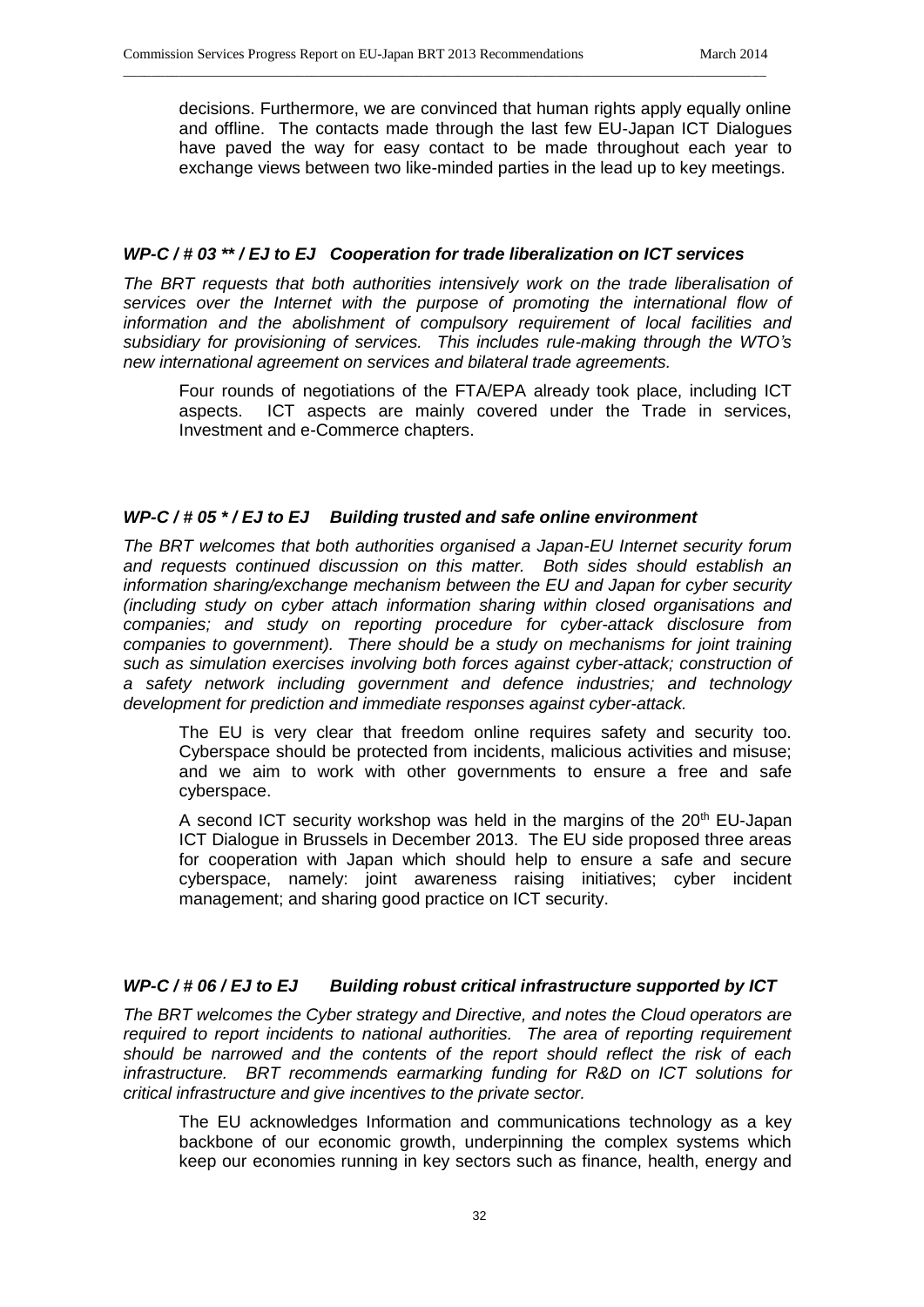decisions. Furthermore, we are convinced that human rights apply equally online and offline. The contacts made through the last few EU-Japan ICT Dialogues have paved the way for easy contact to be made throughout each year to exchange views between two like-minded parties in the lead up to key meetings.

# *WP-C / # 03 \*\* / EJ to EJ Cooperation for trade liberalization on ICT services*

\_\_\_\_\_\_\_\_\_\_\_\_\_\_\_\_\_\_\_\_\_\_\_\_\_\_\_\_\_\_\_\_\_\_\_\_\_\_\_\_\_\_\_\_\_\_\_\_\_\_\_\_\_\_\_\_\_\_\_\_\_\_\_\_\_\_\_\_\_\_\_\_\_\_\_\_\_\_\_\_\_\_\_\_\_\_\_\_\_\_\_\_

*The BRT requests that both authorities intensively work on the trade liberalisation of services over the Internet with the purpose of promoting the international flow of information and the abolishment of compulsory requirement of local facilities and subsidiary for provisioning of services. This includes rule-making through the WTO's new international agreement on services and bilateral trade agreements.*

Four rounds of negotiations of the FTA/EPA already took place, including ICT aspects. ICT aspects are mainly covered under the Trade in services, Investment and e-Commerce chapters.

## *WP-C / # 05 \* / EJ to EJ Building trusted and safe online environment*

*The BRT welcomes that both authorities organised a Japan-EU Internet security forum and requests continued discussion on this matter. Both sides should establish an information sharing/exchange mechanism between the EU and Japan for cyber security (including study on cyber attach information sharing within closed organisations and companies; and study on reporting procedure for cyber-attack disclosure from companies to government). There should be a study on mechanisms for joint training such as simulation exercises involving both forces against cyber-attack; construction of a safety network including government and defence industries; and technology development for prediction and immediate responses against cyber-attack.*

The EU is very clear that freedom online requires safety and security too. Cyberspace should be protected from incidents, malicious activities and misuse; and we aim to work with other governments to ensure a free and safe cyberspace.

A second ICT security workshop was held in the margins of the  $20<sup>th</sup>$  EU-Japan ICT Dialogue in Brussels in December 2013. The EU side proposed three areas for cooperation with Japan which should help to ensure a safe and secure cyberspace, namely: joint awareness raising initiatives; cyber incident management; and sharing good practice on ICT security.

# *WP-C / # 06 / EJ to EJ Building robust critical infrastructure supported by ICT*

*The BRT welcomes the Cyber strategy and Directive, and notes the Cloud operators are required to report incidents to national authorities. The area of reporting requirement should be narrowed and the contents of the report should reflect the risk of each infrastructure. BRT recommends earmarking funding for R&D on ICT solutions for critical infrastructure and give incentives to the private sector.*

The EU acknowledges Information and communications technology as a key backbone of our economic growth, underpinning the complex systems which keep our economies running in key sectors such as finance, health, energy and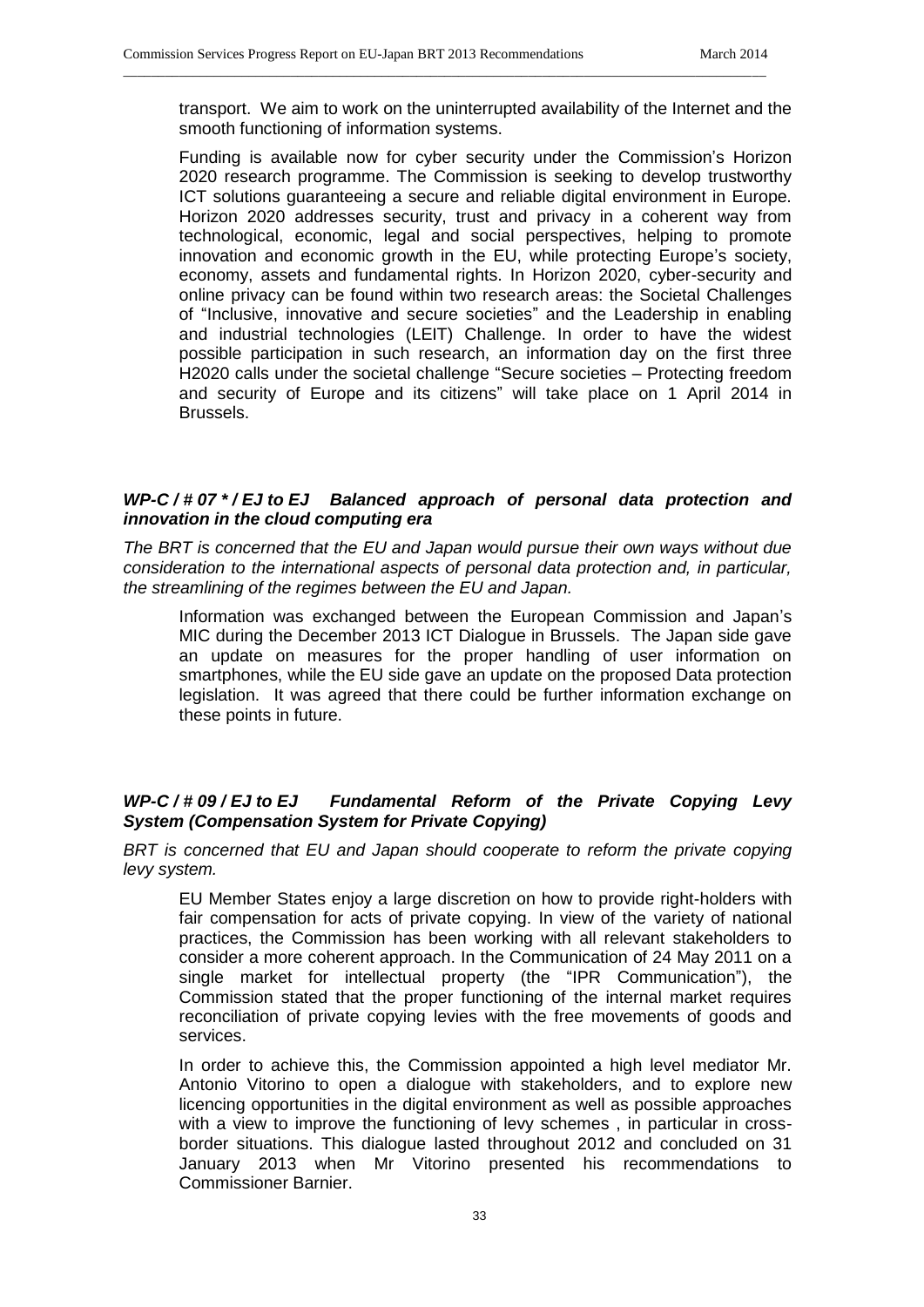transport. We aim to work on the uninterrupted availability of the Internet and the smooth functioning of information systems.

\_\_\_\_\_\_\_\_\_\_\_\_\_\_\_\_\_\_\_\_\_\_\_\_\_\_\_\_\_\_\_\_\_\_\_\_\_\_\_\_\_\_\_\_\_\_\_\_\_\_\_\_\_\_\_\_\_\_\_\_\_\_\_\_\_\_\_\_\_\_\_\_\_\_\_\_\_\_\_\_\_\_\_\_\_\_\_\_\_\_\_\_

Funding is available now for cyber security under the Commission's Horizon 2020 research programme. The Commission is seeking to develop trustworthy ICT solutions guaranteeing a secure and reliable digital environment in Europe. Horizon 2020 addresses security, trust and privacy in a coherent way from technological, economic, legal and social perspectives, helping to promote innovation and economic growth in the EU, while protecting Europe's society, economy, assets and fundamental rights. In Horizon 2020, cyber-security and online privacy can be found within two research areas: the Societal Challenges of "Inclusive, innovative and secure societies" and the Leadership in enabling and industrial technologies (LEIT) Challenge. In order to have the widest possible participation in such research, an information day on the first three H2020 calls under the societal challenge "Secure societies – Protecting freedom and security of Europe and its citizens" will take place on 1 April 2014 in Brussels.

# *WP-C / # 07 \* / EJ to EJ Balanced approach of personal data protection and innovation in the cloud computing era*

*The BRT is concerned that the EU and Japan would pursue their own ways without due consideration to the international aspects of personal data protection and, in particular, the streamlining of the regimes between the EU and Japan.*

Information was exchanged between the European Commission and Japan's MIC during the December 2013 ICT Dialogue in Brussels. The Japan side gave an update on measures for the proper handling of user information on smartphones, while the EU side gave an update on the proposed Data protection legislation. It was agreed that there could be further information exchange on these points in future.

# *WP-C / # 09 / EJ to EJ Fundamental Reform of the Private Copying Levy System (Compensation System for Private Copying)*

*BRT is concerned that EU and Japan should cooperate to reform the private copying levy system.*

EU Member States enjoy a large discretion on how to provide right-holders with fair compensation for acts of private copying. In view of the variety of national practices, the Commission has been working with all relevant stakeholders to consider a more coherent approach. In the Communication of 24 May 2011 on a single market for intellectual property (the "IPR Communication"), the Commission stated that the proper functioning of the internal market requires reconciliation of private copying levies with the free movements of goods and services.

In order to achieve this, the Commission appointed a high level mediator Mr. Antonio Vitorino to open a dialogue with stakeholders, and to explore new licencing opportunities in the digital environment as well as possible approaches with a view to improve the functioning of levy schemes , in particular in crossborder situations. This dialogue lasted throughout 2012 and concluded on 31 January 2013 when Mr Vitorino presented his recommendations to Commissioner Barnier.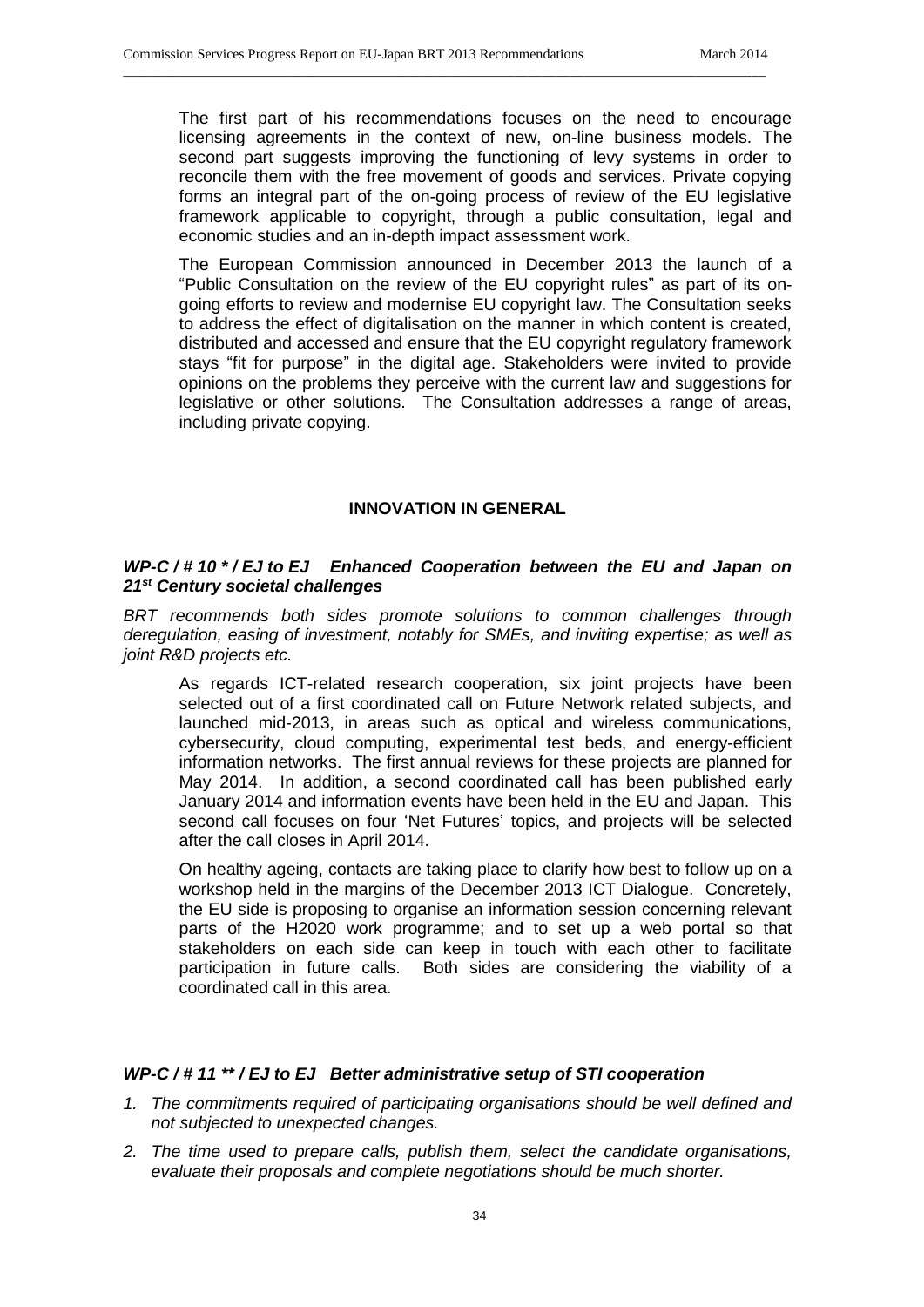The first part of his recommendations focuses on the need to encourage licensing agreements in the context of new, on-line business models. The second part suggests improving the functioning of levy systems in order to reconcile them with the free movement of goods and services. Private copying forms an integral part of the on-going process of review of the EU legislative framework applicable to copyright, through a public consultation, legal and economic studies and an in-depth impact assessment work.

\_\_\_\_\_\_\_\_\_\_\_\_\_\_\_\_\_\_\_\_\_\_\_\_\_\_\_\_\_\_\_\_\_\_\_\_\_\_\_\_\_\_\_\_\_\_\_\_\_\_\_\_\_\_\_\_\_\_\_\_\_\_\_\_\_\_\_\_\_\_\_\_\_\_\_\_\_\_\_\_\_\_\_\_\_\_\_\_\_\_\_\_

The European Commission announced in December 2013 the launch of a "Public Consultation on the review of the EU copyright rules" as part of its ongoing efforts to review and modernise EU copyright law. The Consultation seeks to address the effect of digitalisation on the manner in which content is created, distributed and accessed and ensure that the EU copyright regulatory framework stays "fit for purpose" in the digital age. Stakeholders were invited to provide opinions on the problems they perceive with the current law and suggestions for legislative or other solutions. The Consultation addresses a range of areas, including private copying.

#### **INNOVATION IN GENERAL**

# *WP-C / # 10 \* / EJ to EJ Enhanced Cooperation between the EU and Japan on 21st Century societal challenges*

*BRT recommends both sides promote solutions to common challenges through deregulation, easing of investment, notably for SMEs, and inviting expertise; as well as joint R&D projects etc.*

As regards ICT-related research cooperation, six joint projects have been selected out of a first coordinated call on Future Network related subjects, and launched mid-2013, in areas such as optical and wireless communications, cybersecurity, cloud computing, experimental test beds, and energy-efficient information networks. The first annual reviews for these projects are planned for May 2014. In addition, a second coordinated call has been published early January 2014 and information events have been held in the EU and Japan. This second call focuses on four 'Net Futures' topics, and projects will be selected after the call closes in April 2014.

On healthy ageing, contacts are taking place to clarify how best to follow up on a workshop held in the margins of the December 2013 ICT Dialogue. Concretely, the EU side is proposing to organise an information session concerning relevant parts of the H2020 work programme; and to set up a web portal so that stakeholders on each side can keep in touch with each other to facilitate participation in future calls. Both sides are considering the viability of a coordinated call in this area.

#### *WP-C / # 11 \*\* / EJ to EJ Better administrative setup of STI cooperation*

- *1. The commitments required of participating organisations should be well defined and not subjected to unexpected changes.*
- *2. The time used to prepare calls, publish them, select the candidate organisations, evaluate their proposals and complete negotiations should be much shorter.*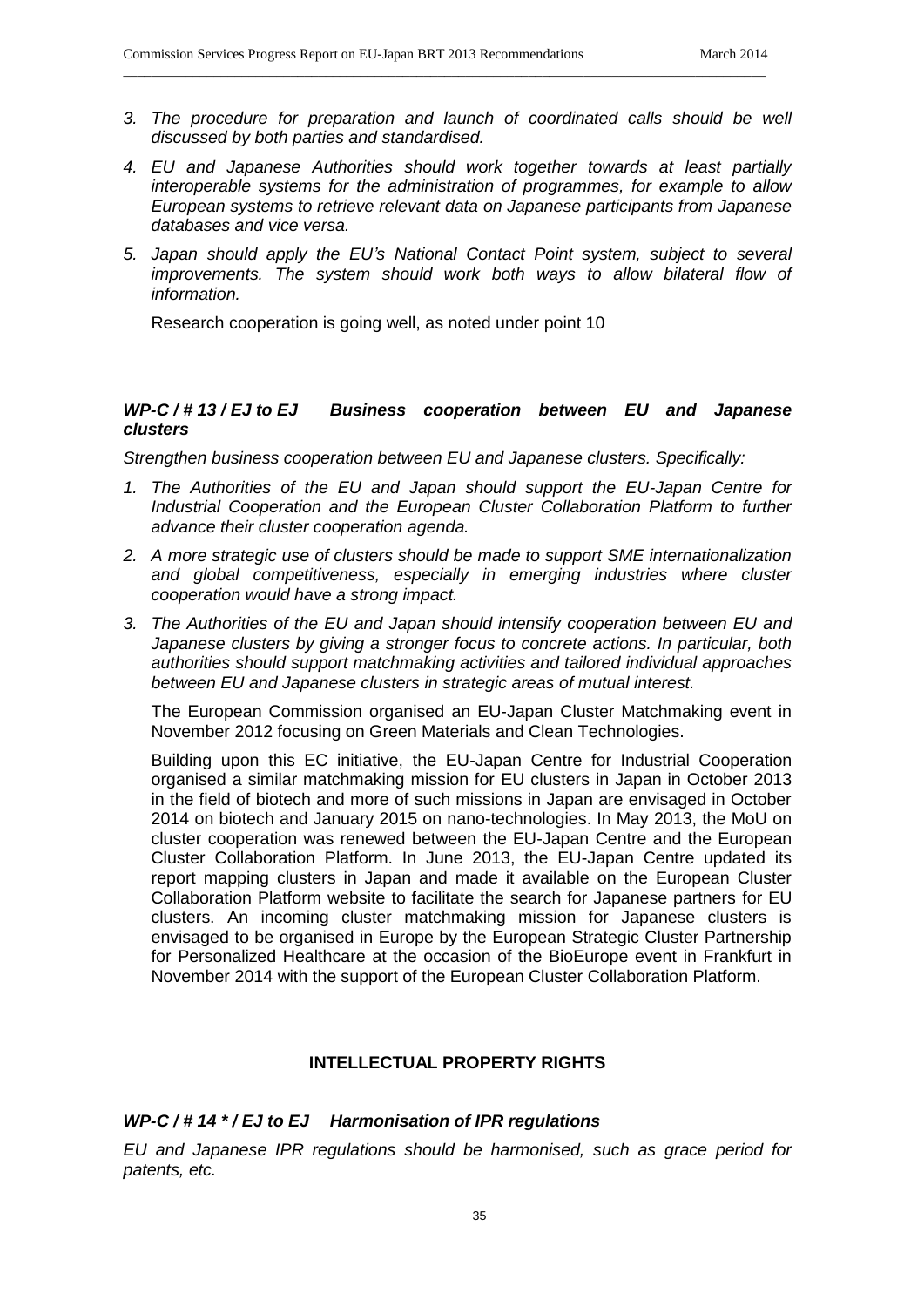*3. The procedure for preparation and launch of coordinated calls should be well discussed by both parties and standardised.*

\_\_\_\_\_\_\_\_\_\_\_\_\_\_\_\_\_\_\_\_\_\_\_\_\_\_\_\_\_\_\_\_\_\_\_\_\_\_\_\_\_\_\_\_\_\_\_\_\_\_\_\_\_\_\_\_\_\_\_\_\_\_\_\_\_\_\_\_\_\_\_\_\_\_\_\_\_\_\_\_\_\_\_\_\_\_\_\_\_\_\_\_

- *4. EU and Japanese Authorities should work together towards at least partially interoperable systems for the administration of programmes, for example to allow European systems to retrieve relevant data on Japanese participants from Japanese databases and vice versa.*
- *5. Japan should apply the EU's National Contact Point system, subject to several improvements. The system should work both ways to allow bilateral flow of information.*

Research cooperation is going well, as noted under point 10

## *WP-C / # 13 / EJ to EJ Business cooperation between EU and Japanese clusters*

*Strengthen business cooperation between EU and Japanese clusters. Specifically:*

- *1. The Authorities of the EU and Japan should support the EU-Japan Centre for Industrial Cooperation and the European Cluster Collaboration Platform to further advance their cluster cooperation agenda.*
- *2. A more strategic use of clusters should be made to support SME internationalization* and global competitiveness, especially in emerging industries where cluster *cooperation would have a strong impact.*
- *3. The Authorities of the EU and Japan should intensify cooperation between EU and Japanese clusters by giving a stronger focus to concrete actions. In particular, both authorities should support matchmaking activities and tailored individual approaches between EU and Japanese clusters in strategic areas of mutual interest.*

The European Commission organised an EU-Japan Cluster Matchmaking event in November 2012 focusing on Green Materials and Clean Technologies.

Building upon this EC initiative, the EU-Japan Centre for Industrial Cooperation organised a similar matchmaking mission for EU clusters in Japan in October 2013 in the field of biotech and more of such missions in Japan are envisaged in October 2014 on biotech and January 2015 on nano-technologies. In May 2013, the MoU on cluster cooperation was renewed between the EU-Japan Centre and the European Cluster Collaboration Platform. In June 2013, the EU-Japan Centre updated its report mapping clusters in Japan and made it available on the European Cluster Collaboration Platform website to facilitate the search for Japanese partners for EU clusters. An incoming cluster matchmaking mission for Japanese clusters is envisaged to be organised in Europe by the European Strategic Cluster Partnership for Personalized Healthcare at the occasion of the BioEurope event in Frankfurt in November 2014 with the support of the European Cluster Collaboration Platform.

#### **INTELLECTUAL PROPERTY RIGHTS**

#### *WP-C / # 14 \* / EJ to EJ Harmonisation of IPR regulations*

*EU and Japanese IPR regulations should be harmonised, such as grace period for patents, etc.*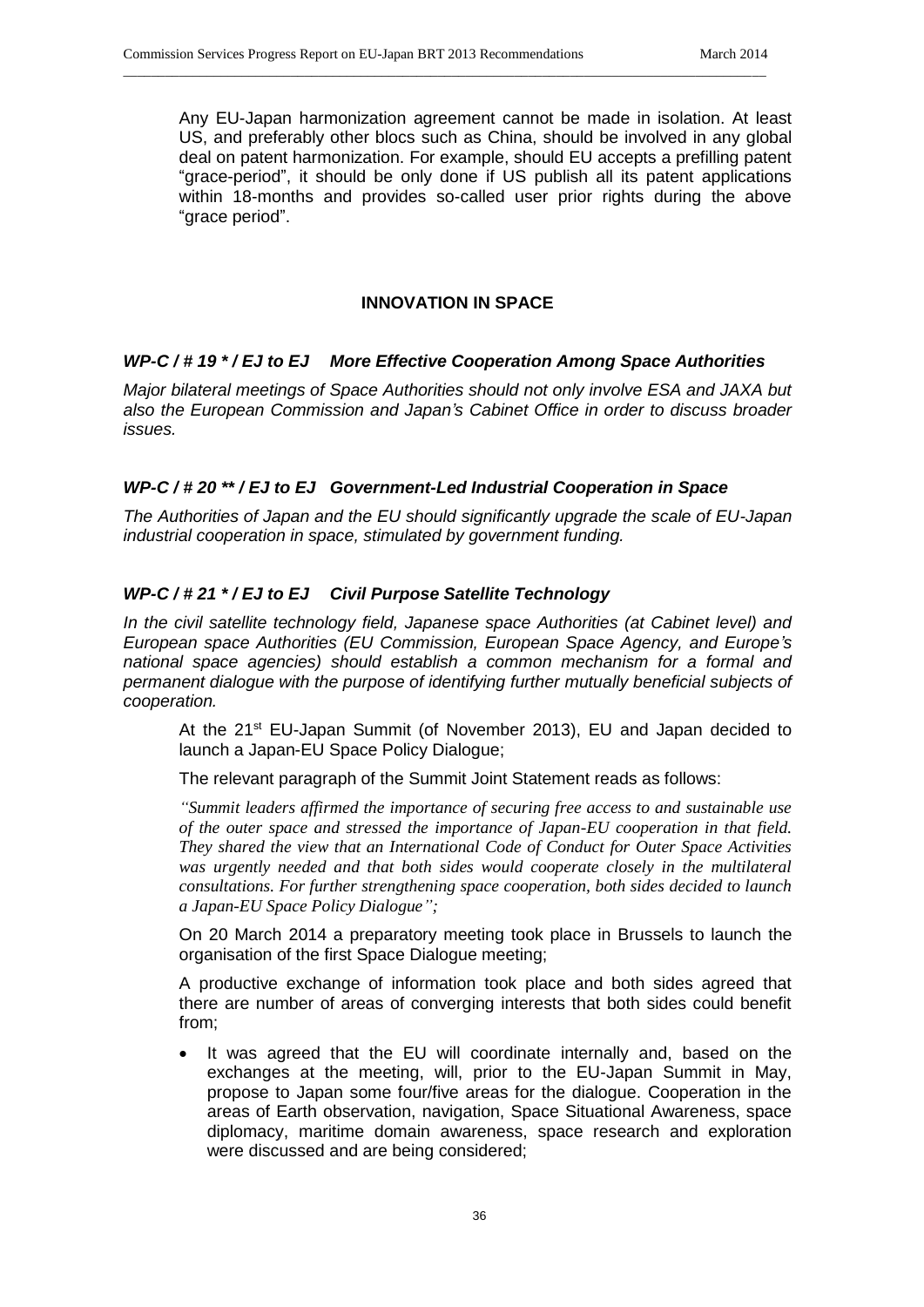Any EU-Japan harmonization agreement cannot be made in isolation. At least US, and preferably other blocs such as China, should be involved in any global deal on patent harmonization. For example, should EU accepts a prefilling patent "grace-period", it should be only done if US publish all its patent applications within 18-months and provides so-called user prior rights during the above "grace period".

# **INNOVATION IN SPACE**

# *WP-C / # 19 \* / EJ to EJ More Effective Cooperation Among Space Authorities*

\_\_\_\_\_\_\_\_\_\_\_\_\_\_\_\_\_\_\_\_\_\_\_\_\_\_\_\_\_\_\_\_\_\_\_\_\_\_\_\_\_\_\_\_\_\_\_\_\_\_\_\_\_\_\_\_\_\_\_\_\_\_\_\_\_\_\_\_\_\_\_\_\_\_\_\_\_\_\_\_\_\_\_\_\_\_\_\_\_\_\_\_

*Major bilateral meetings of Space Authorities should not only involve ESA and JAXA but also the European Commission and Japan's Cabinet Office in order to discuss broader issues.*

# *WP-C / # 20 \*\* / EJ to EJ Government-Led Industrial Cooperation in Space*

*The Authorities of Japan and the EU should significantly upgrade the scale of EU-Japan industrial cooperation in space, stimulated by government funding.*

# *WP-C / # 21 \* / EJ to EJ Civil Purpose Satellite Technology*

*In the civil satellite technology field, Japanese space Authorities (at Cabinet level) and European space Authorities (EU Commission, European Space Agency, and Europe's national space agencies) should establish a common mechanism for a formal and permanent dialogue with the purpose of identifying further mutually beneficial subjects of cooperation.* 

At the  $21^{st}$  EU-Japan Summit (of November 2013), EU and Japan decided to launch a Japan-EU Space Policy Dialogue;

The relevant paragraph of the Summit Joint Statement reads as follows:

*"Summit leaders affirmed the importance of securing free access to and sustainable use of the outer space and stressed the importance of Japan-EU cooperation in that field. They shared the view that an International Code of Conduct for Outer Space Activities*  was urgently needed and that both sides would cooperate closely in the multilateral *consultations. For further strengthening space cooperation, both sides decided to launch a Japan-EU Space Policy Dialogue";*

On 20 March 2014 a preparatory meeting took place in Brussels to launch the organisation of the first Space Dialogue meeting;

A productive exchange of information took place and both sides agreed that there are number of areas of converging interests that both sides could benefit from;

• It was agreed that the EU will coordinate internally and, based on the exchanges at the meeting, will, prior to the EU-Japan Summit in May, propose to Japan some four/five areas for the dialogue. Cooperation in the areas of Earth observation, navigation, Space Situational Awareness, space diplomacy, maritime domain awareness, space research and exploration were discussed and are being considered;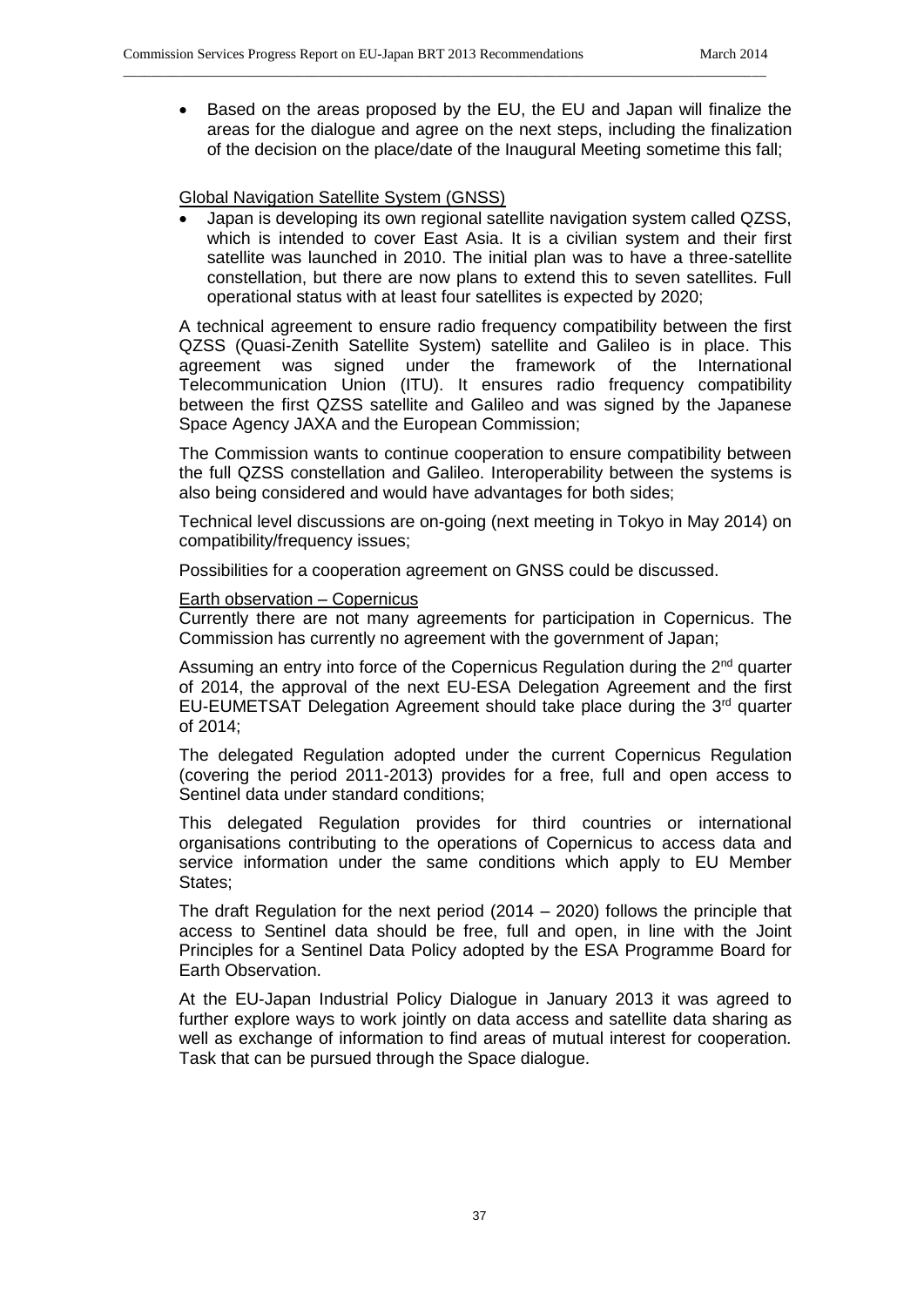• Based on the areas proposed by the EU, the EU and Japan will finalize the areas for the dialogue and agree on the next steps, including the finalization of the decision on the place/date of the Inaugural Meeting sometime this fall;

\_\_\_\_\_\_\_\_\_\_\_\_\_\_\_\_\_\_\_\_\_\_\_\_\_\_\_\_\_\_\_\_\_\_\_\_\_\_\_\_\_\_\_\_\_\_\_\_\_\_\_\_\_\_\_\_\_\_\_\_\_\_\_\_\_\_\_\_\_\_\_\_\_\_\_\_\_\_\_\_\_\_\_\_\_\_\_\_\_\_\_\_

# Global Navigation Satellite System (GNSS)

 Japan is developing its own regional satellite navigation system called QZSS, which is intended to cover East Asia. It is a civilian system and their first satellite was launched in 2010. The initial plan was to have a three-satellite constellation, but there are now plans to extend this to seven satellites. Full operational status with at least four satellites is expected by 2020;

A technical agreement to ensure radio frequency compatibility between the first QZSS (Quasi-Zenith Satellite System) satellite and Galileo is in place. This agreement was signed under the framework of the International Telecommunication Union (ITU). It ensures radio frequency compatibility between the first QZSS satellite and Galileo and was signed by the Japanese Space Agency JAXA and the European Commission;

The Commission wants to continue cooperation to ensure compatibility between the full QZSS constellation and Galileo. Interoperability between the systems is also being considered and would have advantages for both sides;

Technical level discussions are on-going (next meeting in Tokyo in May 2014) on compatibility/frequency issues;

Possibilities for a cooperation agreement on GNSS could be discussed.

#### Earth observation – Copernicus

Currently there are not many agreements for participation in Copernicus. The Commission has currently no agreement with the government of Japan;

Assuming an entry into force of the Copernicus Regulation during the 2<sup>nd</sup> quarter of 2014, the approval of the next EU-ESA Delegation Agreement and the first EU-EUMETSAT Delegation Agreement should take place during the  $3<sup>rd</sup>$  quarter of 2014;

The delegated Regulation adopted under the current Copernicus Regulation (covering the period 2011-2013) provides for a free, full and open access to Sentinel data under standard conditions;

This delegated Regulation provides for third countries or international organisations contributing to the operations of Copernicus to access data and service information under the same conditions which apply to EU Member States;

The draft Regulation for the next period (2014 – 2020) follows the principle that access to Sentinel data should be free, full and open, in line with the Joint Principles for a Sentinel Data Policy adopted by the ESA Programme Board for Earth Observation.

At the EU-Japan Industrial Policy Dialogue in January 2013 it was agreed to further explore ways to work jointly on data access and satellite data sharing as well as exchange of information to find areas of mutual interest for cooperation. Task that can be pursued through the Space dialogue.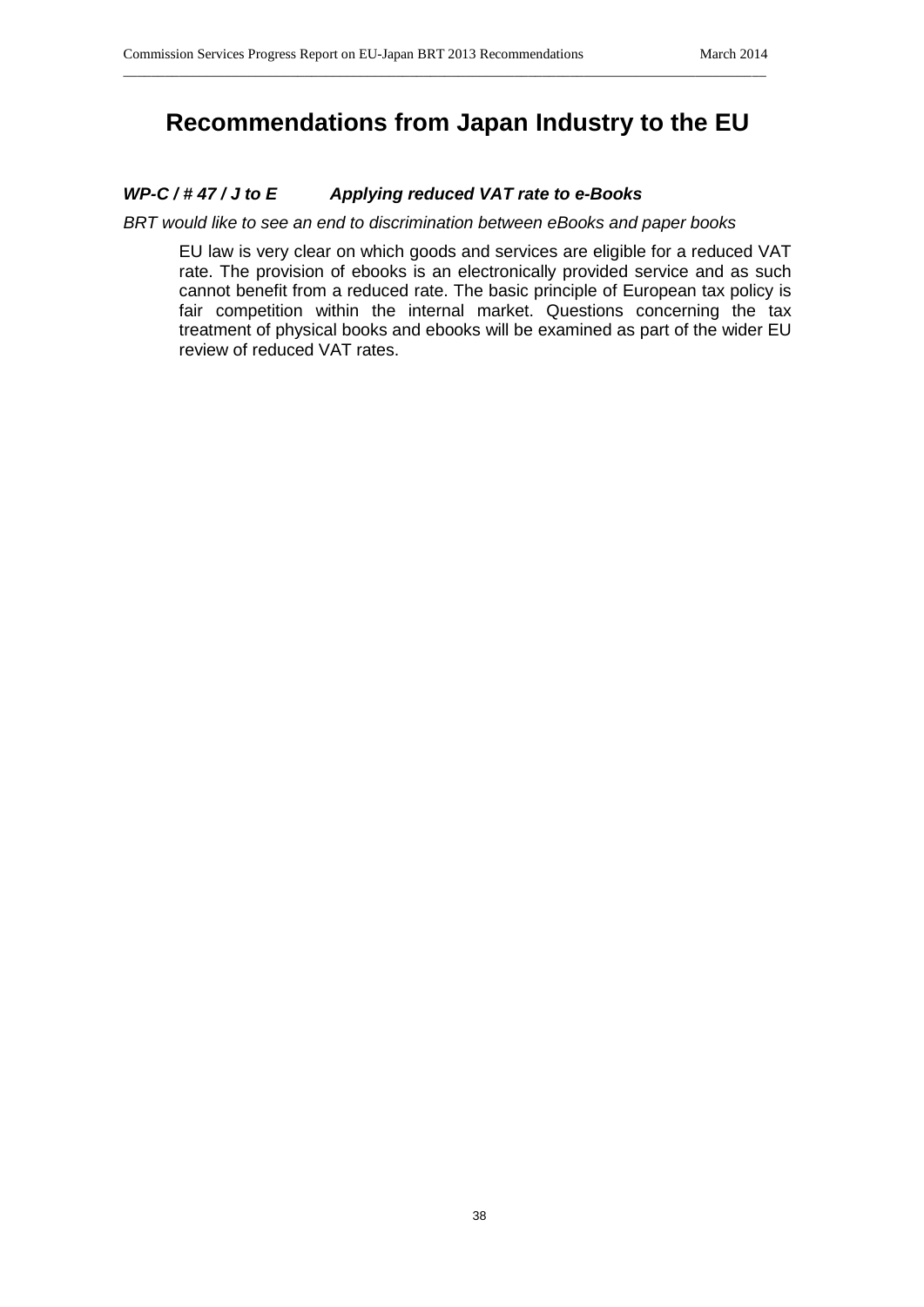# **Recommendations from Japan Industry to the EU**

\_\_\_\_\_\_\_\_\_\_\_\_\_\_\_\_\_\_\_\_\_\_\_\_\_\_\_\_\_\_\_\_\_\_\_\_\_\_\_\_\_\_\_\_\_\_\_\_\_\_\_\_\_\_\_\_\_\_\_\_\_\_\_\_\_\_\_\_\_\_\_\_\_\_\_\_\_\_\_\_\_\_\_\_\_\_\_\_\_\_\_\_

# *WP-C / # 47 / J to E Applying reduced VAT rate to e-Books*

*BRT would like to see an end to discrimination between eBooks and paper books*

EU law is very clear on which goods and services are eligible for a reduced VAT rate. The provision of ebooks is an electronically provided service and as such cannot benefit from a reduced rate. The basic principle of European tax policy is fair competition within the internal market. Questions concerning the tax treatment of physical books and ebooks will be examined as part of the wider EU review of reduced VAT rates.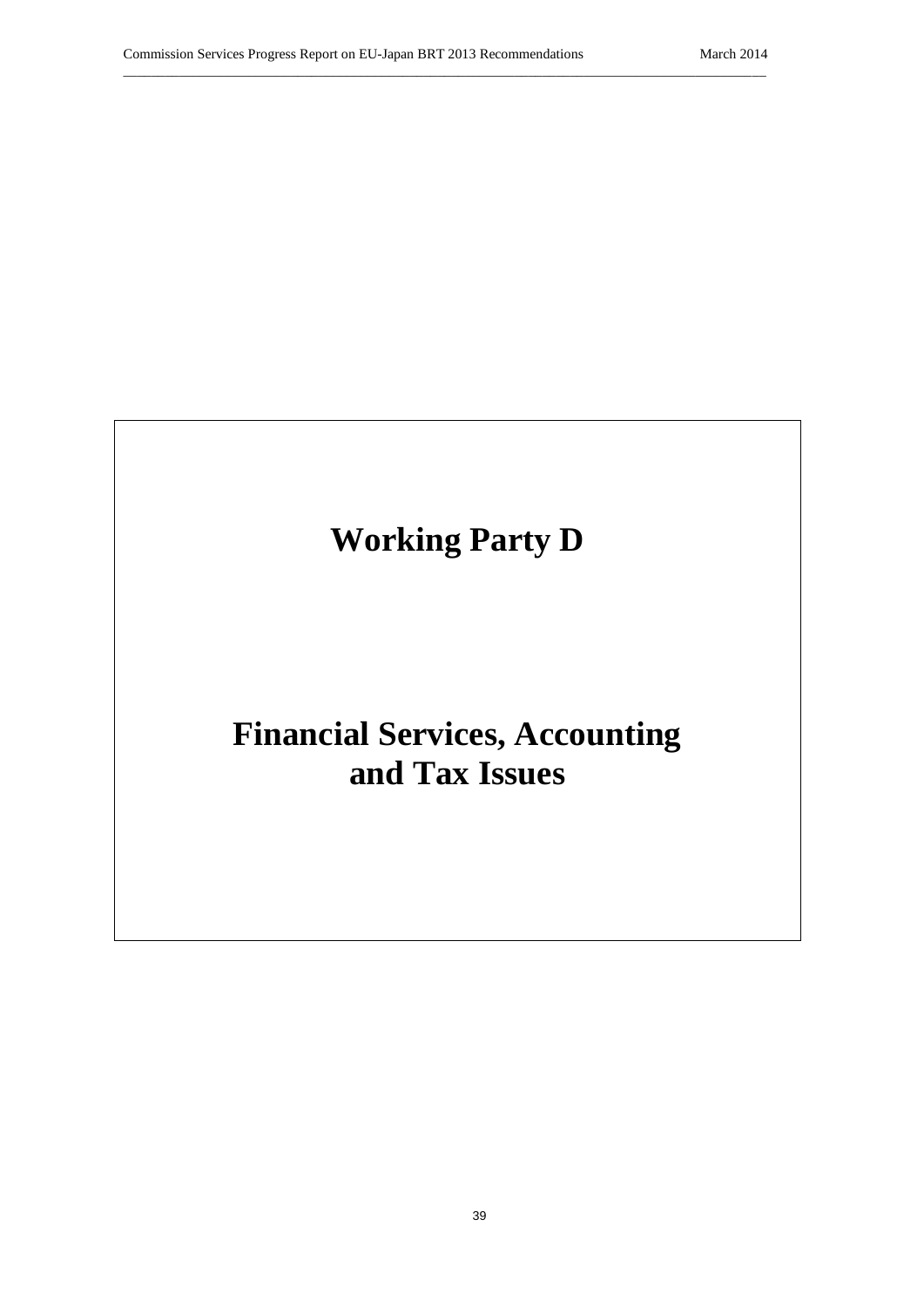

# **Financial Services, Accounting and Tax Issues**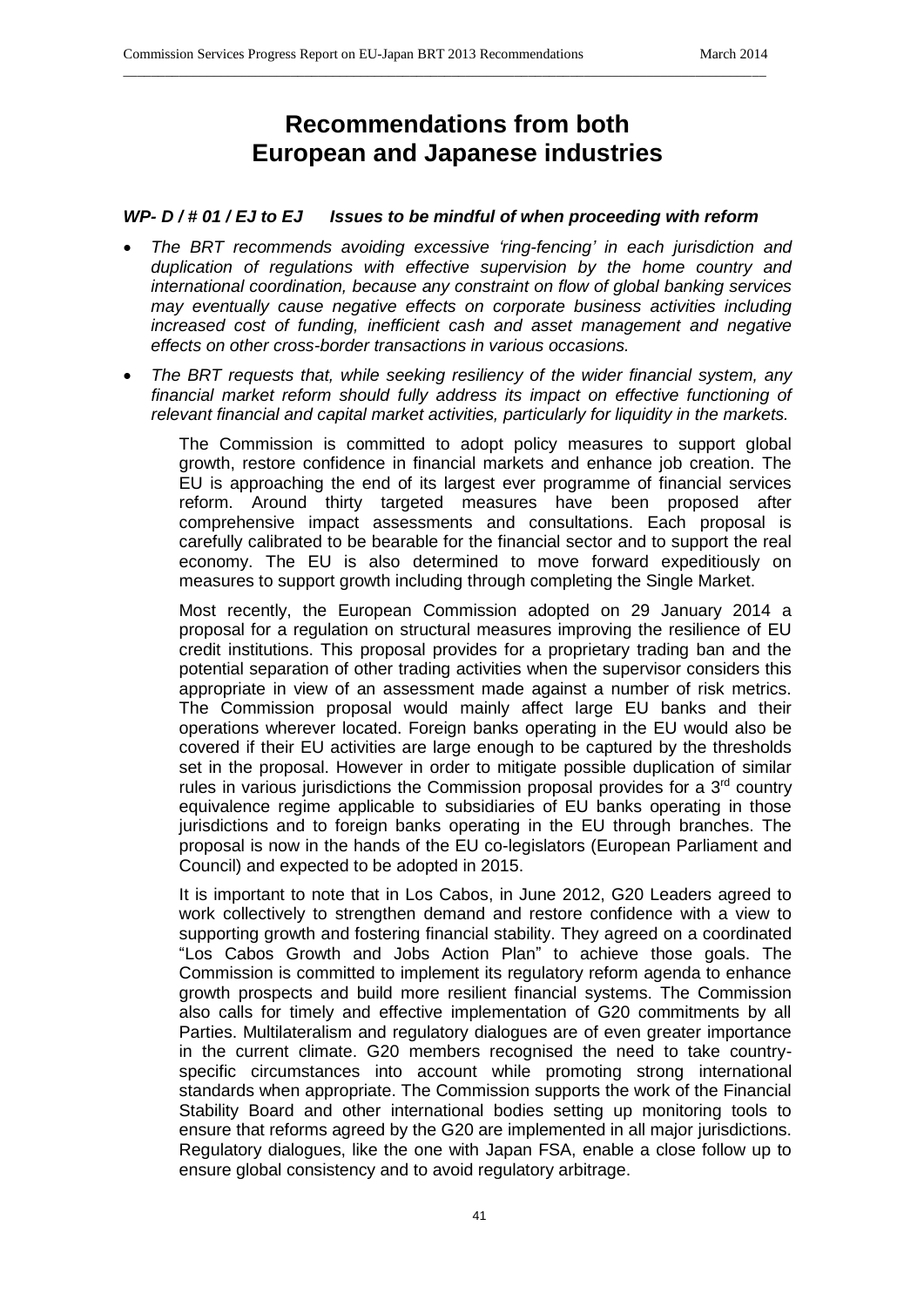# **Recommendations from both European and Japanese industries**

\_\_\_\_\_\_\_\_\_\_\_\_\_\_\_\_\_\_\_\_\_\_\_\_\_\_\_\_\_\_\_\_\_\_\_\_\_\_\_\_\_\_\_\_\_\_\_\_\_\_\_\_\_\_\_\_\_\_\_\_\_\_\_\_\_\_\_\_\_\_\_\_\_\_\_\_\_\_\_\_\_\_\_\_\_\_\_\_\_\_\_\_

## *WP- D / # 01 / EJ to EJ Issues to be mindful of when proceeding with reform*

- *The BRT recommends avoiding excessive 'ring-fencing' in each jurisdiction and duplication of regulations with effective supervision by the home country and international coordination, because any constraint on flow of global banking services may eventually cause negative effects on corporate business activities including increased cost of funding, inefficient cash and asset management and negative effects on other cross-border transactions in various occasions.*
- *The BRT requests that, while seeking resiliency of the wider financial system, any financial market reform should fully address its impact on effective functioning of relevant financial and capital market activities, particularly for liquidity in the markets.*

The Commission is committed to adopt policy measures to support global growth, restore confidence in financial markets and enhance job creation. The EU is approaching the end of its largest ever programme of financial services reform. Around thirty targeted measures have been proposed after comprehensive impact assessments and consultations. Each proposal is carefully calibrated to be bearable for the financial sector and to support the real economy. The EU is also determined to move forward expeditiously on measures to support growth including through completing the Single Market.

Most recently, the European Commission adopted on 29 January 2014 a proposal for a regulation on structural measures improving the resilience of EU credit institutions. This proposal provides for a proprietary trading ban and the potential separation of other trading activities when the supervisor considers this appropriate in view of an assessment made against a number of risk metrics. The Commission proposal would mainly affect large EU banks and their operations wherever located. Foreign banks operating in the EU would also be covered if their EU activities are large enough to be captured by the thresholds set in the proposal. However in order to mitigate possible duplication of similar rules in various jurisdictions the Commission proposal provides for a  $3<sup>rd</sup>$  country equivalence regime applicable to subsidiaries of EU banks operating in those jurisdictions and to foreign banks operating in the EU through branches. The proposal is now in the hands of the EU co-legislators (European Parliament and Council) and expected to be adopted in 2015.

It is important to note that in Los Cabos, in June 2012, G20 Leaders agreed to work collectively to strengthen demand and restore confidence with a view to supporting growth and fostering financial stability. They agreed on a coordinated "Los Cabos Growth and Jobs Action Plan" to achieve those goals. The Commission is committed to implement its regulatory reform agenda to enhance growth prospects and build more resilient financial systems. The Commission also calls for timely and effective implementation of G20 commitments by all Parties. Multilateralism and regulatory dialogues are of even greater importance in the current climate. G20 members recognised the need to take countryspecific circumstances into account while promoting strong international standards when appropriate. The Commission supports the work of the Financial Stability Board and other international bodies setting up monitoring tools to ensure that reforms agreed by the G20 are implemented in all major jurisdictions. Regulatory dialogues, like the one with Japan FSA, enable a close follow up to ensure global consistency and to avoid regulatory arbitrage.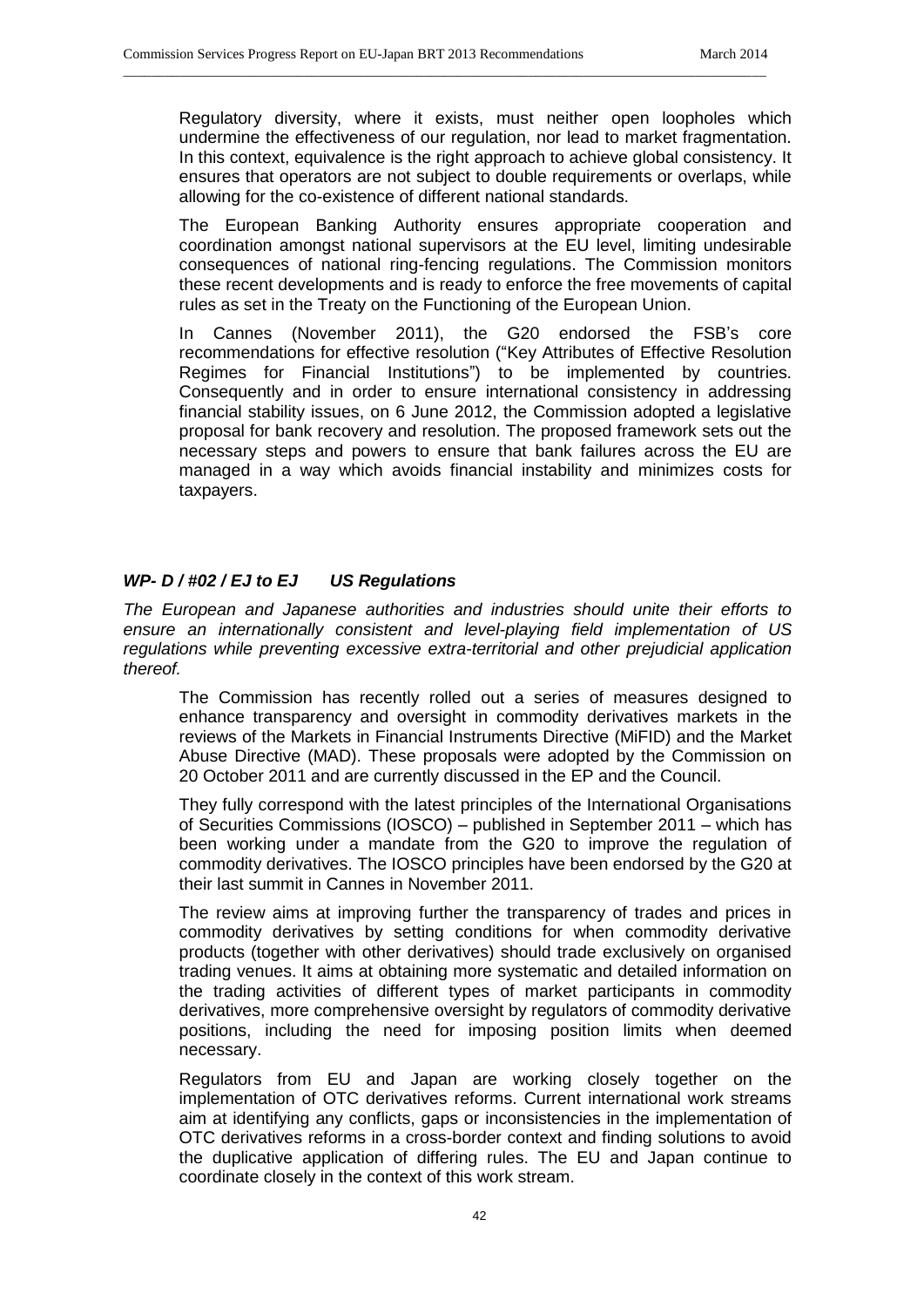Regulatory diversity, where it exists, must neither open loopholes which undermine the effectiveness of our regulation, nor lead to market fragmentation. In this context, equivalence is the right approach to achieve global consistency. It ensures that operators are not subject to double requirements or overlaps, while allowing for the co-existence of different national standards.

\_\_\_\_\_\_\_\_\_\_\_\_\_\_\_\_\_\_\_\_\_\_\_\_\_\_\_\_\_\_\_\_\_\_\_\_\_\_\_\_\_\_\_\_\_\_\_\_\_\_\_\_\_\_\_\_\_\_\_\_\_\_\_\_\_\_\_\_\_\_\_\_\_\_\_\_\_\_\_\_\_\_\_\_\_\_\_\_\_\_\_\_

The European Banking Authority ensures appropriate cooperation and coordination amongst national supervisors at the EU level, limiting undesirable consequences of national ring-fencing regulations. The Commission monitors these recent developments and is ready to enforce the free movements of capital rules as set in the Treaty on the Functioning of the European Union.

In Cannes (November 2011), the G20 endorsed the FSB's core recommendations for effective resolution ("Key Attributes of Effective Resolution Regimes for Financial Institutions") to be implemented by countries. Consequently and in order to ensure international consistency in addressing financial stability issues, on 6 June 2012, the Commission adopted a legislative proposal for bank recovery and resolution. The proposed framework sets out the necessary steps and powers to ensure that bank failures across the EU are managed in a way which avoids financial instability and minimizes costs for taxpayers.

# *WP- D / #02 / EJ to EJ US Regulations*

*The European and Japanese authorities and industries should unite their efforts to ensure an internationally consistent and level-playing field implementation of US regulations while preventing excessive extra-territorial and other prejudicial application thereof.*

The Commission has recently rolled out a series of measures designed to enhance transparency and oversight in commodity derivatives markets in the reviews of the Markets in Financial Instruments Directive (MiFID) and the Market Abuse Directive (MAD). These proposals were adopted by the Commission on 20 October 2011 and are currently discussed in the EP and the Council.

They fully correspond with the latest principles of the International Organisations of Securities Commissions (IOSCO) – published in September 2011 – which has been working under a mandate from the G20 to improve the regulation of commodity derivatives. The IOSCO principles have been endorsed by the G20 at their last summit in Cannes in November 2011.

The review aims at improving further the transparency of trades and prices in commodity derivatives by setting conditions for when commodity derivative products (together with other derivatives) should trade exclusively on organised trading venues. It aims at obtaining more systematic and detailed information on the trading activities of different types of market participants in commodity derivatives, more comprehensive oversight by regulators of commodity derivative positions, including the need for imposing position limits when deemed necessary.

Regulators from EU and Japan are working closely together on the implementation of OTC derivatives reforms. Current international work streams aim at identifying any conflicts, gaps or inconsistencies in the implementation of OTC derivatives reforms in a cross-border context and finding solutions to avoid the duplicative application of differing rules. The EU and Japan continue to coordinate closely in the context of this work stream.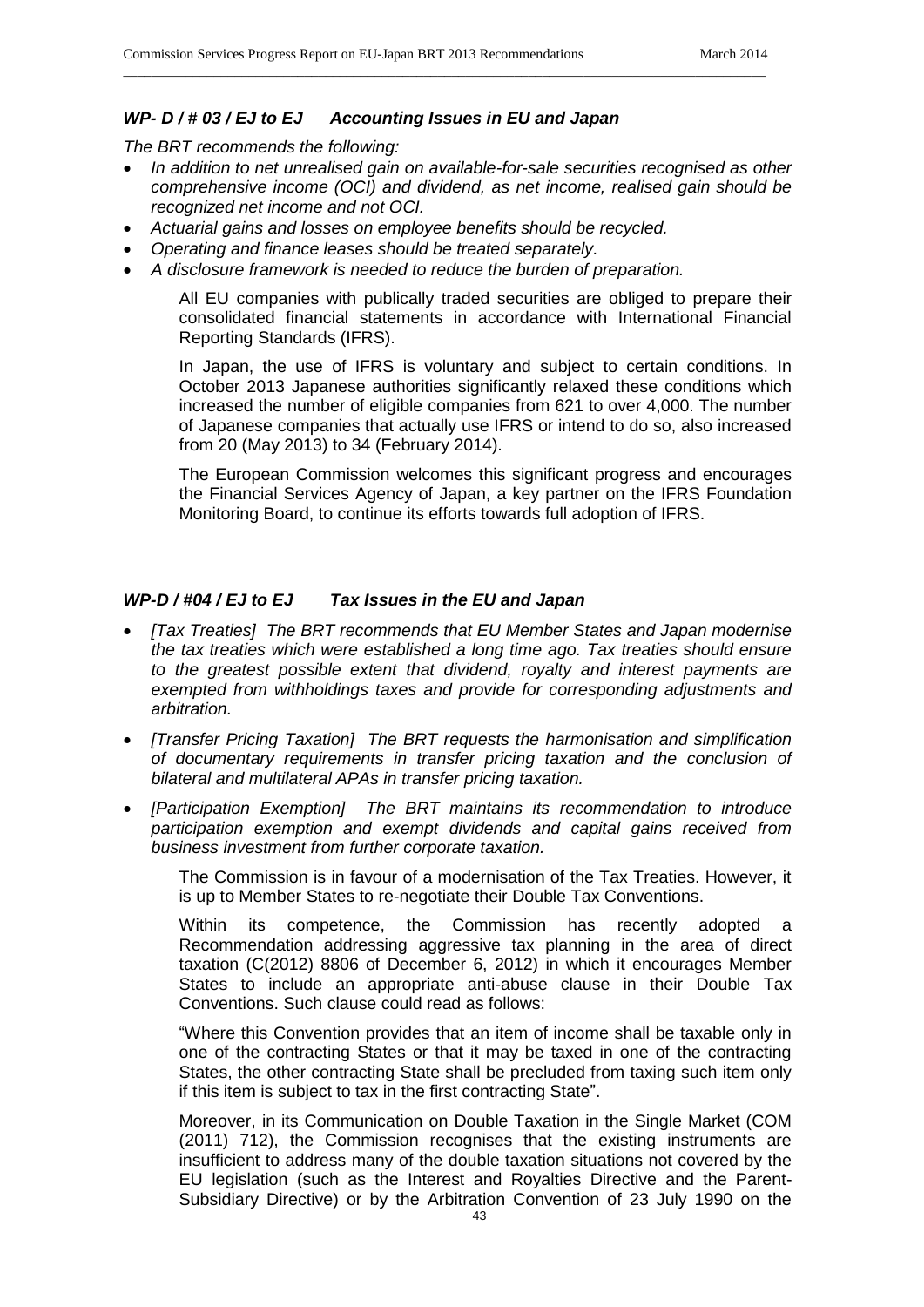# *WP- D / # 03 / EJ to EJ Accounting Issues in EU and Japan*

*The BRT recommends the following:*

• In addition to net unrealised gain on available-for-sale securities recognised as other *comprehensive income (OCI) and dividend, as net income, realised gain should be recognized net income and not OCI.*

\_\_\_\_\_\_\_\_\_\_\_\_\_\_\_\_\_\_\_\_\_\_\_\_\_\_\_\_\_\_\_\_\_\_\_\_\_\_\_\_\_\_\_\_\_\_\_\_\_\_\_\_\_\_\_\_\_\_\_\_\_\_\_\_\_\_\_\_\_\_\_\_\_\_\_\_\_\_\_\_\_\_\_\_\_\_\_\_\_\_\_\_

- *Actuarial gains and losses on employee benefits should be recycled.*
- *Operating and finance leases should be treated separately.*
- *A disclosure framework is needed to reduce the burden of preparation.*

All EU companies with publically traded securities are obliged to prepare their consolidated financial statements in accordance with International Financial Reporting Standards (IFRS).

In Japan, the use of IFRS is voluntary and subject to certain conditions. In October 2013 Japanese authorities significantly relaxed these conditions which increased the number of eligible companies from 621 to over 4,000. The number of Japanese companies that actually use IFRS or intend to do so, also increased from 20 (May 2013) to 34 (February 2014).

The European Commission welcomes this significant progress and encourages the Financial Services Agency of Japan, a key partner on the IFRS Foundation Monitoring Board, to continue its efforts towards full adoption of IFRS.

## *WP-D / #04 / EJ to EJ Tax Issues in the EU and Japan*

- *[Tax Treaties] The BRT recommends that EU Member States and Japan modernise the tax treaties which were established a long time ago. Tax treaties should ensure to the greatest possible extent that dividend, royalty and interest payments are exempted from withholdings taxes and provide for corresponding adjustments and arbitration.*
- *[Transfer Pricing Taxation] The BRT requests the harmonisation and simplification of documentary requirements in transfer pricing taxation and the conclusion of bilateral and multilateral APAs in transfer pricing taxation.*
- *[Participation Exemption] The BRT maintains its recommendation to introduce participation exemption and exempt dividends and capital gains received from business investment from further corporate taxation.*

The Commission is in favour of a modernisation of the Tax Treaties. However, it is up to Member States to re-negotiate their Double Tax Conventions.

Within its competence, the Commission has recently adopted a Recommendation addressing aggressive tax planning in the area of direct taxation (C(2012) 8806 of December 6, 2012) in which it encourages Member States to include an appropriate anti-abuse clause in their Double Tax Conventions. Such clause could read as follows:

"Where this Convention provides that an item of income shall be taxable only in one of the contracting States or that it may be taxed in one of the contracting States, the other contracting State shall be precluded from taxing such item only if this item is subject to tax in the first contracting State".

Moreover, in its Communication on Double Taxation in the Single Market (COM (2011) 712), the Commission recognises that the existing instruments are insufficient to address many of the double taxation situations not covered by the EU legislation (such as the Interest and Royalties Directive and the Parent-Subsidiary Directive) or by the Arbitration Convention of 23 July 1990 on the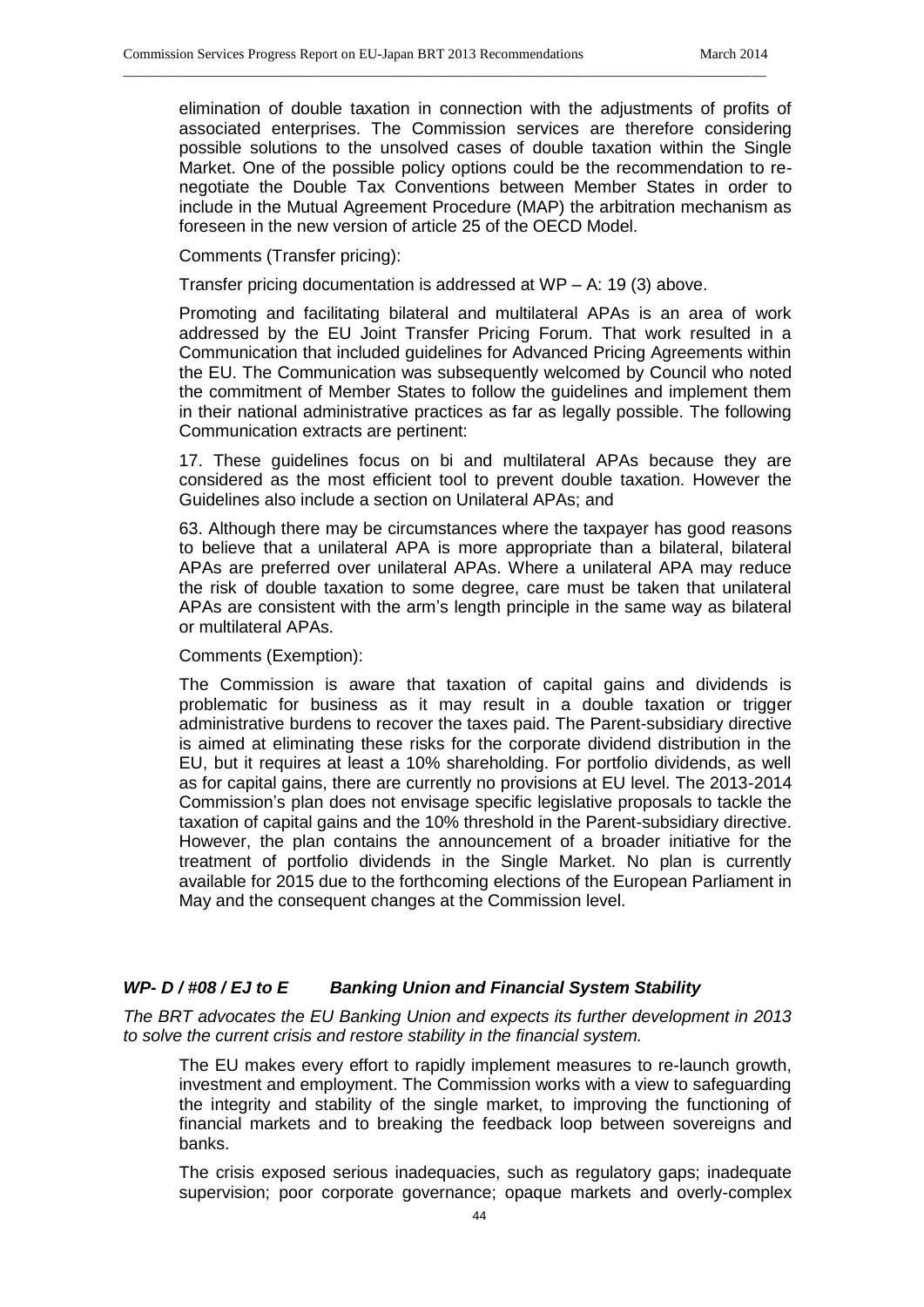elimination of double taxation in connection with the adjustments of profits of associated enterprises. The Commission services are therefore considering possible solutions to the unsolved cases of double taxation within the Single Market. One of the possible policy options could be the recommendation to renegotiate the Double Tax Conventions between Member States in order to include in the Mutual Agreement Procedure (MAP) the arbitration mechanism as foreseen in the new version of article 25 of the OECD Model.

Comments (Transfer pricing):

Transfer pricing documentation is addressed at WP – A: 19 (3) above.

\_\_\_\_\_\_\_\_\_\_\_\_\_\_\_\_\_\_\_\_\_\_\_\_\_\_\_\_\_\_\_\_\_\_\_\_\_\_\_\_\_\_\_\_\_\_\_\_\_\_\_\_\_\_\_\_\_\_\_\_\_\_\_\_\_\_\_\_\_\_\_\_\_\_\_\_\_\_\_\_\_\_\_\_\_\_\_\_\_\_\_\_

Promoting and facilitating bilateral and multilateral APAs is an area of work addressed by the EU Joint Transfer Pricing Forum. That work resulted in a Communication that included guidelines for Advanced Pricing Agreements within the EU. The Communication was subsequently welcomed by Council who noted the commitment of Member States to follow the guidelines and implement them in their national administrative practices as far as legally possible. The following Communication extracts are pertinent:

17. These guidelines focus on bi and multilateral APAs because they are considered as the most efficient tool to prevent double taxation. However the Guidelines also include a section on Unilateral APAs; and

63. Although there may be circumstances where the taxpayer has good reasons to believe that a unilateral APA is more appropriate than a bilateral, bilateral APAs are preferred over unilateral APAs. Where a unilateral APA may reduce the risk of double taxation to some degree, care must be taken that unilateral APAs are consistent with the arm's length principle in the same way as bilateral or multilateral APAs.

Comments (Exemption):

The Commission is aware that taxation of capital gains and dividends is problematic for business as it may result in a double taxation or trigger administrative burdens to recover the taxes paid. The Parent-subsidiary directive is aimed at eliminating these risks for the corporate dividend distribution in the EU, but it requires at least a 10% shareholding. For portfolio dividends, as well as for capital gains, there are currently no provisions at EU level. The 2013-2014 Commission's plan does not envisage specific legislative proposals to tackle the taxation of capital gains and the 10% threshold in the Parent-subsidiary directive. However, the plan contains the announcement of a broader initiative for the treatment of portfolio dividends in the Single Market. No plan is currently available for 2015 due to the forthcoming elections of the European Parliament in May and the consequent changes at the Commission level.

#### *WP- D / #08 / EJ to E Banking Union and Financial System Stability*

*The BRT advocates the EU Banking Union and expects its further development in 2013 to solve the current crisis and restore stability in the financial system.*

The EU makes every effort to rapidly implement measures to re-launch growth, investment and employment. The Commission works with a view to safeguarding the integrity and stability of the single market, to improving the functioning of financial markets and to breaking the feedback loop between sovereigns and banks.

The crisis exposed serious inadequacies, such as regulatory gaps; inadequate supervision; poor corporate governance; opaque markets and overly-complex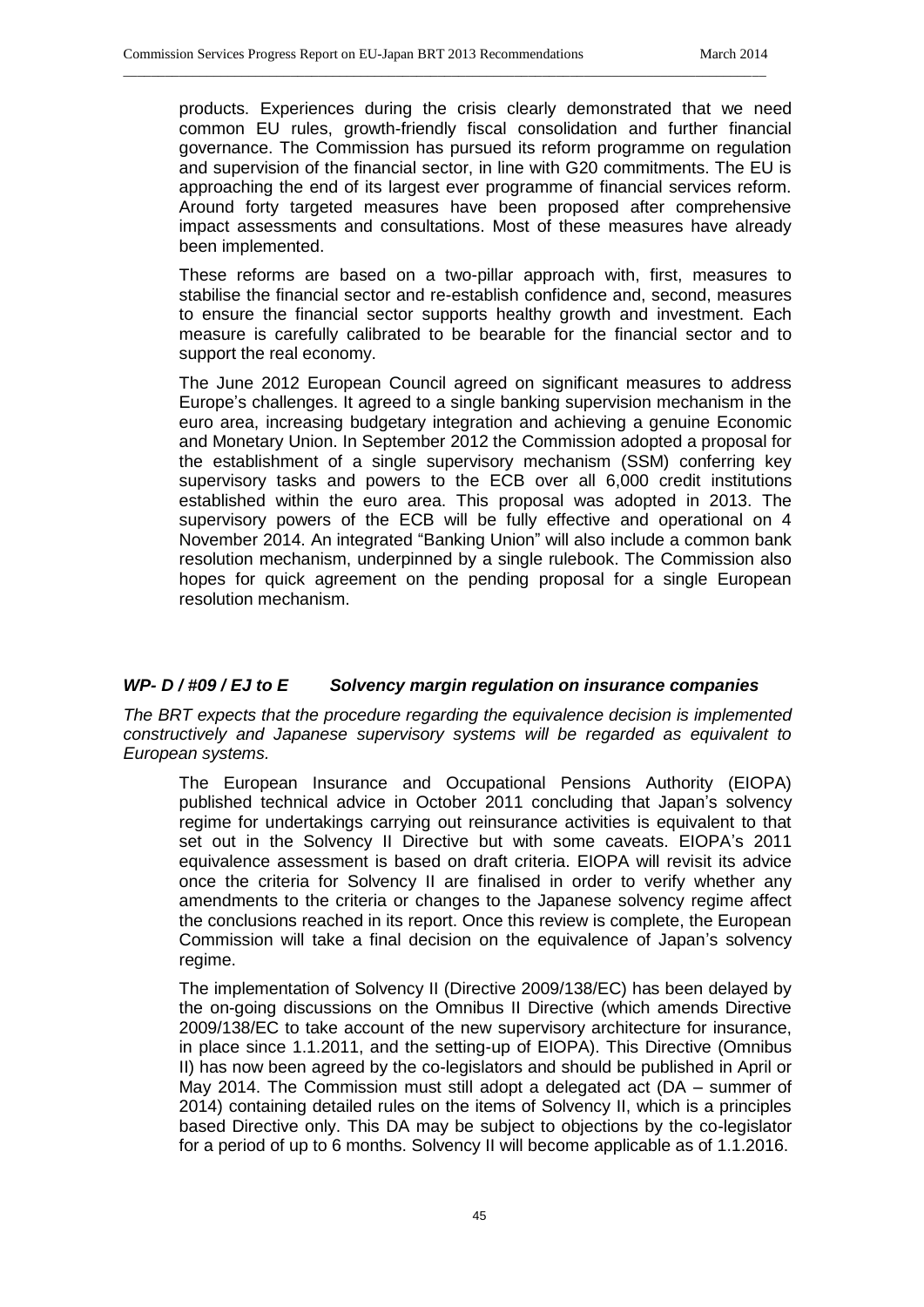products. Experiences during the crisis clearly demonstrated that we need common EU rules, growth-friendly fiscal consolidation and further financial governance. The Commission has pursued its reform programme on regulation and supervision of the financial sector, in line with G20 commitments. The EU is approaching the end of its largest ever programme of financial services reform. Around forty targeted measures have been proposed after comprehensive impact assessments and consultations. Most of these measures have already been implemented.

\_\_\_\_\_\_\_\_\_\_\_\_\_\_\_\_\_\_\_\_\_\_\_\_\_\_\_\_\_\_\_\_\_\_\_\_\_\_\_\_\_\_\_\_\_\_\_\_\_\_\_\_\_\_\_\_\_\_\_\_\_\_\_\_\_\_\_\_\_\_\_\_\_\_\_\_\_\_\_\_\_\_\_\_\_\_\_\_\_\_\_\_

These reforms are based on a two-pillar approach with, first, measures to stabilise the financial sector and re-establish confidence and, second, measures to ensure the financial sector supports healthy growth and investment. Each measure is carefully calibrated to be bearable for the financial sector and to support the real economy.

The June 2012 European Council agreed on significant measures to address Europe's challenges. It agreed to a single banking supervision mechanism in the euro area, increasing budgetary integration and achieving a genuine Economic and Monetary Union. In September 2012 the Commission adopted a proposal for the establishment of a single supervisory mechanism (SSM) conferring key supervisory tasks and powers to the ECB over all 6,000 credit institutions established within the euro area. This proposal was adopted in 2013. The supervisory powers of the ECB will be fully effective and operational on 4 November 2014. An integrated "Banking Union" will also include a common bank resolution mechanism, underpinned by a single rulebook. The Commission also hopes for quick agreement on the pending proposal for a single European resolution mechanism.

#### *WP- D / #09 / EJ to E Solvency margin regulation on insurance companies*

*The BRT expects that the procedure regarding the equivalence decision is implemented constructively and Japanese supervisory systems will be regarded as equivalent to European systems.*

The European Insurance and Occupational Pensions Authority (EIOPA) published technical advice in October 2011 concluding that Japan's solvency regime for undertakings carrying out reinsurance activities is equivalent to that set out in the Solvency II Directive but with some caveats. EIOPA's 2011 equivalence assessment is based on draft criteria. EIOPA will revisit its advice once the criteria for Solvency II are finalised in order to verify whether any amendments to the criteria or changes to the Japanese solvency regime affect the conclusions reached in its report. Once this review is complete, the European Commission will take a final decision on the equivalence of Japan's solvency regime.

The implementation of Solvency II (Directive 2009/138/EC) has been delayed by the on-going discussions on the Omnibus II Directive (which amends Directive 2009/138/EC to take account of the new supervisory architecture for insurance, in place since 1.1.2011, and the setting-up of EIOPA). This Directive (Omnibus II) has now been agreed by the co-legislators and should be published in April or May 2014. The Commission must still adopt a delegated act (DA – summer of 2014) containing detailed rules on the items of Solvency II, which is a principles based Directive only. This DA may be subject to objections by the co-legislator for a period of up to 6 months. Solvency II will become applicable as of 1.1.2016.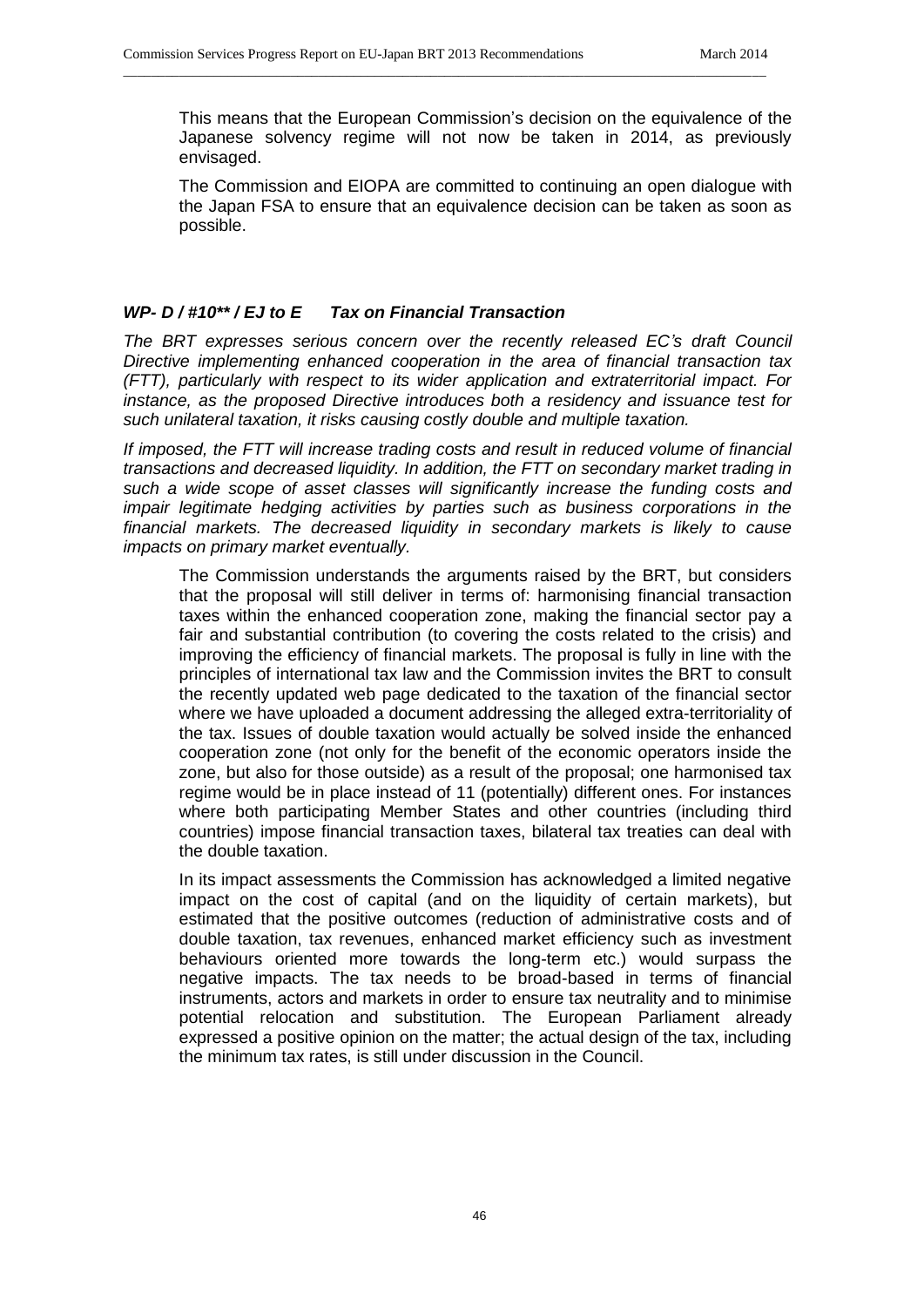This means that the European Commission's decision on the equivalence of the Japanese solvency regime will not now be taken in 2014, as previously envisaged.

\_\_\_\_\_\_\_\_\_\_\_\_\_\_\_\_\_\_\_\_\_\_\_\_\_\_\_\_\_\_\_\_\_\_\_\_\_\_\_\_\_\_\_\_\_\_\_\_\_\_\_\_\_\_\_\_\_\_\_\_\_\_\_\_\_\_\_\_\_\_\_\_\_\_\_\_\_\_\_\_\_\_\_\_\_\_\_\_\_\_\_\_

The Commission and EIOPA are committed to continuing an open dialogue with the Japan FSA to ensure that an equivalence decision can be taken as soon as possible.

# *WP- D / #10\*\* / EJ to E Tax on Financial Transaction*

*The BRT expresses serious concern over the recently released EC's draft Council Directive implementing enhanced cooperation in the area of financial transaction tax (FTT), particularly with respect to its wider application and extraterritorial impact. For instance, as the proposed Directive introduces both a residency and issuance test for such unilateral taxation, it risks causing costly double and multiple taxation.*

*If imposed, the FTT will increase trading costs and result in reduced volume of financial transactions and decreased liquidity. In addition, the FTT on secondary market trading in such a wide scope of asset classes will significantly increase the funding costs and impair legitimate hedging activities by parties such as business corporations in the financial markets. The decreased liquidity in secondary markets is likely to cause impacts on primary market eventually.*

The Commission understands the arguments raised by the BRT, but considers that the proposal will still deliver in terms of: harmonising financial transaction taxes within the enhanced cooperation zone, making the financial sector pay a fair and substantial contribution (to covering the costs related to the crisis) and improving the efficiency of financial markets. The proposal is fully in line with the principles of international tax law and the Commission invites the BRT to consult the recently updated web page dedicated to the taxation of the financial sector where we have uploaded a document addressing the alleged extra-territoriality of the tax. Issues of double taxation would actually be solved inside the enhanced cooperation zone (not only for the benefit of the economic operators inside the zone, but also for those outside) as a result of the proposal; one harmonised tax regime would be in place instead of 11 (potentially) different ones. For instances where both participating Member States and other countries (including third countries) impose financial transaction taxes, bilateral tax treaties can deal with the double taxation.

In its impact assessments the Commission has acknowledged a limited negative impact on the cost of capital (and on the liquidity of certain markets), but estimated that the positive outcomes (reduction of administrative costs and of double taxation, tax revenues, enhanced market efficiency such as investment behaviours oriented more towards the long-term etc.) would surpass the negative impacts. The tax needs to be broad-based in terms of financial instruments, actors and markets in order to ensure tax neutrality and to minimise potential relocation and substitution. The European Parliament already expressed a positive opinion on the matter; the actual design of the tax, including the minimum tax rates, is still under discussion in the Council.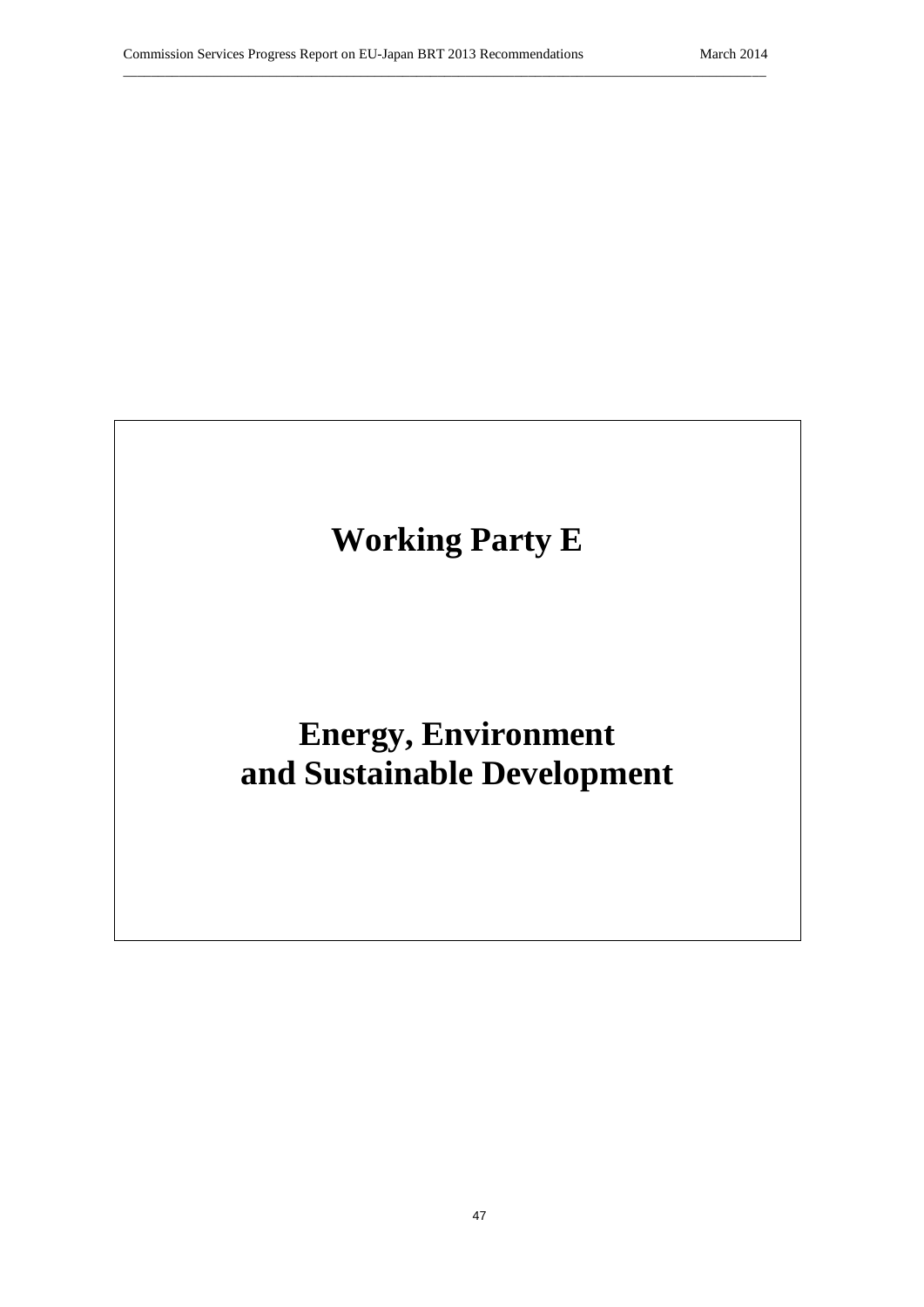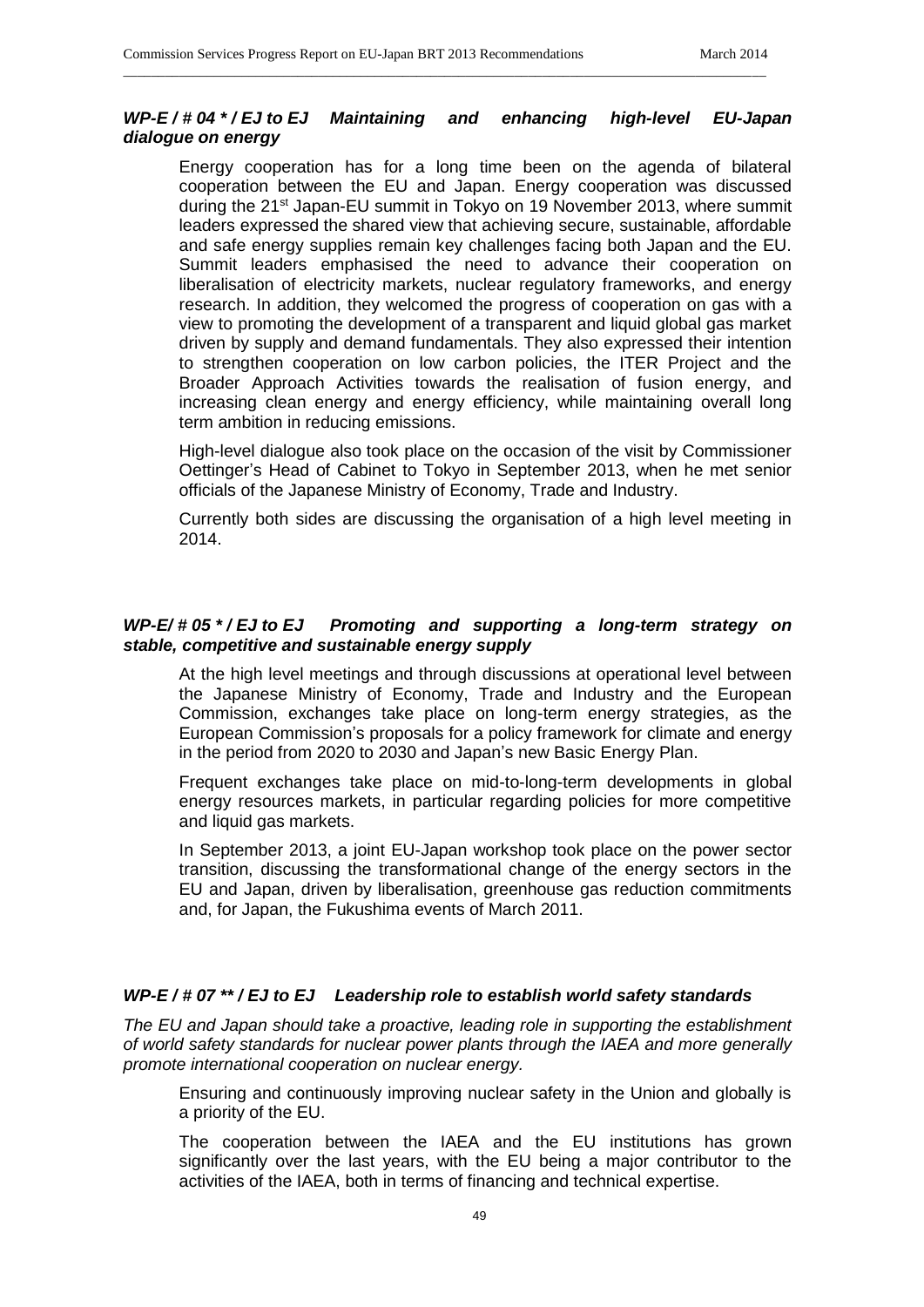# *WP-E / # 04 \* / EJ to EJ Maintaining and enhancing high-level EU-Japan dialogue on energy*

\_\_\_\_\_\_\_\_\_\_\_\_\_\_\_\_\_\_\_\_\_\_\_\_\_\_\_\_\_\_\_\_\_\_\_\_\_\_\_\_\_\_\_\_\_\_\_\_\_\_\_\_\_\_\_\_\_\_\_\_\_\_\_\_\_\_\_\_\_\_\_\_\_\_\_\_\_\_\_\_\_\_\_\_\_\_\_\_\_\_\_\_

Energy cooperation has for a long time been on the agenda of bilateral cooperation between the EU and Japan. Energy cooperation was discussed during the 21st Japan-EU summit in Tokyo on 19 November 2013, where summit leaders expressed the shared view that achieving secure, sustainable, affordable and safe energy supplies remain key challenges facing both Japan and the EU. Summit leaders emphasised the need to advance their cooperation on liberalisation of electricity markets, nuclear regulatory frameworks, and energy research. In addition, they welcomed the progress of cooperation on gas with a view to promoting the development of a transparent and liquid global gas market driven by supply and demand fundamentals. They also expressed their intention to strengthen cooperation on low carbon policies, the ITER Project and the Broader Approach Activities towards the realisation of fusion energy, and increasing clean energy and energy efficiency, while maintaining overall long term ambition in reducing emissions.

High-level dialogue also took place on the occasion of the visit by Commissioner Oettinger's Head of Cabinet to Tokyo in September 2013, when he met senior officials of the Japanese Ministry of Economy, Trade and Industry.

Currently both sides are discussing the organisation of a high level meeting in 2014.

## *WP-E/ # 05 \* / EJ to EJ Promoting and supporting a long-term strategy on stable, competitive and sustainable energy supply*

At the high level meetings and through discussions at operational level between the Japanese Ministry of Economy, Trade and Industry and the European Commission, exchanges take place on long-term energy strategies, as the European Commission's proposals for a policy framework for climate and energy in the period from 2020 to 2030 and Japan's new Basic Energy Plan.

Frequent exchanges take place on mid-to-long-term developments in global energy resources markets, in particular regarding policies for more competitive and liquid gas markets.

In September 2013, a joint EU-Japan workshop took place on the power sector transition, discussing the transformational change of the energy sectors in the EU and Japan, driven by liberalisation, greenhouse gas reduction commitments and, for Japan, the Fukushima events of March 2011.

# *WP-E / # 07 \*\* / EJ to EJ Leadership role to establish world safety standards*

*The EU and Japan should take a proactive, leading role in supporting the establishment of world safety standards for nuclear power plants through the IAEA and more generally promote international cooperation on nuclear energy.*

Ensuring and continuously improving nuclear safety in the Union and globally is a priority of the EU.

The cooperation between the IAEA and the EU institutions has grown significantly over the last years, with the EU being a major contributor to the activities of the IAEA, both in terms of financing and technical expertise.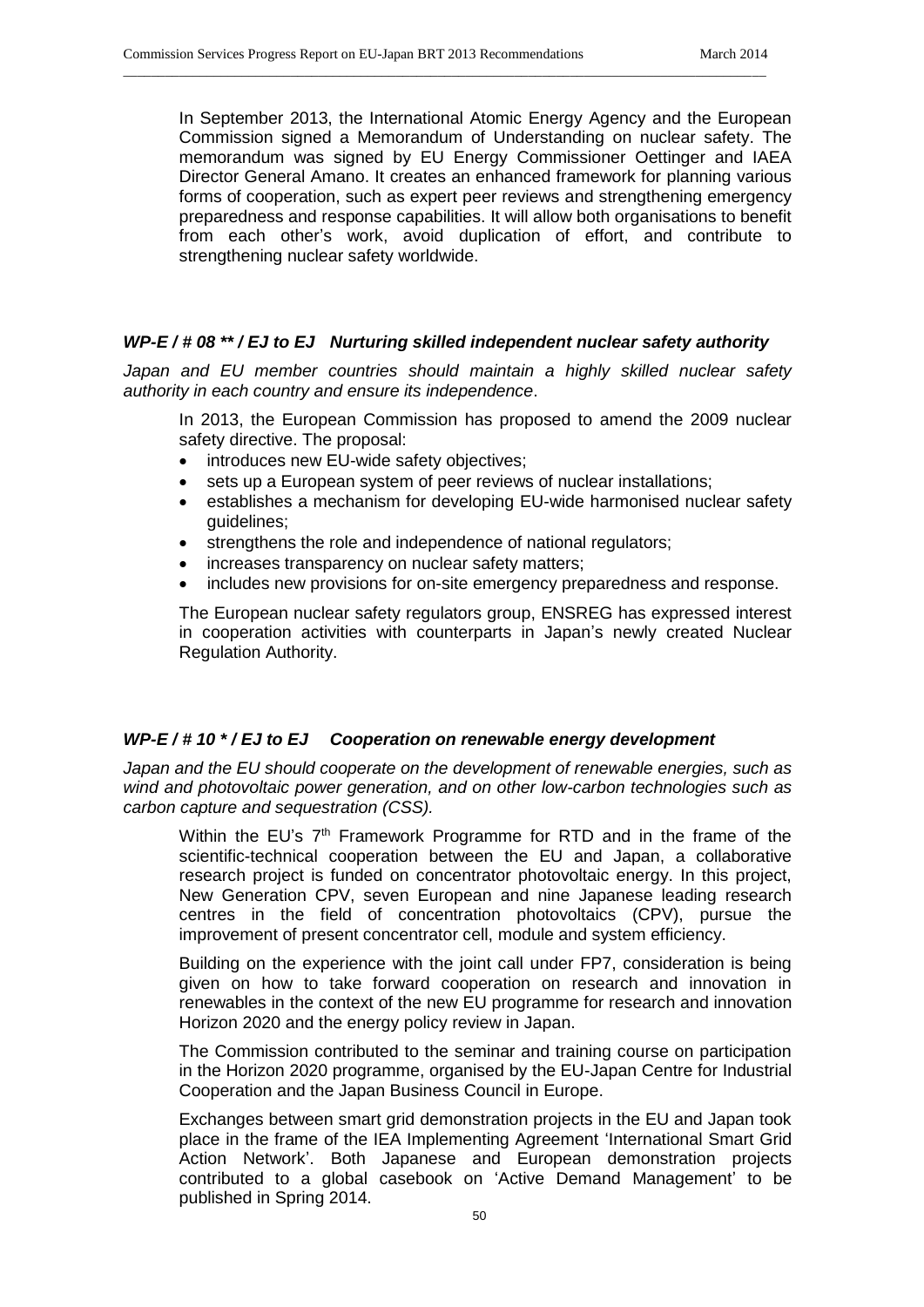In September 2013, the International Atomic Energy Agency and the European Commission signed a Memorandum of Understanding on nuclear safety. The memorandum was signed by EU Energy Commissioner Oettinger and IAEA Director General Amano. It creates an enhanced framework for planning various forms of cooperation, such as expert peer reviews and strengthening emergency preparedness and response capabilities. It will allow both organisations to benefit from each other's work, avoid duplication of effort, and contribute to strengthening nuclear safety worldwide.

## *WP-E / # 08 \*\* / EJ to EJ Nurturing skilled independent nuclear safety authority*

\_\_\_\_\_\_\_\_\_\_\_\_\_\_\_\_\_\_\_\_\_\_\_\_\_\_\_\_\_\_\_\_\_\_\_\_\_\_\_\_\_\_\_\_\_\_\_\_\_\_\_\_\_\_\_\_\_\_\_\_\_\_\_\_\_\_\_\_\_\_\_\_\_\_\_\_\_\_\_\_\_\_\_\_\_\_\_\_\_\_\_\_

Japan and EU member countries should maintain a highly skilled nuclear safety *authority in each country and ensure its independence*.

In 2013, the European Commission has proposed to amend the 2009 nuclear safety directive. The proposal:

- introduces new EU-wide safety objectives;
- sets up a European system of peer reviews of nuclear installations;
- establishes a mechanism for developing EU-wide harmonised nuclear safety guidelines;
- strengthens the role and independence of national regulators;
- increases transparency on nuclear safety matters;
- includes new provisions for on-site emergency preparedness and response.

The European nuclear safety regulators group, ENSREG has expressed interest in cooperation activities with counterparts in Japan's newly created Nuclear Regulation Authority.

# *WP-E / # 10 \* / EJ to EJ Cooperation on renewable energy development*

*Japan and the EU should cooperate on the development of renewable energies, such as wind and photovoltaic power generation, and on other low-carbon technologies such as carbon capture and sequestration (CSS).*

Within the EU's 7<sup>th</sup> Framework Programme for RTD and in the frame of the scientific-technical cooperation between the EU and Japan, a collaborative research project is funded on concentrator photovoltaic energy. In this project, New Generation CPV, seven European and nine Japanese leading research centres in the field of concentration photovoltaics (CPV), pursue the improvement of present concentrator cell, module and system efficiency.

Building on the experience with the joint call under FP7, consideration is being given on how to take forward cooperation on research and innovation in renewables in the context of the new EU programme for research and innovation Horizon 2020 and the energy policy review in Japan.

The Commission contributed to the seminar and training course on participation in the Horizon 2020 programme, organised by the EU-Japan Centre for Industrial Cooperation and the Japan Business Council in Europe.

Exchanges between smart grid demonstration projects in the EU and Japan took place in the frame of the IEA Implementing Agreement 'International Smart Grid Action Network'. Both Japanese and European demonstration projects contributed to a global casebook on 'Active Demand Management' to be published in Spring 2014.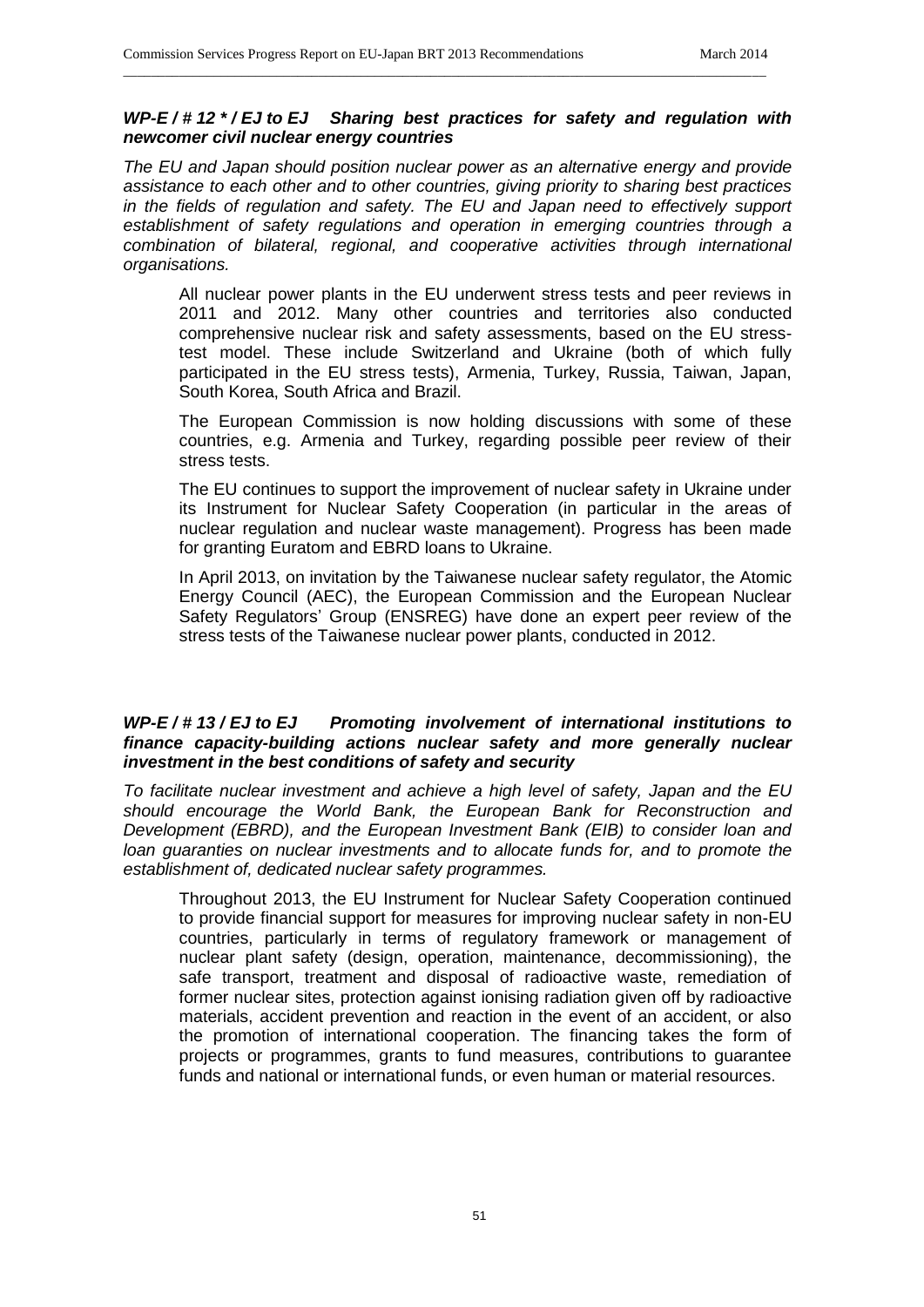#### *WP-E / # 12 \* / EJ to EJ Sharing best practices for safety and regulation with newcomer civil nuclear energy countries*

\_\_\_\_\_\_\_\_\_\_\_\_\_\_\_\_\_\_\_\_\_\_\_\_\_\_\_\_\_\_\_\_\_\_\_\_\_\_\_\_\_\_\_\_\_\_\_\_\_\_\_\_\_\_\_\_\_\_\_\_\_\_\_\_\_\_\_\_\_\_\_\_\_\_\_\_\_\_\_\_\_\_\_\_\_\_\_\_\_\_\_\_

*The EU and Japan should position nuclear power as an alternative energy and provide assistance to each other and to other countries, giving priority to sharing best practices in the fields of regulation and safety. The EU and Japan need to effectively support establishment of safety regulations and operation in emerging countries through a combination of bilateral, regional, and cooperative activities through international organisations.*

All nuclear power plants in the EU underwent stress tests and peer reviews in 2011 and 2012. Many other countries and territories also conducted comprehensive nuclear risk and safety assessments, based on the EU stresstest model. These include Switzerland and Ukraine (both of which fully participated in the EU stress tests), Armenia, Turkey, Russia, Taiwan, Japan, South Korea, South Africa and Brazil.

The European Commission is now holding discussions with some of these countries, e.g. Armenia and Turkey, regarding possible peer review of their stress tests.

The EU continues to support the improvement of nuclear safety in Ukraine under its Instrument for Nuclear Safety Cooperation (in particular in the areas of nuclear regulation and nuclear waste management). Progress has been made for granting Euratom and EBRD loans to Ukraine.

In April 2013, on invitation by the Taiwanese nuclear safety regulator, the Atomic Energy Council (AEC), the European Commission and the European Nuclear Safety Regulators' Group (ENSREG) have done an expert peer review of the stress tests of the Taiwanese nuclear power plants, conducted in 2012.

## *WP-E / # 13 / EJ to EJ Promoting involvement of international institutions to finance capacity-building actions nuclear safety and more generally nuclear investment in the best conditions of safety and security*

*To facilitate nuclear investment and achieve a high level of safety, Japan and the EU should encourage the World Bank, the European Bank for Reconstruction and Development (EBRD), and the European Investment Bank (EIB) to consider loan and loan guaranties on nuclear investments and to allocate funds for, and to promote the establishment of, dedicated nuclear safety programmes.*

Throughout 2013, the EU Instrument for Nuclear Safety Cooperation continued to provide financial support for measures for improving nuclear safety in non-EU countries, particularly in terms of regulatory framework or management of nuclear plant safety (design, operation, maintenance, decommissioning), the safe transport, treatment and disposal of radioactive waste, remediation of former nuclear sites, protection against ionising radiation given off by radioactive materials, accident prevention and reaction in the event of an accident, or also the promotion of international cooperation. The financing takes the form of projects or programmes, grants to fund measures, contributions to guarantee funds and national or international funds, or even human or material resources.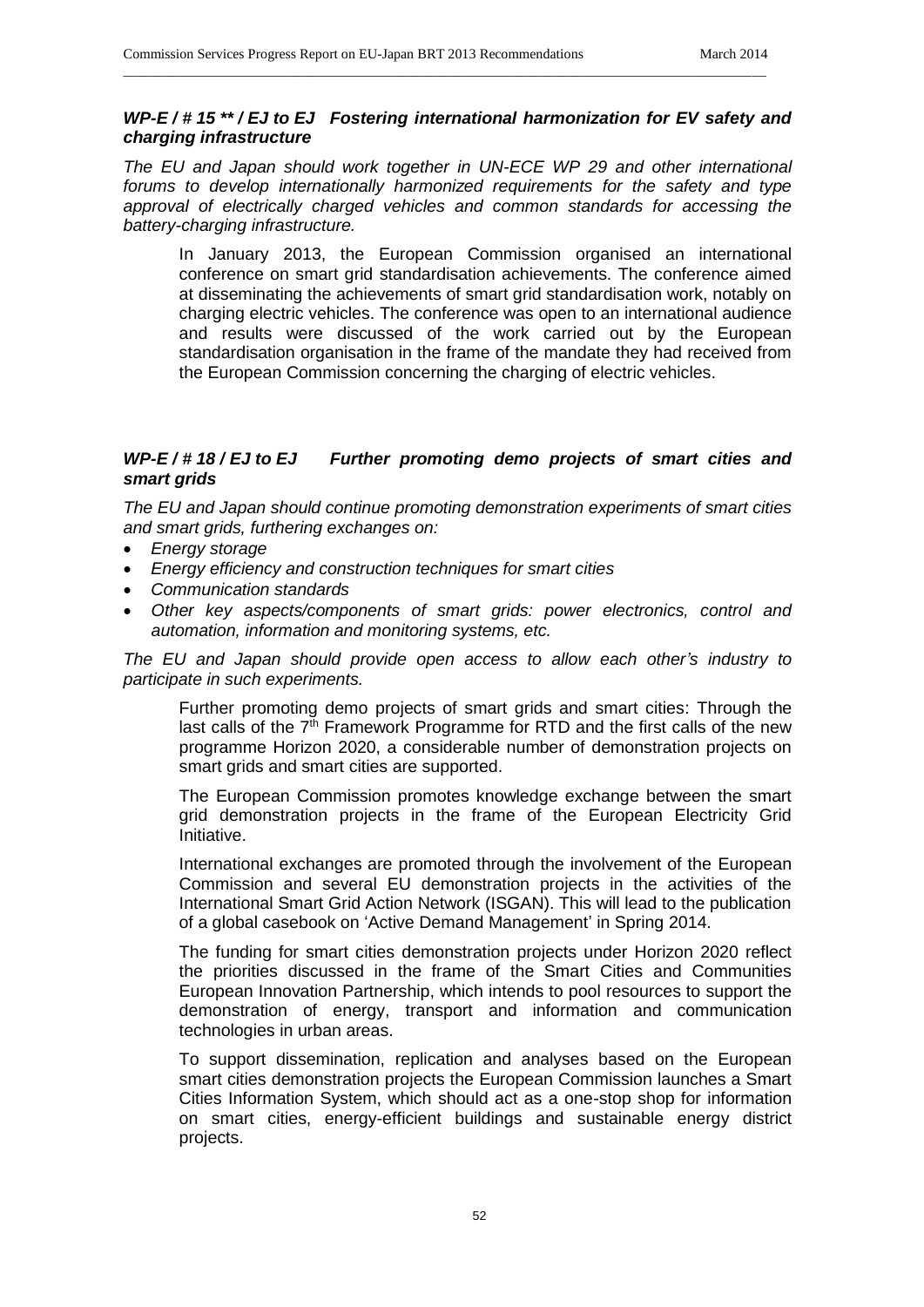# *WP-E / # 15 \*\* / EJ to EJ Fostering international harmonization for EV safety and charging infrastructure*

\_\_\_\_\_\_\_\_\_\_\_\_\_\_\_\_\_\_\_\_\_\_\_\_\_\_\_\_\_\_\_\_\_\_\_\_\_\_\_\_\_\_\_\_\_\_\_\_\_\_\_\_\_\_\_\_\_\_\_\_\_\_\_\_\_\_\_\_\_\_\_\_\_\_\_\_\_\_\_\_\_\_\_\_\_\_\_\_\_\_\_\_

*The EU and Japan should work together in UN-ECE WP 29 and other international forums to develop internationally harmonized requirements for the safety and type approval of electrically charged vehicles and common standards for accessing the battery-charging infrastructure.*

In January 2013, the European Commission organised an international conference on smart grid standardisation achievements. The conference aimed at disseminating the achievements of smart grid standardisation work, notably on charging electric vehicles. The conference was open to an international audience and results were discussed of the work carried out by the European standardisation organisation in the frame of the mandate they had received from the European Commission concerning the charging of electric vehicles.

# *WP-E / # 18 / EJ to EJ Further promoting demo projects of smart cities and smart grids*

*The EU and Japan should continue promoting demonstration experiments of smart cities and smart grids, furthering exchanges on:*

- *Energy storage*
- *Energy efficiency and construction techniques for smart cities*
- *Communication standards*
- *Other key aspects/components of smart grids: power electronics, control and automation, information and monitoring systems, etc.*

*The EU and Japan should provide open access to allow each other's industry to participate in such experiments.*

Further promoting demo projects of smart grids and smart cities: Through the last calls of the  $7<sup>th</sup>$  Framework Programme for RTD and the first calls of the new programme Horizon 2020, a considerable number of demonstration projects on smart grids and smart cities are supported.

The European Commission promotes knowledge exchange between the smart grid demonstration projects in the frame of the European Electricity Grid Initiative.

International exchanges are promoted through the involvement of the European Commission and several EU demonstration projects in the activities of the International Smart Grid Action Network (ISGAN). This will lead to the publication of a global casebook on 'Active Demand Management' in Spring 2014.

The funding for smart cities demonstration projects under Horizon 2020 reflect the priorities discussed in the frame of the Smart Cities and Communities European Innovation Partnership, which intends to pool resources to support the demonstration of energy, transport and information and communication technologies in urban areas.

To support dissemination, replication and analyses based on the European smart cities demonstration projects the European Commission launches a Smart Cities Information System, which should act as a one-stop shop for information on smart cities, energy-efficient buildings and sustainable energy district projects.